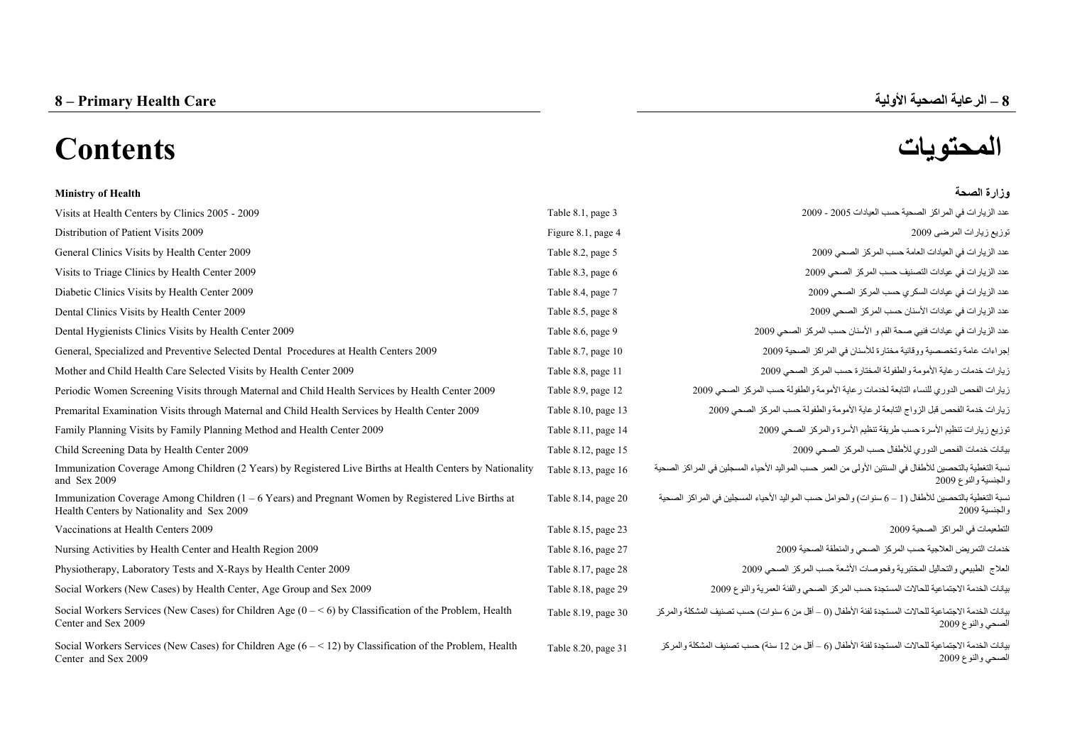# **المحتويات Contents**

| <b>Ministry of Health</b>                                                                                                                          |                     | وزارة الصحة                                                                                                                      |
|----------------------------------------------------------------------------------------------------------------------------------------------------|---------------------|----------------------------------------------------------------------------------------------------------------------------------|
| Visits at Health Centers by Clinics 2005 - 2009                                                                                                    | Table 8.1, page 3   | عدد الزيارات في المراكز الصحية حسب العيادات 2005 - 2009                                                                          |
| Distribution of Patient Visits 2009                                                                                                                | Figure 8.1, page 4  | نوزيع زيارات المرضى 2009                                                                                                         |
| General Clinics Visits by Health Center 2009                                                                                                       | Table 8.2, page 5   | عدد الزيارات في العيادات العامة حسب المركز الصحي 2009                                                                            |
| Visits to Triage Clinics by Health Center 2009                                                                                                     | Table 8.3, page 6   | عدد الزيار ات في عيادات التصنيف حسب المركز الصحي 2009                                                                            |
| Diabetic Clinics Visits by Health Center 2009                                                                                                      | Table 8.4, page 7   | عدد الزيار ات في عيادات السكري حسب المركز الصحى 2009                                                                             |
| Dental Clinics Visits by Health Center 2009                                                                                                        | Table 8.5, page 8   | عدد الزيار ات في عيادات الأسنان حسب المركز الصحي 2009                                                                            |
| Dental Hygienists Clinics Visits by Health Center 2009                                                                                             | Table 8.6, page 9   | عدد الزيارات في عيادات فنبي صحة الفم و الأسنان حسب المركز الصحي 2009                                                             |
| General, Specialized and Preventive Selected Dental Procedures at Health Centers 2009                                                              | Table 8.7, page 10  | إجراءات عامة وتخصصية ووقائية مختارة للأسنان في المراكز الصحية 2009                                                               |
| Mother and Child Health Care Selected Visits by Health Center 2009                                                                                 | Table 8.8, page 11  | زيارات خدمات رعاية الأمومة والطفولة المختارة حسب المركز الصحى 2009                                                               |
| Periodic Women Screening Visits through Maternal and Child Health Services by Health Center 2009                                                   | Table 8.9, page 12  | زيارات الفحص الدوري للنساء التابعة لخدمات رعاية الأمومة والطفولة حسب المركز الصحى 2009                                           |
| Premarital Examination Visits through Maternal and Child Health Services by Health Center 2009                                                     | Table 8.10, page 13 | زيار ات خدمة الفحص قبل الزواج التابعة لر عاية الأمومة والطفولة حسب المركز الصحي 2009                                             |
| Family Planning Visits by Family Planning Method and Health Center 2009                                                                            | Table 8.11, page 14 | توزيع زيارات تنظيم الأسرة حسب طريقة تنظيم الأسرة والمركز الصحى 2009                                                              |
| Child Screening Data by Health Center 2009                                                                                                         | Table 8.12, page 15 | يبانات خدمات الفحص الدوري للأطفال حسب المركز الصحى 2009                                                                          |
| Immunization Coverage Among Children (2 Years) by Registered Live Births at Health Centers by Nationality<br>and Sex 2009                          | Table 8.13, page 16 | نسبة التغطية بالتحصين للأطفال في السنتين الأولى من العمر حسب المواليد الأحياء المسجلين في المراكز الصحية<br>والجنسية والنوع 2009 |
| Immunization Coverage Among Children $(1 - 6$ Years) and Pregnant Women by Registered Live Births at<br>Health Centers by Nationality and Sex 2009 | Table 8.14, page 20 | نسبة التغطية بالتحصين للأطفال (1 – 6 سنو ات) و الحو امل حسب المو البد الأحياء المسجلين في المر اكز  الصحية<br>والجنسية 2009      |
| Vaccinations at Health Centers 2009                                                                                                                | Table 8.15, page 23 | التطعيمات في المراكز الصحية 2009                                                                                                 |
| Nursing Activities by Health Center and Health Region 2009                                                                                         | Table 8.16, page 27 | خدمات التمريض العلاجية حسب المركز الصحى والمنطقة الصحية 2009                                                                     |
| Physiotherapy, Laboratory Tests and X-Rays by Health Center 2009                                                                                   | Table 8.17, page 28 | العلاج الطبيعي والتحاليل المختبرية وفحوصات الأشعة حسب المركز الصحى 2009                                                          |
| Social Workers (New Cases) by Health Center, Age Group and Sex 2009                                                                                | Table 8.18, page 29 | يبانات الخدمة الاجتماعية للحالات المستجدة حسب المركز الصحى والفئة العمرية والنوع 2009                                            |
| Social Workers Services (New Cases) for Children Age $(0 - \le 6)$ by Classification of the Problem, Health<br>Center and Sex 2009                 | Table 8.19, page 30 | يانات الخدمة الاجتماعية للحالات المستجدة لفئة الأطفال (0 – أقل من 6 سنوات) حسب تصنيف المشكلة والمركز<br>الصحي والنوع 2009        |
| Social Workers Services (New Cases) for Children Age $(6 - 12)$ by Classification of the Problem, Health<br>Center and Sex 2009                    | Table 8.20, page 31 | بيانات الخدمة الاجتماعية للحالات المستجدة لفئة الأطفال (6 – أقل من 12 سنة) حسب تصنيف المشكلة والمركز<br>الصحي والنوع 2009        |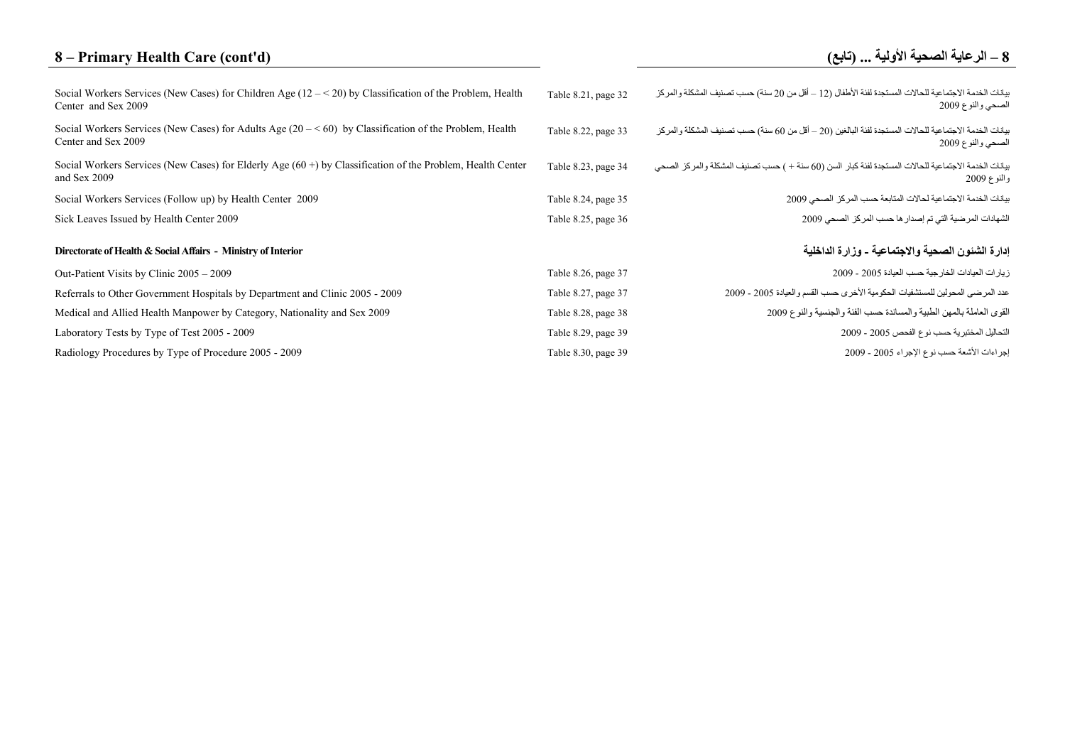## **8 – Primary Health Care (cont'd)**

### **–**

| Social Workers Services (New Cases) for Children Age $(12 - 520)$ by Classification of the Problem, Health<br>Center and Sex 2009 | Table 8.21, page 32 | بيانات الخدمة الاجتماعية للحالات المستجدة لفئة الأطفال (12 – أقل من 20 سنة) حسب تصنيف المشكلة والمركز<br>الصحي والنوع 2009  |
|-----------------------------------------------------------------------------------------------------------------------------------|---------------------|-----------------------------------------------------------------------------------------------------------------------------|
| Social Workers Services (New Cases) for Adults Age $(20 - 60)$ by Classification of the Problem, Health<br>Center and Sex 2009    | Table 8.22, page 33 | بيانات الخدمة الاجتماعية للحالات المستجدة لفئة البالغين (20 – أقل من 60 سنة) حسب تصنيف المشكلة والمركز<br>الصحي والنوع 2009 |
| Social Workers Services (New Cases) for Elderly Age $(60 +)$ by Classification of the Problem, Health Center<br>and Sex 2009      | Table 8.23, page 34 | بيانات الخدمة الاجتماعية للحالات المستجدة لفئة كبار السن (60 سنة + ) حسب تصنيف المشكلة والمركز الصحي<br>والنوع 2009         |
| Social Workers Services (Follow up) by Health Center 2009                                                                         | Table 8.24, page 35 | بيانات الخدمة الاجتماعية لحالات المتابعة حسب المركز الصحى 2009                                                              |
| Sick Leaves Issued by Health Center 2009                                                                                          | Table 8.25, page 36 | الشهادات المرضية التي تم إصدار ها حسب المركز الصحي 2009                                                                     |
| Directorate of Health & Social Affairs - Ministry of Interior                                                                     |                     | إدارة الشئون الصحية والاجتماعية ـ وزارة الداخلية                                                                            |
| Out-Patient Visits by Clinic 2005 – 2009                                                                                          | Table 8.26, page 37 | زيار ات العيادات الخار جية حسب العيادة 2005 - 2009                                                                          |
| Referrals to Other Government Hospitals by Department and Clinic 2005 - 2009                                                      | Table 8.27, page 37 | عدد المرضى المحولين للمستشفيات الحكومية الأخرى حسب القسم والعيادة 2005 - 2009                                               |
| Medical and Allied Health Manpower by Category, Nationality and Sex 2009                                                          | Table 8.28, page 38 | القوى العاملة بالمهن الطبية والمساندة حسب الفئة والجنسية والنوع 2009                                                        |
| Laboratory Tests by Type of Test 2005 - 2009                                                                                      | Table 8.29, page 39 | التحاليل المختبرية حسب نوع الفحص 2005 - 2009                                                                                |
| Radiology Procedures by Type of Procedure 2005 - 2009                                                                             | Table 8.30, page 39 | إجراءات الأشعة حسب نوع الإجراء 2005 - 2009                                                                                  |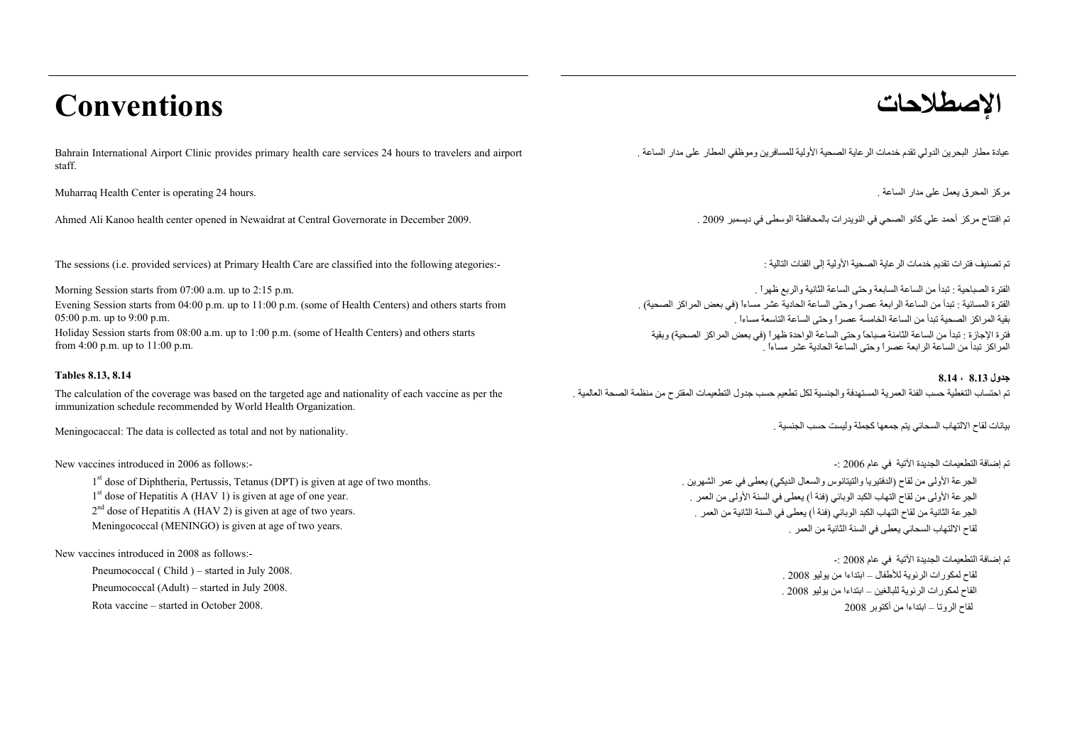# **الإصطلاحات Conventions**

Bahrain International Airport Clinic provides primary health care services 24 hours to travelers and airport staff.

مرآز المحرق يعمل على مدار الساعة . .hours 24 operating is Center Health Muharraq

تم افتتاح مركز أحمد علي كانو الصحي في النويدرات بالمحافظة الوسطى في ديسمبر 2009 . . . . . . Ahmed Ali Kanoo health center opened in Newaidrat at Central Governorate in December 2009.

The sessions (i.e. provided services) at Primary Health Care are classified into the following ategories:-

Morning Session starts from 07:00 a.m. up to 2:15 p.m. Evening Session starts from 04:00 p.m. up to 11:00 p.m. (some of Health Centers) and others starts from 05:00 p.m. up to 9:00 p.m.

Holiday Session starts from 08:00 a.m. up to 1:00 p.m. (some of Health Centers) and others starts from 4:00 p.m. up to 11:00 p.m.

The calculation of the coverage was based on the targeted age and nationality of each vaccine as per the immunization schedule recommended by World Health Organization.

Meningocaccal: The data is collected as total and not by nationality.

New vaccines introduced in 2006 as follows:-

1<sup>st</sup> dose of Diphtheria, Pertussis, Tetanus (DPT) is given at age of two months.  $1<sup>st</sup>$  dose of Hepatitis A (HAV 1) is given at age of one year. 2<sup>nd</sup> dose of Hepatitis A (HAV 2) is given at age of two years. Meningococcal (MENINGO) is given at age of two years.

New vaccines introduced in 2008 as follows:-

Pneumococcal (Child ) – started in July 2008. Pneumococcal (Adult) – started in July 2008. Rota vaccine – started in October 2008.

. عيادة مطار البحرين الدولي تقدم خدمات الرعاية الصحية الأولية للمسافرين وموظفي المطار على مدار الساعة

تم تصنيف فترات تقديم خدمات الرعاية الصحية الأولية إلى الفئات التالية :

الفترة الصباحية : تبدأ من الساعة السابعة وحتى الساعة الثانية والربع ظهراً . الفترة المسائية : تبدأ من الساعة الرابعة عصراً وحتى الساعة الحادية عشر مساءاً (في بعض المراآز الصحية) . بقية المراكز الصحية تبدأ من الساعة الخامسة عصراً وحتى الساعة التاسعة مساءاً . فترة الإجازة : تبدأ من الساعة الثامنة صباحاً وحتى الساعة الواحدة ظهراً (في بعض المراآز الصحية) وبقية المراآز تبدأ من الساعة الرابعة عصراً وحتى الساعة الحادية عشر مساءاً .

**جدول 8.13 ، 8.14 8.14 8.13, Tables** تم احتساب التغطية حسب الفئة العمرية المستهدفة والجنسية لكل تطعيم حسب جدول التطعيمات المقترح من منظمة الصحة العالمية .

بيانات لقاح الالتهاب السحائي يتم جمعها كجملة وليست حسب الجنسية .

تم إضافة التطعيمات الجديدة الآتية في عام <sup>2006</sup> -:

الجرعة الأولى من لقاح (الدفتيريا والتيتانوس والسعال الديكي) يعطى في عمر الشهرين . الجرعة الأولى من لقاح التهاب الكبد الوبائي (فئة <sup>أ</sup>) يعطى في السنة الأولى من العمر . الجرعة الثانية من لقاح التهاب الكبد الوبائي (فئة <sup>أ</sup>) يعطى في السنة الثانية من العمر . لقاح الالتهاب السحائي يعطى في السنة الثانية من العمر .

تم إضافة التطعيمات الجديدة الآتية في عام 2008 -:

لقاح لمكورات الرئوية للأطفال – ابتداءا من يوليو <sup>2008</sup> . القاح لمكورات الرئوية للبالغين – ابتداءا من يوليو <sup>2008</sup> . لقاح الروتا – ابتداءا من أكتوبر 2008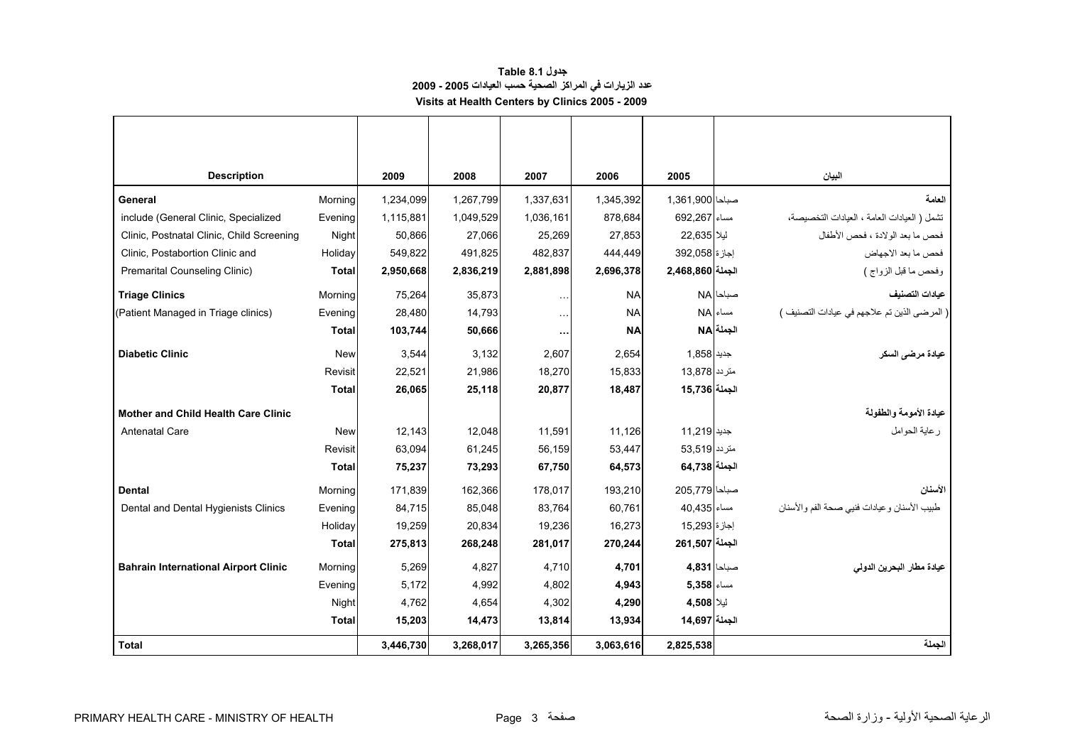### **جدول 8.1 Table عدد الزيارات في المراآز الصحية حسب العيادات 2005 - 2009 Visits at Health Centers by Clinics 2005 - 2009**

<span id="page-3-0"></span>

| <b>Description</b>                          |              | 2009      | 2008      | 2007                 | 2006      | 2005             |            | البيان                                      |
|---------------------------------------------|--------------|-----------|-----------|----------------------|-----------|------------------|------------|---------------------------------------------|
| General                                     | Morning      | 1,234,099 | 1,267,799 | 1,337,631            | 1,345,392 | صباحا 1,361,900  |            | العامة                                      |
| include (General Clinic, Specialized        | Evening      | 1,115,881 | 1,049,529 | 1,036,161            | 878,684   | مساء   692.267   |            | تشمل ( العيادات العامة ، العيادات التخصيصة، |
| Clinic, Postnatal Clinic, Child Screening   | Night        | 50,866    | 27,066    | 25,269               | 27,853    | ليلأ 22,635      |            | فحص ما بعد الولادة ، فحص الأطفال            |
| Clinic, Postabortion Clinic and             | Holiday      | 549,822   | 491,825   | 482,837              | 444,449   | إجازة 392,058    |            | فحص ما بعد الاجهاض                          |
| Premarital Counseling Clinic)               | <b>Total</b> | 2,950,668 | 2,836,219 | 2,881,898            | 2,696,378 | الجملة 2,468,860 |            | وفحص ما قبل الزواج )                        |
| <b>Triage Clinics</b>                       | Morning      | 75,264    | 35,873    | $\sim$ $\sim$ $\sim$ | <b>NA</b> |                  | صباحا NA   | عيادات التصنيف                              |
| (Patient Managed in Triage clinics)         | Evening      | 28,480    | 14,793    | $\ldots$ .           | <b>NA</b> |                  | AM مساء    | (المرضى الذين تم علاجهم في عيادات التصنيف ) |
|                                             | <b>Total</b> | 103,744   | 50,666    | $\cdots$             | <b>NA</b> |                  | الجملة  NA |                                             |
| <b>Diabetic Clinic</b>                      | <b>New</b>   | 3,544     | 3,132     | 2,607                | 2,654     | جديد   1,858     |            | عيادة مرضي السكر                            |
|                                             | Revisit      | 22,521    | 21,986    | 18,270               | 15,833    | متر دد 13.878    |            |                                             |
|                                             | <b>Total</b> | 26,065    | 25,118    | 20,877               | 18,487    | الجملة 15,736    |            |                                             |
| <b>Mother and Child Health Care Clinic</b>  |              |           |           |                      |           |                  |            | عيادة الأمومة والطفولة                      |
| <b>Antenatal Care</b>                       | <b>New</b>   | 12,143    | 12,048    | 11,591               | 11,126    | جديد 11,219      |            | رعاية الحوامل                               |
|                                             | Revisit      | 63,094    | 61,245    | 56,159               | 53,447    | متر دد 53,519    |            |                                             |
|                                             | <b>Total</b> | 75,237    | 73,293    | 67,750               | 64,573    | الجملة  64,738   |            |                                             |
| <b>Dental</b>                               | Morning      | 171,839   | 162,366   | 178,017              | 193,210   | صباحا 779,205    |            | الأسنان                                     |
| Dental and Dental Hygienists Clinics        | Evening      | 84,715    | 85,048    | 83,764               | 60,761    | 40.435           |            | طبيب الأسنان وعيادات فنيي صحة الفم والأسنان |
|                                             | Holiday      | 19,259    | 20,834    | 19,236               | 16,273    | إجازة 15,293     |            |                                             |
|                                             | <b>Total</b> | 275,813   | 268,248   | 281,017              | 270,244   | الجملة 261,507   |            |                                             |
| <b>Bahrain International Airport Clinic</b> | Morning      | 5.269     | 4,827     | 4,710                | 4,701     | صباحا 4,831      |            | عيادة مطار البحرين الدولي                   |
|                                             | Evening      | 5,172     | 4,992     | 4,802                | 4,943     | $5,358$ مساء     |            |                                             |
|                                             | Night        | 4,762     | 4,654     | 4,302                | 4,290     | ليلا 4,508       |            |                                             |
|                                             | <b>Total</b> | 15,203    | 14,473    | 13,814               | 13,934    | الجملة 14,697    |            |                                             |
| <b>Total</b>                                |              | 3,446,730 | 3,268,017 | 3,265,356            | 3,063,616 | 2,825,538        |            | الجملة                                      |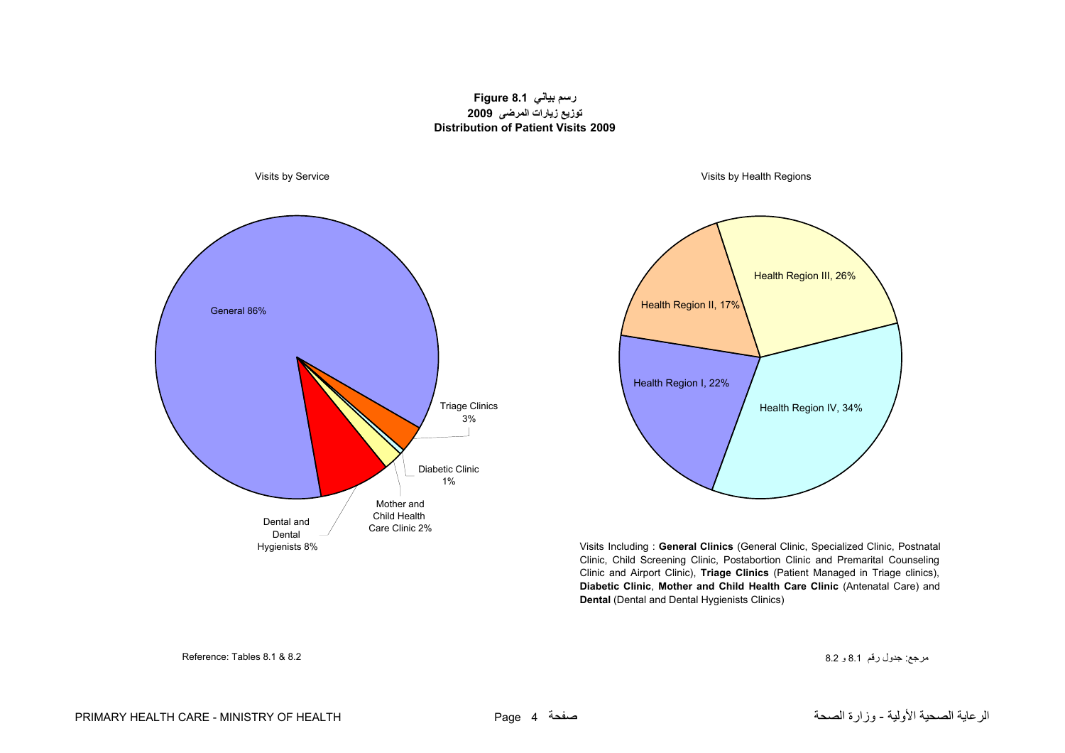#### **رسم بياني 8.1 Figure توزيع زيارات المرضى 2009 Distribution of Patient Visits 2009**

<span id="page-4-0"></span>



Visits Including : **General Clinics** (General Clinic, Specialized Clinic, Postnatal Clinic, Child Screening Clinic, Postabortion Clinic and Premarital Counseling Clinic and Airport Clinic), **Triage Clinics** (Patient Managed in Triage clinics), **Diabetic Clinic**, **Mother and Child Health Care Clinic** (Antenatal Care) and **Dental** (Dental and Dental Hygienists Clinics)

مرجع: جدول رقم 8.1 و 8.2 8.2 & 8.1 Tables :Reference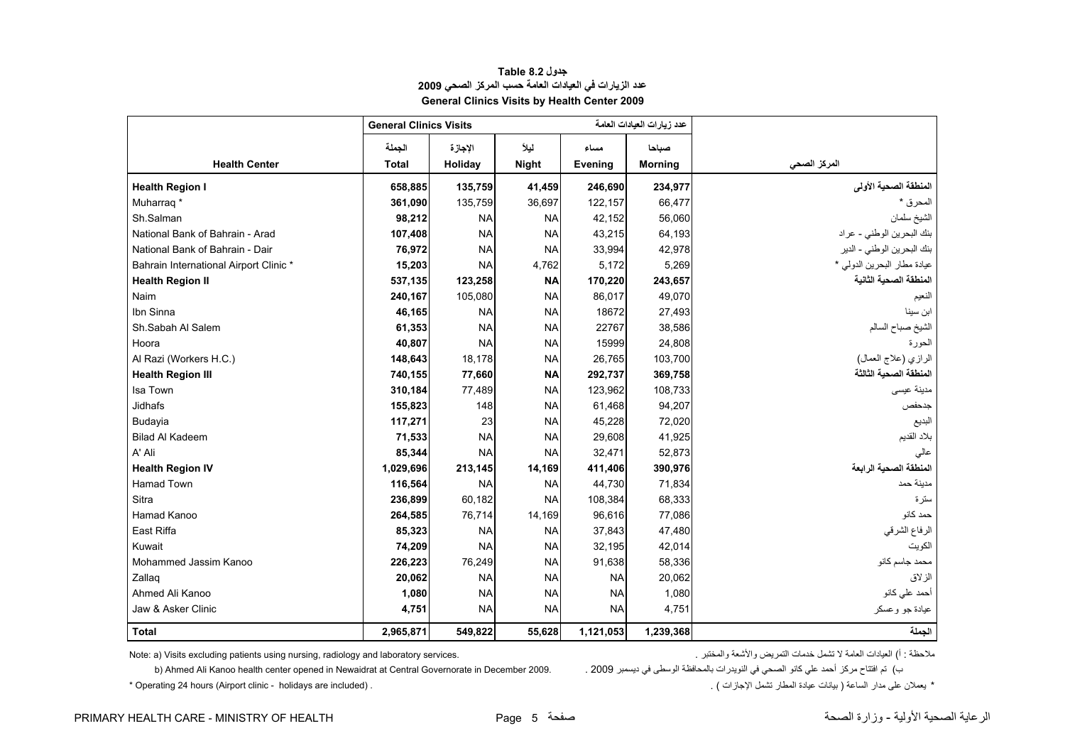#### **جدول 8.2 Table عدد الزيارات في العيادات العامة حسب المرآز الصحي <sup>2009</sup> General Clinics Visits by Health Center 2009**

<span id="page-5-0"></span>

|                                        | <b>General Clinics Visits</b> |           |              |           | عدد زيارات العيادات العامة |                             |
|----------------------------------------|-------------------------------|-----------|--------------|-----------|----------------------------|-----------------------------|
|                                        | الجملة                        | الإجازة   | ليلأ         | مساء      | صباحا                      |                             |
| <b>Health Center</b>                   | <b>Total</b>                  | Holiday   | <b>Night</b> | Evening   | <b>Morning</b>             | المركز الصحى                |
| <b>Health Region I</b>                 | 658,885                       | 135,759   | 41,459       | 246,690   | 234,977                    | المنطقة الصحية الأولى       |
| Muharrag <sup>*</sup>                  | 361,090                       | 135,759   | 36,697       | 122,157   | 66,477                     | المحرق *                    |
| Sh.Salman                              | 98,212                        | <b>NA</b> | <b>NA</b>    | 42,152    | 56,060                     | الشيخ سلمان                 |
| National Bank of Bahrain - Arad        | 107,408                       | <b>NA</b> | <b>NA</b>    | 43,215    | 64,193                     | بنك البحرين الوطني - عراد   |
| National Bank of Bahrain - Dair        | 76,972                        | <b>NA</b> | <b>NA</b>    | 33,994    | 42,978                     | بنك البحرين الوطني - الدير  |
| Bahrain International Airport Clinic * | 15,203                        | <b>NA</b> | 4,762        | 5,172     | 5,269                      | عيادة مطار البحرين الدولي * |
| <b>Health Region II</b>                | 537,135                       | 123,258   | <b>NA</b>    | 170,220   | 243,657                    | المنطقة الصحية الثانية      |
| Naim                                   | 240,167                       | 105,080   | <b>NA</b>    | 86,017    | 49,070                     | النعيم                      |
| Ibn Sinna                              | 46,165                        | <b>NA</b> | <b>NA</b>    | 18672     | 27,493                     | ابن سينا                    |
| Sh.Sabah Al Salem                      | 61,353                        | <b>NA</b> | <b>NA</b>    | 22767     | 38,586                     | الشيخ صباح السالم           |
| Hoora                                  | 40,807                        | <b>NA</b> | <b>NA</b>    | 15999     | 24,808                     | الحورة                      |
| Al Razi (Workers H.C.)                 | 148,643                       | 18,178    | <b>NA</b>    | 26,765    | 103,700                    | الرازي (علاج العمال)        |
| <b>Health Region III</b>               | 740,155                       | 77,660    | <b>NA</b>    | 292,737   | 369,758                    | المنطقة الصحية الثالثة      |
| Isa Town                               | 310,184                       | 77,489    | <b>NA</b>    | 123,962   | 108,733                    | مدينة عيسى                  |
| <b>Jidhafs</b>                         | 155,823                       | 148       | <b>NA</b>    | 61,468    | 94,207                     | جدحفص                       |
| Budayia                                | 117,271                       | 23        | <b>NA</b>    | 45,228    | 72,020                     | البديع                      |
| <b>Bilad Al Kadeem</b>                 | 71,533                        | <b>NA</b> | <b>NA</b>    | 29,608    | 41,925                     | بلاد القديم                 |
| A' Ali                                 | 85,344                        | <b>NA</b> | <b>NA</b>    | 32,471    | 52,873                     | عالي                        |
| <b>Health Region IV</b>                | 1,029,696                     | 213,145   | 14,169       | 411,406   | 390,976                    | المنطقة الصحية الرابعة      |
| <b>Hamad Town</b>                      | 116,564                       | <b>NA</b> | <b>NA</b>    | 44.730    | 71,834                     | مدينة حمد                   |
| Sitra                                  | 236,899                       | 60,182    | <b>NA</b>    | 108,384   | 68,333                     | ستر ۃ                       |
| Hamad Kanoo                            | 264,585                       | 76,714    | 14,169       | 96,616    | 77,086                     | حمد كانو                    |
| East Riffa                             | 85,323                        | <b>NA</b> | <b>NA</b>    | 37,843    | 47,480                     | الرفاع الشرقي               |
| Kuwait                                 | 74,209                        | <b>NA</b> | <b>NA</b>    | 32,195    | 42,014                     | الكويت                      |
| Mohammed Jassim Kanoo                  | 226,223                       | 76,249    | <b>NA</b>    | 91,638    | 58,336                     | محمد جاسم كانو              |
| Zallag                                 | 20,062                        | <b>NA</b> | <b>NA</b>    | <b>NA</b> | 20,062                     | الزلاق                      |
| Ahmed Ali Kanoo                        | 1,080                         | <b>NA</b> | <b>NA</b>    | <b>NA</b> | 1,080                      | أحمد على كانو               |
| Jaw & Asker Clinic                     | 4,751                         | <b>NA</b> | <b>NA</b>    | <b>NA</b> | 4,751                      | عيادة جو وعسكر              |
| <b>Total</b>                           | 2,965,871                     | 549,822   | 55,628       | 1,121,053 | 1,239,368                  | الجملة                      |

Note: a) Visits excluding patients using nursing, radiology and laboratory services. . والمختبر والأشعة التمريض خدمات تشمل لا العامة العيادات) أ : ملاحظة

ب) تم افتتاح مركز أحمد علي كانو الصحي في النويدرات بالمحافظة الوسطى في ديسمبر 2009 . Ahmed Ali Kanoo health center opened in Newaidrat at Central Governorate in December 2009

 $*$  Operating 24 hours (Airport clinic - holidays are included) .

\* يعملان على مدار الساعة ( بيانات عيادة المطار تشمل الإجازات ) .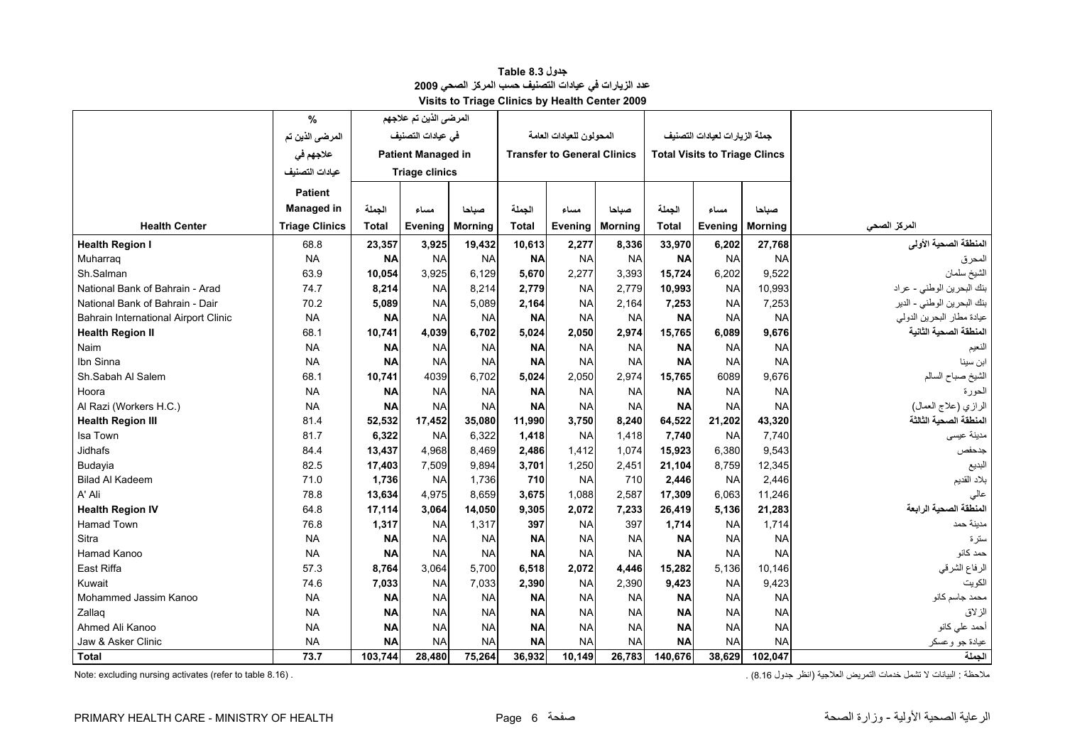| جدول Table 8.3                                       |
|------------------------------------------------------|
| عدد الزيارات في عيادات التصنيف حسب المركز الصحي 2009 |
| Visits to Triage Clinics by Health Center 2009       |

<span id="page-6-0"></span>

|                                      | $\%$                  |              | المرضى الذين تم علاجهم    |                |           |                                    |                |           |                                      |                |                            |
|--------------------------------------|-----------------------|--------------|---------------------------|----------------|-----------|------------------------------------|----------------|-----------|--------------------------------------|----------------|----------------------------|
|                                      | المرضى الذين تم       |              | فى عيادات التصنيف         |                |           | المحولون للعيادات العامة           |                |           | جملة الزيارات لعيادات التصنيف        |                |                            |
|                                      | علاجهم في             |              | <b>Patient Managed in</b> |                |           | <b>Transfer to General Clinics</b> |                |           | <b>Total Visits to Triage Clincs</b> |                |                            |
|                                      | عبادات التصنيف        |              | <b>Triage clinics</b>     |                |           |                                    |                |           |                                      |                |                            |
|                                      | <b>Patient</b>        |              |                           |                |           |                                    |                |           |                                      |                |                            |
|                                      | <b>Managed in</b>     | الجملة       | مساء                      | صباحا          | الجملة    | مساء                               | صباحا          | الجملة    | مساء                                 | صباحا          |                            |
| <b>Health Center</b>                 | <b>Triage Clinics</b> | <b>Total</b> | Evening                   | <b>Morning</b> | Total     | <b>Evening</b>                     | <b>Morning</b> | Total     | Evening                              | <b>Morning</b> | المركز الصحى               |
| <b>Health Region I</b>               | 68.8                  | 23,357       | 3,925                     | 19,432         | 10,613    | 2,277                              | 8,336          | 33,970    | 6,202                                | 27,768         | المنطقة الصحية الأولى      |
| Muharraq                             | <b>NA</b>             | <b>NA</b>    | <b>NA</b>                 | <b>NA</b>      | <b>NA</b> | <b>NA</b>                          | <b>NA</b>      | <b>NA</b> | <b>NA</b>                            | <b>NA</b>      | المحرق                     |
| Sh.Salman                            | 63.9                  | 10,054       | 3,925                     | 6,129          | 5,670     | 2,277                              | 3,393          | 15,724    | 6,202                                | 9,522          | الشيخ سلمان                |
| National Bank of Bahrain - Arad      | 74.7                  | 8,214        | <b>NA</b>                 | 8,214          | 2,779     | <b>NA</b>                          | 2,779          | 10,993    | <b>NA</b>                            | 10,993         | بنك البحرين الوطني - عراد  |
| National Bank of Bahrain - Dair      | 70.2                  | 5,089        | <b>NA</b>                 | 5,089          | 2,164     | <b>NA</b>                          | 2,164          | 7,253     | <b>NA</b>                            | 7,253          | بنك البحرين الوطني - الدير |
| Bahrain International Airport Clinic | <b>NA</b>             | <b>NA</b>    | <b>NA</b>                 | <b>NA</b>      | <b>NA</b> | <b>NA</b>                          | <b>NA</b>      | <b>NA</b> | <b>NA</b>                            | <b>NA</b>      | عيادة مطار البحرين الدولي  |
| <b>Health Region II</b>              | 68.1                  | 10,741       | 4.039                     | 6.702          | 5.024     | 2.050                              | 2.974          | 15,765    | 6.089                                | 9,676          | المنطقة الصحبة الثانية     |
| Naim                                 | <b>NA</b>             | <b>NA</b>    | <b>NA</b>                 | <b>NA</b>      | <b>NA</b> | <b>NA</b>                          | <b>NA</b>      | <b>NA</b> | <b>NA</b>                            | <b>NA</b>      | الفعيم                     |
| Ibn Sinna                            | <b>NA</b>             | <b>NA</b>    | <b>NA</b>                 | <b>NA</b>      | <b>NA</b> | <b>NA</b>                          | <b>NA</b>      | <b>NA</b> | <b>NA</b>                            | <b>NA</b>      | ابن سينا                   |
| Sh.Sabah Al Salem                    | 68.1                  | 10,741       | 4039                      | 6,702          | 5,024     | 2,050                              | 2,974          | 15,765    | 6089                                 | 9,676          | الشيخ صباح السالم          |
| Hoora                                | <b>NA</b>             | <b>NA</b>    | <b>NA</b>                 | <b>NA</b>      | <b>NA</b> | <b>NA</b>                          | <b>NA</b>      | <b>NA</b> | <b>NA</b>                            | <b>NA</b>      | الحورة                     |
| Al Razi (Workers H.C.)               | <b>NA</b>             | <b>NA</b>    | <b>NA</b>                 | <b>NA</b>      | <b>NA</b> | <b>NA</b>                          | <b>NA</b>      | <b>NA</b> | <b>NA</b>                            | <b>NA</b>      | الرازي (علاج العمال)       |
| <b>Health Region III</b>             | 81.4                  | 52,532       | 17,452                    | 35,080         | 11,990    | 3,750                              | 8,240          | 64,522    | 21,202                               | 43,320         | المنطقة الصحبة الثالثة     |
| Isa Town                             | 81.7                  | 6,322        | <b>NA</b>                 | 6,322          | 1,418     | <b>NA</b>                          | 1,418          | 7,740     | <b>NA</b>                            | 7.740          | مدينة عيسى                 |
| <b>Jidhafs</b>                       | 84.4                  | 13,437       | 4,968                     | 8,469          | 2,486     | 1,412                              | 1,074          | 15,923    | 6,380                                | 9,543          | جدحفص                      |
| Budayia                              | 82.5                  | 17,403       | 7,509                     | 9,894          | 3,701     | 1,250                              | 2,451          | 21,104    | 8,759                                | 12,345         | البديع                     |
| <b>Bilad Al Kadeem</b>               | 71.0                  | 1,736        | <b>NA</b>                 | 1,736          | 710       | <b>NA</b>                          | 710            | 2,446     | <b>NA</b>                            | 2,446          | بلاد القديم                |
| A' Ali                               | 78.8                  | 13,634       | 4,975                     | 8,659          | 3,675     | 1,088                              | 2,587          | 17,309    | 6,063                                | 11,246         | عالى                       |
| <b>Health Region IV</b>              | 64.8                  | 17,114       | 3.064                     | 14,050         | 9,305     | 2,072                              | 7,233          | 26,419    | 5,136                                | 21,283         | المنطقة الصحية الرابعة     |
| <b>Hamad Town</b>                    | 76.8                  | 1,317        | <b>NA</b>                 | 1,317          | 397       | <b>NA</b>                          | 397            | 1,714     | <b>NA</b>                            | 1,714          | مدينة حمد                  |
| Sitra                                | <b>NA</b>             | <b>NA</b>    | <b>NA</b>                 | <b>NA</b>      | <b>NA</b> | <b>NA</b>                          | <b>NA</b>      | <b>NA</b> | <b>NA</b>                            | <b>NA</b>      | سترة                       |
| Hamad Kanoo                          | <b>NA</b>             | <b>NA</b>    | <b>NA</b>                 | <b>NA</b>      | <b>NA</b> | <b>NA</b>                          | <b>NA</b>      | <b>NA</b> | <b>NA</b>                            | <b>NA</b>      | حمد كانو                   |
| East Riffa                           | 57.3                  | 8,764        | 3,064                     | 5,700          | 6,518     | 2,072                              | 4,446          | 15,282    | 5,136                                | 10,146         | الرفاع الشرقي              |
| Kuwait                               | 74.6                  | 7,033        | <b>NA</b>                 | 7,033          | 2,390     | <b>NA</b>                          | 2,390          | 9,423     | <b>NA</b>                            | 9,423          | الكويت                     |
| Mohammed Jassim Kanoo                | <b>NA</b>             | <b>NA</b>    | <b>NA</b>                 | <b>NA</b>      | <b>NA</b> | <b>NA</b>                          | <b>NA</b>      | <b>NA</b> | <b>NA</b>                            | <b>NA</b>      | محمد جاسم کانو             |
| Zallag                               | <b>NA</b>             | <b>NA</b>    | <b>NA</b>                 | <b>NA</b>      | <b>NA</b> | <b>NA</b>                          | <b>NA</b>      | <b>NA</b> | <b>NA</b>                            | <b>NA</b>      | الزلاق                     |
| Ahmed Ali Kanoo                      | <b>NA</b>             | <b>NA</b>    | <b>NA</b>                 | <b>NA</b>      | <b>NA</b> | <b>NA</b>                          | <b>NA</b>      | <b>NA</b> | <b>NA</b>                            | <b>NA</b>      | أحمد على كانو              |
| Jaw & Asker Clinic                   | <b>NA</b>             | <b>NA</b>    | <b>NA</b>                 | <b>NA</b>      | <b>NA</b> | <b>NA</b>                          | <b>NA</b>      | <b>NA</b> | <b>NA</b>                            | <b>NA</b>      | عيادة جو وعسكر             |
| <b>Total</b>                         | 73.7                  | 103,744      | 28,480                    | 75,264         | 36,932    | 10,149                             | 26,783         | 140,676   | 38,629                               | 102,047        | الجملة                     |

ملاحظة : البيانات لا تشمل خدمات التمريض العلاجية (انظر جدول 8.16) . . . (8.16 table 8.16) . . . . . (8.16 table البيانات لا تشمل خدمات التمريض العلاجية (انظر جدول 8.16 . . . . . . . . .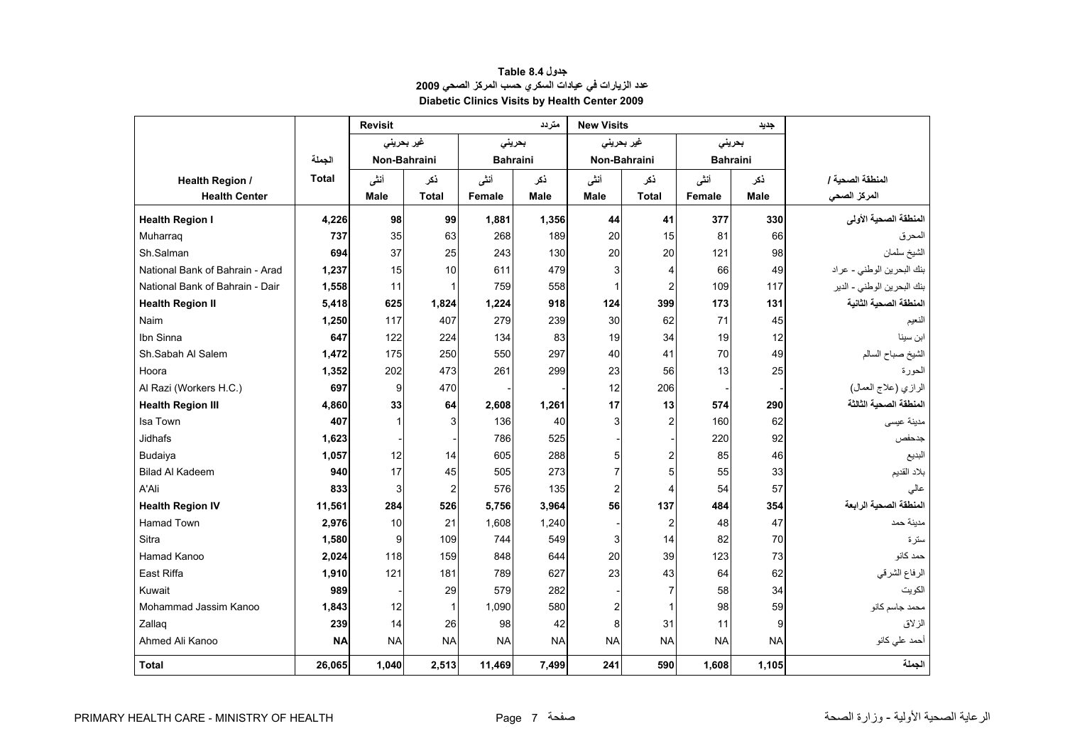<span id="page-7-0"></span>

|                                 |              | <b>Revisit</b> |                |                 | متر دد      | <b>New Visits</b> |                         |                 | جديد      |                            |
|---------------------------------|--------------|----------------|----------------|-----------------|-------------|-------------------|-------------------------|-----------------|-----------|----------------------------|
|                                 |              | غير بحريني     |                | بحريني          |             |                   | غير بحريني              | بحريني          |           |                            |
|                                 | الجملة       | Non-Bahraini   |                | <b>Bahraini</b> |             | Non-Bahraini      |                         | <b>Bahraini</b> |           |                            |
| <b>Health Region /</b>          | <b>Total</b> | أننى           | ذكر            | أنشى            | ذكر         | أننى              | ذكر                     | أننى            | نكر       | المنطقة الصحبة /           |
| <b>Health Center</b>            |              | Male           | <b>Total</b>   | Female          | <b>Male</b> | <b>Male</b>       | <b>Total</b>            | Female          | Male      | المركز الصحى               |
| <b>Health Region I</b>          | 4.226        | 98             | 99             | 1,881           | 1,356       | 44                | 41                      | 377             | 330       | المنطقة الصحية الأولى      |
| Muharrag                        | 737          | 35             | 63             | 268             | 189         | 20                | 15                      | 81              | 66        | لمحرق                      |
| Sh.Salman                       | 694          | 37             | 25             | 243             | 130         | 20                | 20                      | 121             | 98        | الشيخ سلمان                |
| National Bank of Bahrain - Arad | 1,237        | 15             | 10             | 611             | 479         | 3                 | 4                       | 66              | 49        | بنك البحرين الوطني - عراد  |
| National Bank of Bahrain - Dair | 1,558        | 11             | $\mathbf{1}$   | 759             | 558         | $\mathbf{1}$      | $\overline{2}$          | 109             | 117       | بنك البحرين الوطني - الدير |
| <b>Health Region II</b>         | 5,418        | 625            | 1,824          | 1,224           | 918         | 124               | 399                     | 173             | 131       | المنطقة الصحية الثانية     |
| Naim                            | 1,250        | 117            | 407            | 279             | 239         | 30                | 62                      | 71              | 45        | النعيم                     |
| Ibn Sinna                       | 647          | 122            | 224            | 134             | 83          | 19                | 34                      | 19              | 12        | ابن سينا                   |
| Sh.Sabah Al Salem               | 1,472        | 175            | 250            | 550             | 297         | 40                | 41                      | 70              | 49        | الشيخ صباح السالم          |
| Hoora                           | 1,352        | 202            | 473            | 261             | 299         | 23                | 56                      | 13              | 25        | الحورة                     |
| Al Razi (Workers H.C.)          | 697          | 9              | 470            |                 |             | 12                | 206                     |                 |           | الرازي (علاج العمال)       |
| <b>Health Region III</b>        | 4,860        | 33             | 64             | 2,608           | 1,261       | 17                | 13                      | 574             | 290       | المنطقة الصحية الثالثة     |
| Isa Town                        | 407          | 1              | 3              | 136             | 40          | 3                 | $\overline{a}$          | 160             | 62        | مدينة عيسى                 |
| Jidhafs                         | 1,623        |                |                | 786             | 525         |                   |                         | 220             | 92        | جدحفص                      |
| Budaiya                         | 1,057        | 12             | 14             | 605             | 288         | 5                 | $\overline{\mathbf{c}}$ | 85              | 46        | البديع                     |
| <b>Bilad Al Kadeem</b>          | 940          | 17             | 45             | 505             | 273         | $\overline{7}$    | 5                       | 55              | 33        | بلاد القديم                |
| A'Ali                           | 833          | 3              | $\overline{2}$ | 576             | 135         | $\boldsymbol{2}$  | 4                       | 54              | 57        | عالي                       |
| <b>Health Region IV</b>         | 11,561       | 284            | 526            | 5,756           | 3,964       | 56                | 137                     | 484             | 354       | المنطقة الصحية الرابعة     |
| <b>Hamad Town</b>               | 2,976        | 10             | 21             | 1,608           | 1,240       |                   | $\overline{2}$          | 48              | 47        | مدبنة حمد                  |
| Sitra                           | 1,580        | 9              | 109            | 744             | 549         | 3                 | 14                      | 82              | 70        | ستر ۃ                      |
| Hamad Kanoo                     | 2,024        | 118            | 159            | 848             | 644         | 20                | 39                      | 123             | 73        | حمد كانو                   |
| East Riffa                      | 1,910        | 121            | 181            | 789             | 627         | 23                | 43                      | 64              | 62        | الرفاع الشرقي              |
| Kuwait                          | 989          |                | 29             | 579             | 282         |                   | $\overline{7}$          | 58              | 34        | الكويت                     |
| Mohammad Jassim Kanoo           | 1,843        | 12             | $\mathbf{1}$   | 1,090           | 580         | $\overline{c}$    | $\mathbf{1}$            | 98              | 59        | محمد جاسم كانو             |
| Zallaq                          | 239          | 14             | 26             | 98              | 42          | 8                 | 31                      | 11              | 9         | الز لاق                    |
| Ahmed Ali Kanoo                 | <b>NA</b>    | <b>NA</b>      | <b>NA</b>      | <b>NA</b>       | <b>NA</b>   | <b>NA</b>         | <b>NA</b>               | <b>NA</b>       | <b>NA</b> | أحمد على كانو              |
| Total                           | 26,065       | 1,040          | 2,513          | 11,469          | 7,499       | 241               | 590                     | 1,608           | 1,105     | الجملة                     |

#### **جدول 8.4 Table عدد الزيارات في عيادات السكري حسب المرآز الصحي <sup>2009</sup> Diabetic Clinics Visits by Health Center 2009**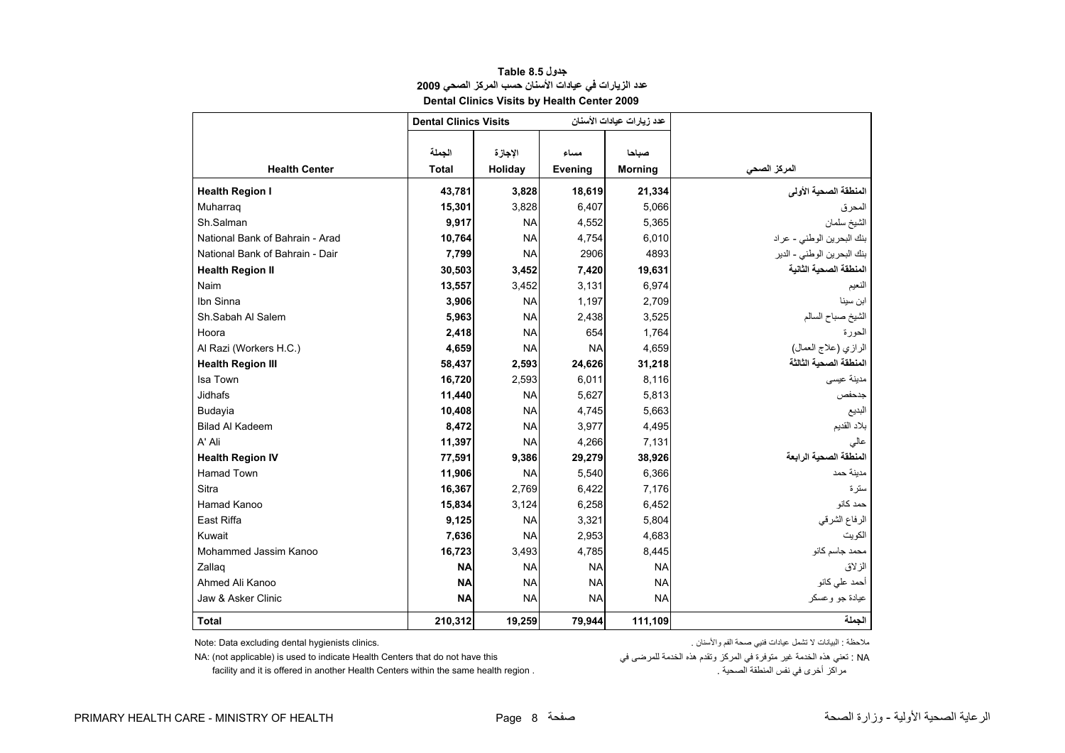<span id="page-8-0"></span>

|                                 |                              | Dental Clinics Visits by Health Center 2009 |                 |                           |                            |
|---------------------------------|------------------------------|---------------------------------------------|-----------------|---------------------------|----------------------------|
|                                 | <b>Dental Clinics Visits</b> |                                             |                 | عدد زيارات عيادات الأسنان |                            |
| <b>Health Center</b>            | الجملة<br><b>Total</b>       | الإجازة<br>Holiday                          | مساء<br>Evening | صباحا<br><b>Morning</b>   | المركز الصحى               |
| <b>Health Region I</b>          | 43,781                       | 3,828                                       | 18,619          | 21,334                    | المنطقة الصحية الأولى      |
| Muharrag                        | 15,301                       | 3,828                                       | 6,407           | 5,066                     |                            |
| Sh.Salman                       | 9,917                        | <b>NA</b>                                   | 4,552           | 5,365                     | المحرق<br>الشيخ سلمان      |
| National Bank of Bahrain - Arad | 10,764                       | <b>NA</b>                                   | 4,754           | 6,010                     | بنك البحرين الوطني - عراد  |
| National Bank of Bahrain - Dair | 7,799                        | <b>NA</b>                                   | 2906            | 4893                      | بنك البحرين الوطني - الدير |
| <b>Health Region II</b>         | 30,503                       | 3,452                                       | 7,420           | 19,631                    | المنطقة الصحية الثانية     |
| Naim                            | 13,557                       | 3,452                                       | 3,131           | 6,974                     | النعيم                     |
| Ibn Sinna                       | 3,906                        | <b>NA</b>                                   | 1,197           | 2,709                     | ابن سينا                   |
| Sh.Sabah Al Salem               | 5,963                        | <b>NA</b>                                   | 2,438           | 3,525                     | الشيخ صباح السالم          |
| Hoora                           | 2,418                        | <b>NA</b>                                   | 654             | 1,764                     | الحور ۃ                    |
| Al Razi (Workers H.C.)          | 4,659                        | <b>NA</b>                                   | <b>NA</b>       | 4,659                     | الرازي (علاج العمال)       |
| <b>Health Region III</b>        | 58,437                       | 2,593                                       | 24,626          | 31,218                    | المنطقة الصحية الثالثة     |
| Isa Town                        | 16,720                       | 2,593                                       | 6,011           | 8,116                     | مدينة عيسى                 |
| Jidhafs                         | 11,440                       | <b>NA</b>                                   | 5,627           | 5,813                     | جدحفص                      |
| Budayia                         | 10,408                       | <b>NA</b>                                   | 4,745           | 5,663                     | البديع                     |
| <b>Bilad Al Kadeem</b>          | 8,472                        | <b>NA</b>                                   | 3,977           | 4,495                     | بلاد القديم                |
| A' Ali                          | 11,397                       | <b>NA</b>                                   | 4,266           | 7,131                     | عالى                       |
| <b>Health Region IV</b>         | 77,591                       | 9,386                                       | 29,279          | 38,926                    | المنطقة الصحية الرابعة     |
| <b>Hamad Town</b>               | 11,906                       | <b>NA</b>                                   | 5,540           | 6,366                     | مدينة حمد                  |
| Sitra                           | 16,367                       | 2,769                                       | 6,422           | 7,176                     | سترة                       |
| Hamad Kanoo                     | 15,834                       | 3,124                                       | 6,258           | 6,452                     | حمد کانو                   |
| East Riffa                      | 9,125                        | <b>NA</b>                                   | 3,321           | 5,804                     | الرفاع الشرقي              |
| Kuwait                          | 7,636                        | <b>NA</b>                                   | 2,953           | 4,683                     | الكويت                     |
| Mohammed Jassim Kanoo           | 16,723                       | 3,493                                       | 4,785           | 8,445                     | محمد جاسم كانو             |
| Zallag                          | <b>NA</b>                    | <b>NA</b>                                   | <b>NA</b>       | <b>NA</b>                 | الز لاق                    |
| Ahmed Ali Kanoo                 | <b>NA</b>                    | <b>NA</b>                                   | <b>NA</b>       | <b>NA</b>                 | أحمد على كانو              |
| Jaw & Asker Clinic              | <b>NA</b>                    | <b>NA</b>                                   | <b>NA</b>       | <b>NA</b>                 | عيادة جو وعسكر             |
|                                 |                              |                                             |                 |                           |                            |

#### **جدول 8.5 Table عدد الزيارات في عيادات الأسنان حسب المرآز الصحي <sup>2009</sup> Dental Clinics Visits by Health Center 2009**

Note: Data excluding dental hygienists clinics.

ملاحظة : البيانات لا تشمل عيادات فنيي صحة الفم والأسنان .

NA: (not applicable) is used to indicate Health Centers that do not have this : تعني هذه الخدمة هذه وتقدم هذه الخدمة للمرضى في المركز وتقدم هذه الخدمة للمرضى في المركز وتقدم هذه المحدمة للمرضى في الخدمة الخدمة هذه الخدمة

facility and it is offered in another Health Centers within the same health region .

**الجملة 111,109 79,944 19,259 210,312 Total**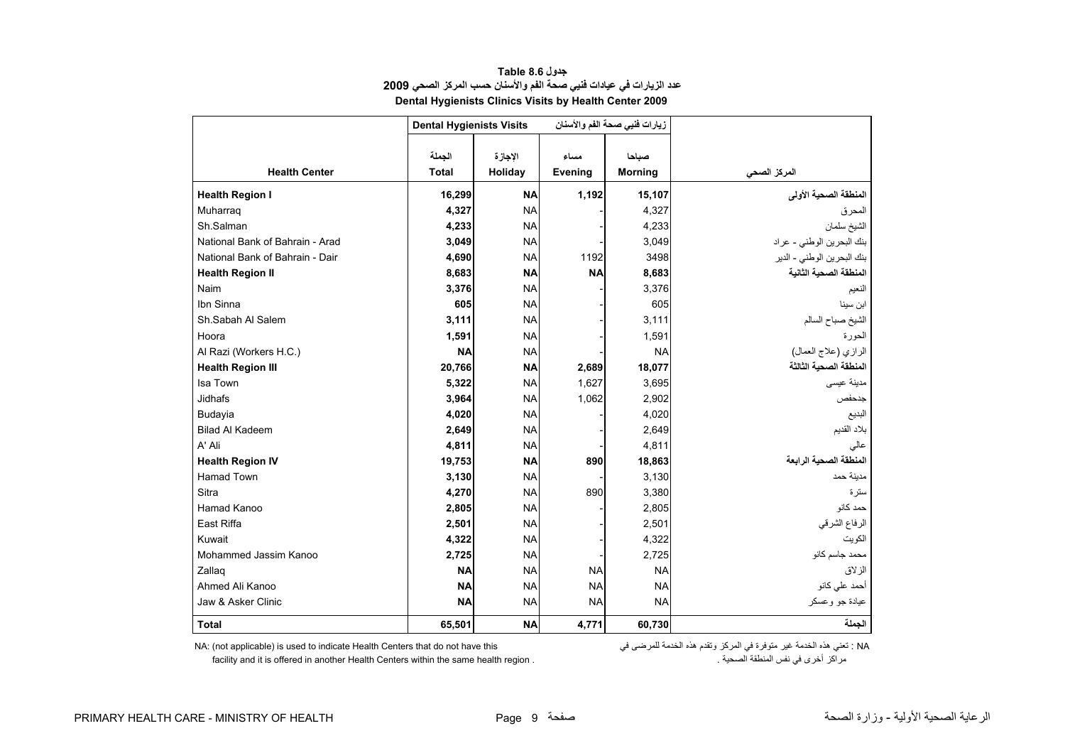<span id="page-9-0"></span>

|                                 | <b>Dental Hygienists Visits</b> |                    |                 | زيارات فنيي صحة الفم والأسنان |                            |
|---------------------------------|---------------------------------|--------------------|-----------------|-------------------------------|----------------------------|
| <b>Health Center</b>            | الجملة<br><b>Total</b>          | الإجازة<br>Holiday | مساء<br>Evening | صباحا<br><b>Morning</b>       | المركز الصحي               |
| <b>Health Region I</b>          | 16,299                          | <b>NA</b>          | 1,192           | 15,107                        | المنطقة الصحية الأولى      |
| Muharrag                        | 4,327                           | <b>NA</b>          |                 | 4,327                         | المحرق                     |
| Sh.Salman                       | 4,233                           | <b>NA</b>          |                 | 4,233                         | الشيخ سلمان                |
| National Bank of Bahrain - Arad | 3,049                           | <b>NA</b>          |                 | 3,049                         | بنك البحرين الوطني - عراد  |
| National Bank of Bahrain - Dair | 4,690                           | <b>NA</b>          | 1192            | 3498                          | بنك البحرين الوطني - الدير |
| <b>Health Region II</b>         | 8,683                           | <b>NA</b>          | <b>NA</b>       | 8,683                         | المنطقة الصحية الثانية     |
| Naim                            | 3,376                           | <b>NA</b>          |                 | 3,376                         | النعيم                     |
| Ibn Sinna                       | 605                             | <b>NA</b>          |                 | 605                           | ابن سينا                   |
| Sh.Sabah Al Salem               | 3,111                           | <b>NA</b>          |                 | 3,111                         | الشيخ صباح السالم          |
| Hoora                           | 1,591                           | <b>NA</b>          |                 | 1,591                         | الحورة                     |
| Al Razi (Workers H.C.)          | <b>NA</b>                       | <b>NA</b>          |                 | <b>NA</b>                     | الرازي (علاج العمال)       |
| <b>Health Region III</b>        | 20,766                          | <b>NA</b>          | 2,689           | 18,077                        | المنطقة الصحية الثالثة     |
| Isa Town                        | 5,322                           | <b>NA</b>          | 1,627           | 3,695                         | مدينة عيسى                 |
| Jidhafs                         | 3,964                           | <b>NA</b>          | 1,062           | 2,902                         | جدحفص                      |
| Budayia                         | 4,020                           | <b>NA</b>          |                 | 4,020                         | البديع                     |
| <b>Bilad Al Kadeem</b>          | 2,649                           | <b>NA</b>          |                 | 2,649                         | بلاد القديم                |
| A' Ali                          | 4,811                           | <b>NA</b>          |                 | 4,811                         | عالى                       |
| <b>Health Region IV</b>         | 19,753                          | <b>NA</b>          | 890             | 18,863                        | المنطقة الصحية الرابعة     |
| <b>Hamad Town</b>               | 3,130                           | <b>NA</b>          |                 | 3,130                         | مدبنة حمد                  |
| Sitra                           | 4,270                           | <b>NA</b>          | 890             | 3,380                         | ستر ۃ                      |
| Hamad Kanoo                     | 2,805                           | <b>NA</b>          |                 | 2,805                         | حمد کانو                   |
| East Riffa                      | 2,501                           | <b>NA</b>          |                 | 2,501                         | الرفاع الشرقي              |
| Kuwait                          | 4,322                           | <b>NA</b>          |                 | 4,322                         | الكويت                     |
| Mohammed Jassim Kanoo           | 2,725                           | <b>NA</b>          |                 | 2,725                         | محمد جاسم كانو             |
| Zallag                          | <b>NA</b>                       | <b>NA</b>          | <b>NA</b>       | <b>NA</b>                     | الز لاق                    |
| Ahmed Ali Kanoo                 | <b>NA</b>                       | <b>NA</b>          | <b>NA</b>       | <b>NA</b>                     | أحمد على كانو              |
| Jaw & Asker Clinic              | <b>NA</b>                       | <b>NA</b>          | <b>NA</b>       | <b>NA</b>                     | عيادة جو وعسكر             |
| <b>Total</b>                    | 65,501                          | <b>NA</b>          | 4,771           | 60,730                        | الجملة                     |

**جدول 8.6 Table عدد الزيارات في عيادات فنيي صحة الفم والأسنان حسب المرآز الصحي<sup>2009</sup> Dental Hygienists Clinics Visits by Health Center 2009** 

NA: (not applicable) is used to indicate Health Centers that do not have this فتني هذه الخدمة المرضى المركز في المركز وتقدم هذه الخدمة للمرضى في المركز في المرضى الخدمة للمرضى في المرضى في<br>مراكز أخرى في نفس المنطقة الصحية

facility and it is offered in another Health Centers within the same health region .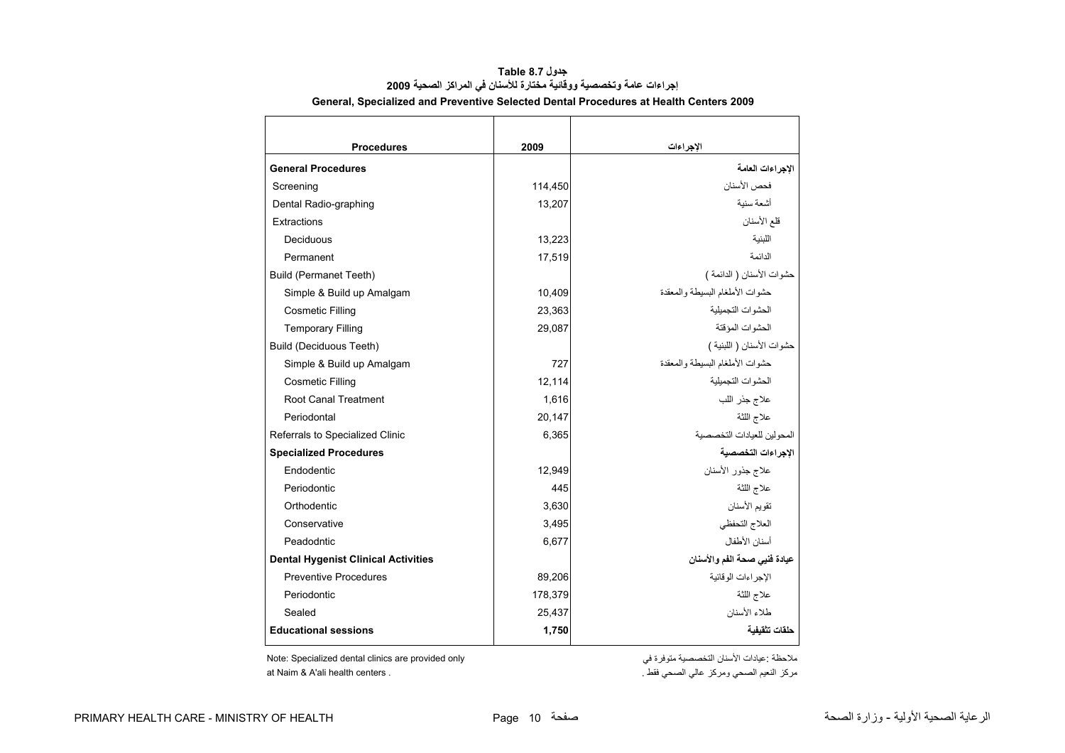<span id="page-10-0"></span>

| <b>Procedures</b>                          | 2009    | الإجراءات                       |
|--------------------------------------------|---------|---------------------------------|
| <b>General Procedures</b>                  |         | الاجر اءات العامة               |
| Screening                                  | 114,450 | فحص الأسنان                     |
| Dental Radio-graphing                      | 13,207  | أشعة سنبة                       |
| Extractions                                |         | قلع الأسنان                     |
| Deciduous                                  | 13,223  | اللينية                         |
| Permanent                                  | 17,519  | الدائمة                         |
| <b>Build (Permanet Teeth)</b>              |         | حشوات الأسنان ( الدائمة )       |
| Simple & Build up Amalgam                  | 10,409  | حشوات الأملغام البسيطة والمعقدة |
| <b>Cosmetic Filling</b>                    | 23,363  | الحشوات التجمبلبة               |
| <b>Temporary Filling</b>                   | 29,087  | الحشوات المؤقتة                 |
| <b>Build (Deciduous Teeth)</b>             |         | حشوات الأسنان ( اللبنية )       |
| Simple & Build up Amalgam                  | 727     | حشوات الأملغام البسيطة والمعقدة |
| <b>Cosmetic Filling</b>                    | 12,114  | الحشوات التجمبلبة               |
| <b>Root Canal Treatment</b>                | 1,616   | علاج جذر اللب                   |
| Periodontal                                | 20,147  | علاج اللثة                      |
| Referrals to Specialized Clinic            | 6,365   | المحولين للعيادات التخصصية      |
| <b>Specialized Procedures</b>              |         | الإجراءات التخصصية              |
| Endodentic                                 | 12,949  | علاج جذور الأسنان               |
| Periodontic                                | 445     | علاج اللثة                      |
| Orthodentic                                | 3,630   | تقويم الأسنان                   |
| Conservative                               | 3,495   | العلاج التحفظي                  |
| Peadodntic                                 | 6,677   | أسنان الأطفال                   |
| <b>Dental Hygenist Clinical Activities</b> |         | عيادة فنيي صحة الفم والأسنان    |
| <b>Preventive Procedures</b>               | 89,206  | الإجر اءات الو قائية            |
| Periodontic                                | 178,379 | علاج اللثة                      |
| Sealed                                     | 25,437  | طلاء الأسنان                    |
| <b>Educational sessions</b>                | 1,750   | حلقات تثقيفية                   |

#### **جدول 8.7 Table إجراءات عامة وتخصصية ووقائية مختارة للأسنان في المراآز الصحية <sup>2009</sup> General, Specialized and Preventive Selected Dental Procedures at Health Centers 2009**

ملاحظة :عيادات الأسنان التخصصية متوفرة في متوفرة التخصصية متوفرة التخصصية متوفرة التخصصية متوفرة المجموعية مت مركز النعيم الصحي ومركز عالي الصحي فقط .<br>مركز النعيم الصحي ومركز عالي الصحي فقط .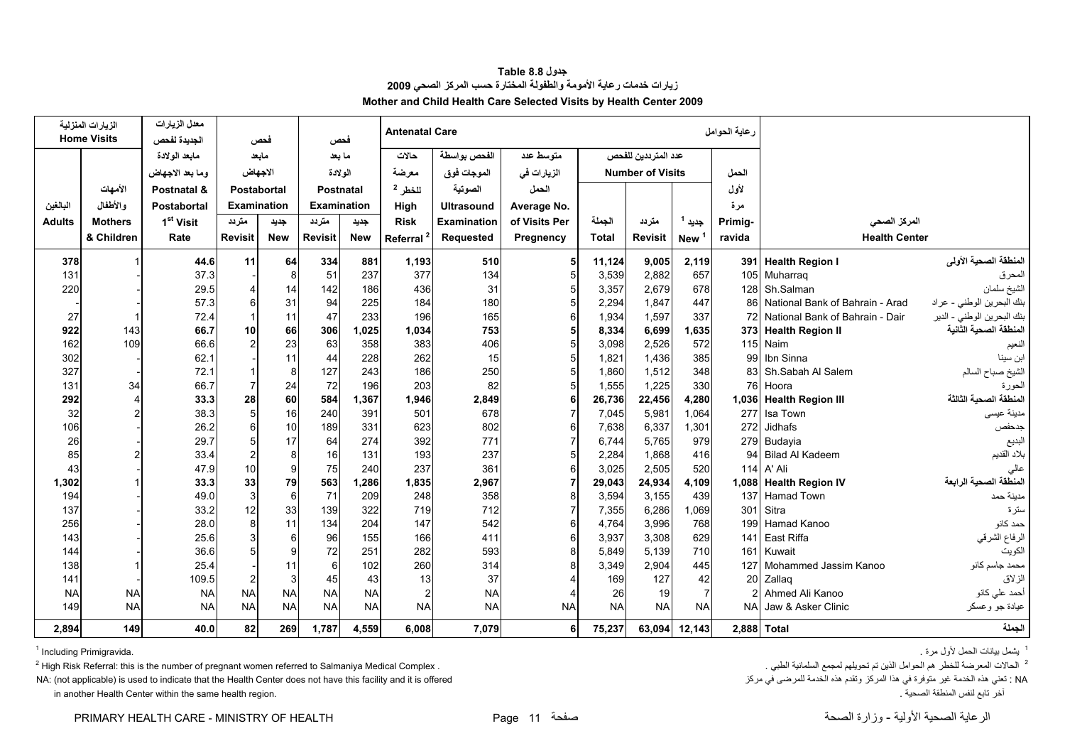<span id="page-11-0"></span>

|           | الزيارات المنزلية  | معدل الزيارات         |                |             |                |                  | <b>Antenatal Care</b> |                    |               |              |                         |                   | رعاية الحوامل |                                    |                            |
|-----------|--------------------|-----------------------|----------------|-------------|----------------|------------------|-----------------------|--------------------|---------------|--------------|-------------------------|-------------------|---------------|------------------------------------|----------------------------|
|           | <b>Home Visits</b> | الجديدة لفحص          |                | فحص         |                | فحص              |                       |                    |               |              |                         |                   |               |                                    |                            |
|           |                    | مابعد الولادة         |                | مابعد       |                | ما بعد           | حالات                 | الفحص بواسطة       | متوسط عدد     |              | عدد المترددين للفحص     |                   |               |                                    |                            |
|           |                    | وما بعد الاجهاض       |                | الاجهاض     | الولادة        |                  | معرضة                 | الموجات فوق        | الزيارات في   |              | <b>Number of Visits</b> |                   | الحمل         |                                    |                            |
|           | الأمهات            | Postnatal &           |                | Postabortal |                | <b>Postnatal</b> | للخطر 2               | الصوتية            | الحمل         |              |                         | لأول              |               |                                    |                            |
| البالغين  | والأطفال           | <b>Postabortal</b>    |                | Examination |                | Examination      | High                  | <b>Ultrasound</b>  | Average No.   |              |                         |                   | مرة           |                                    |                            |
| Adults    | <b>Mothers</b>     | 1 <sup>st</sup> Visit | متردد          | جديد        | متردد          | جديد             | <b>Risk</b>           | <b>Examination</b> | of Visits Per | الجملة       | متردد                   | جديد <sup>1</sup> | Primig-       | المركز الصحى                       |                            |
|           | & Children         | Rate                  | <b>Revisit</b> | <b>New</b>  | <b>Revisit</b> | <b>New</b>       | Referral <sup>2</sup> | Requested          | Pregnency     | <b>Total</b> | <b>Revisit</b>          | New <sup>1</sup>  | ravida        | <b>Health Center</b>               |                            |
| 378       |                    | 44.6                  | 11             | 64          | 334            | 881              | 1,193                 | 510                |               | 11,124       | 9,005                   | 2,119             |               | 391 Health Region I                | المنطقة الصحية الأولى      |
| 131       |                    | 37.3                  |                | 8           | 51             | 237              | 377                   | 134                |               | 3,539        | 2,882                   | 657               |               | 105 Muharraq                       | المحرق                     |
| 220       |                    | 29.5                  |                | 14          | 142            | 186              | 436                   | 31                 |               | 3,357        | 2,679                   | 678               |               | 128 Sh.Salman                      | الشيخ سلمان                |
|           |                    | 57.3                  |                | 31          | 94             | 225              | 184                   | 180                |               | 2,294        | 1,847                   | 447               |               | 86 National Bank of Bahrain - Arad | بنك البحرين الوطني - عراد  |
| 27        | 1                  | 72.4                  |                | 11          | 47             | 233              | 196                   | 165                |               | 1,934        | 1.597                   | 337               |               | 72 National Bank of Bahrain - Dair | بنك البحرين الوطني - الدير |
| 922       | 143                | 66.7                  | 10             | 66          | 306            | 1,025            | 1,034                 | 753                |               | 8,334        | 6,699                   | 1,635             |               | 373 Health Region II               | المنطقة الصحية الثانية     |
| 162       | 109                | 66.6                  |                | 23          | 63             | 358              | 383                   | 406                |               | 3,098        | 2,526                   | 572               |               | 115 Naim                           | النعيم                     |
| 302       |                    | 62.1                  |                | 11          | 44             | 228              | 262                   | 15                 |               | 1,821        | 1,436                   | 385               |               | 99 Ibn Sinna                       | ابن سينا                   |
| 327       |                    | 72.1                  |                | 8           | 127            | 243              | 186                   | 250                |               | 1,860        | 1,512                   | 348               |               | 83 Sh.Sabah Al Salem               | الشيخ صباح السالم          |
| 131       | 34                 | 66.7                  |                | 24          | 72             | 196              | 203                   | 82                 |               | 1,555        | 1,225                   | 330               |               | 76 Hoora                           | الحورة                     |
| 292       | 4                  | 33.3                  | 28             | 60          | 584            | 1,367            | 1,946                 | 2,849              |               | 26,736       | 22,456                  | 4,280             |               | 1,036 Health Region III            | المنطقة الصحية الثالثة     |
| 32        | $\overline{2}$     | 38.3                  |                | 16          | 240            | 391              | 501                   | 678                |               | 7,045        | 5,981                   | 1.064             |               | 277 Isa Town                       | مدينة عيسى                 |
| 106       |                    | 26.2                  |                | 10          | 189            | 331              | 623                   | 802                |               | 7,638        | 6,337                   | 1.301             |               | 272 Jidhafs                        | جدحفص                      |
| 26        |                    | 29.7                  |                | 17          | 64             | 274              | 392                   | 771                |               | 6,744        | 5.765                   | 979               |               | 279 Budayia                        | البديع                     |
| 85        |                    | 33.4                  |                | 8           | 16             | 131              | 193                   | 237                |               | 2,284        | 1,868                   | 416               |               | 94 Bilad Al Kadeem                 | بلاد القديم                |
| 43        |                    | 47.9                  | 10             | 9           | 75             | 240              | 237                   | 361                |               | 3,025        | 2,505                   | 520               |               | 114 A' Ali                         | عالى                       |
| 1,302     |                    | 33.3                  | 33             | 79          | 563            | 1,286            | 1,835                 | 2,967              |               | 29,043       | 24,934                  | 4,109             |               | 1,088 Health Region IV             | المنطقة الصحية الرابعة     |
| 194       |                    | 49.0                  |                | 6           | 71             | 209              | 248                   | 358                |               | 3,594        | 3,155                   | 439               | 137           | <b>Hamad Town</b>                  | مدينة حمد                  |
| 137       |                    | 33.2                  | 12             | 33          | 139            | 322              | 719                   | 712                |               | 7,355        | 6,286                   | 1.069             | 301           | Sitra                              | ستر ۃ                      |
| 256       |                    | 28.0                  |                | 11          | 134            | 204              | 147                   | 542                |               | 4,764        | 3,996                   | 768               | 199           | Hamad Kanoo                        | حمد کانو                   |
| 143       |                    | 25.6                  |                | 6           | 96             | 155              | 166                   | 411                |               | 3,937        | 3,308                   | 629               | 141           | East Riffa                         | الرفاع الشرقي              |
| 144       |                    | 36.6                  |                | 9           | 72             | 251              | 282                   | 593                |               | 5,849        | 5,139                   | 710               |               | 161 Kuwait                         | الكويت                     |
| 138       |                    | 25.4                  |                | 11          | 6              | 102              | 260                   | 314                |               | 3,349        | 2.904                   | 445               | 127           | Mohammed Jassim Kanoo              | محمد جاسم كانو             |
| 141       |                    | 109.5                 |                | 3           | 45             | 43               | 13                    | 37                 |               | 169          | 127                     | 42                |               | 20 Zallaq                          | الزلاق                     |
| <b>NA</b> | <b>NA</b>          | <b>NA</b>             | <b>NA</b>      | <b>NA</b>   | <b>NA</b>      | <b>NA</b>        | $\overline{2}$        | <b>NA</b>          |               | 26           | 19                      | $\overline{7}$    |               | Ahmed Ali Kanoo                    | أحمد علي كانو              |
| 149       | <b>NA</b>          | <b>NA</b>             | <b>NA</b>      | <b>NA</b>   | <b>NA</b>      | <b>NA</b>        | <b>NA</b>             | <b>NA</b>          | <b>NA</b>     | <b>NA</b>    | <b>NA</b>               | <b>NA</b>         |               | NA Jaw & Asker Clinic              | عيادة جو وعسكر             |

#### **جدول 8.8 Table زيارات خدمات رعاية الأمومة والطفولة المختارة حسب المرآز الصحي <sup>2009</sup> Mother and Child Health Care Selected Visits by Health Center 2009**

يشمل بيانات الحمل لأول مرة . .Primigravida Including 1

بالحالات المعرضة للخطر هم الحوامل الذين تم تحويلهم لمجمع السلمانية الطبي .<br>2 - الطبي الصلاح ونوفرة في هذا المدكر وتقدم هذه الخدمة تحويلهم المجمع السلمانية لمجمع السلمانية لمجمع السلمانية الطبي المجمع المجائل المجاز وتقدم تعني هذه الخدمة غير متوفرة في هذا المركز وتقدم هذه الخدمة للمرضى في مركز من الخدمة للمرضى في مركز من المرضى في مركز في مركز المرشد المرشد وتقدم هذه الخدمة للمرضى في مركز من المرتفع المرتفع الحدمة الخدمة الخدمة الحدمة الخد

in another Health Center within the same health region.

PRIMARY HEALTH CARE - MINISTRY OF HEALTH Page 11 صفحة الصحة وزارة - الأولية الصحية الرعاية

149 | 149 | 140.0 | 82 | 1,787 | 1,787 | 6,008 | 7,079 | 6 | 75,237 | 63,094 | 12,143 | 2,888 | Total

<sup>1</sup> يشمل بيانات الحمل لأول مرة <sub>.</sub>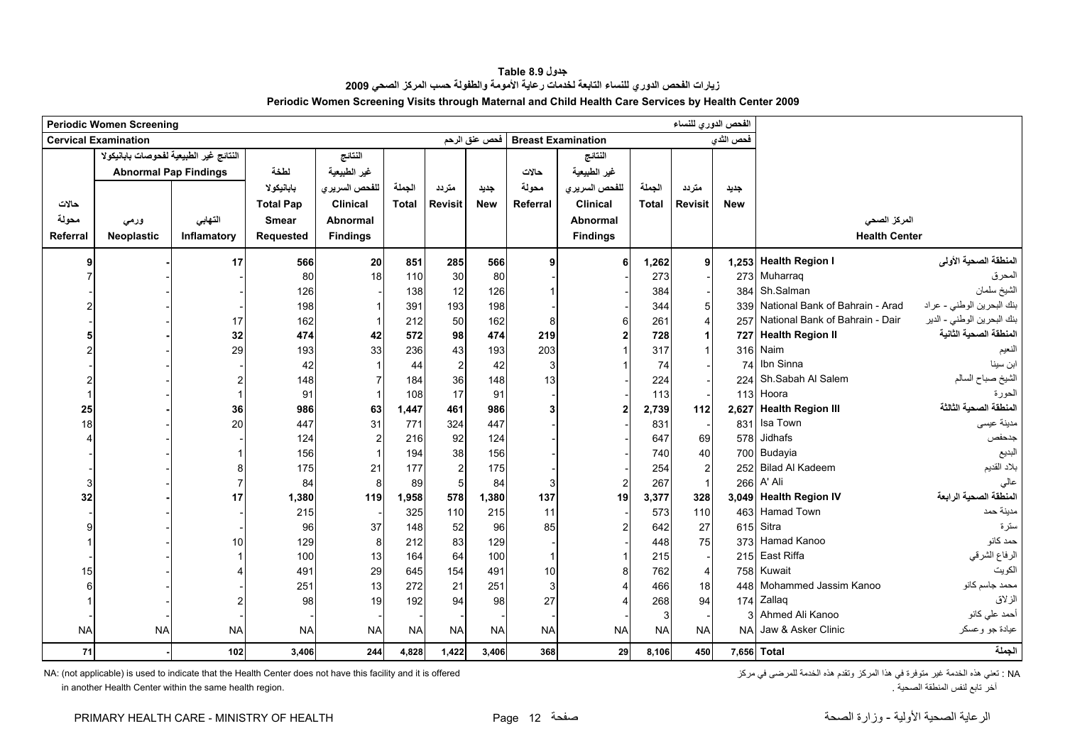<span id="page-12-0"></span>

|           | <b>Periodic Women Screening</b>         |             |                  |                 |              |                |               |                 |                           |              | الفحص الدوري للنساء |            |                                 |                            |
|-----------|-----------------------------------------|-------------|------------------|-----------------|--------------|----------------|---------------|-----------------|---------------------------|--------------|---------------------|------------|---------------------------------|----------------------------|
|           | <b>Cervical Examination</b>             |             |                  |                 |              |                | فحص عنق الرحم |                 | <b>Breast Examination</b> |              |                     | فحص الثدى  |                                 |                            |
|           | النتائج غير الطبيعية لفحوصات بابانيكولا |             |                  | النتائج         |              |                |               |                 | النتائج                   |              |                     |            |                                 |                            |
|           | <b>Abnormal Pap Findings</b>            |             | لطخة             | غير الطبيعية    |              |                |               | حالات           | غير الطبيعية              |              |                     |            |                                 |                            |
|           |                                         |             | بابانيكولا       | للفحص السريري   | الجملة       | متردد          | جديد          | محولة           | للفحص السريري             | الجملة       | متردد               | جديد       |                                 |                            |
| حالات     |                                         |             | <b>Total Pap</b> | <b>Clinical</b> | <b>Total</b> | <b>Revisit</b> | <b>New</b>    | <b>Referral</b> | <b>Clinical</b>           | <b>Total</b> | <b>Revisit</b>      | <b>New</b> |                                 |                            |
| محولة     | ورمي                                    | التهابي     | <b>Smear</b>     | <b>Abnormal</b> |              |                |               |                 | <b>Abnormal</b>           |              |                     |            | المركز الصحي                    |                            |
| Referral  | Neoplastic                              | Inflamatory | <b>Requested</b> | <b>Findings</b> |              |                |               |                 | <b>Findings</b>           |              |                     |            | <b>Health Center</b>            |                            |
|           |                                         |             |                  |                 |              |                |               |                 |                           |              |                     |            |                                 |                            |
|           |                                         | 17          | 566              | 20              | 851          | 285            | 566           |                 | 6                         | 1,262        | 9                   |            | 1,253 Health Region I           | المنطقة الصحية الأولى      |
|           |                                         |             | 80               | 18              | 110          | 30             | 80            |                 |                           | 273          |                     | 273        | Muharraq                        | المحرق                     |
|           |                                         |             | 126              |                 | 138          | 12             | 126           |                 |                           | 384          |                     | 384        | Sh.Salman                       | الشيخ سلمان                |
|           |                                         |             | 198              |                 | 391          | 193            | 198           |                 |                           | 344          |                     | 339        | National Bank of Bahrain - Arad | بنك البحرين الوطني - عراد  |
|           |                                         | 17          | 162              | $\mathbf{1}$    | 212          | 50             | 162           | 8               |                           | 261          | 4                   | 257        | National Bank of Bahrain - Dair | بنك البحرين الوطني - الدير |
|           |                                         | 32          | 474              | 42              | 572          | 98             | 474           | 219             |                           | 728          |                     | 727        | <b>Health Region II</b>         | المنطقة الصحية الثانية     |
|           |                                         | 29          | 193              | 33              | 236          | 43             | 193           | 203             |                           | 317          |                     | 316        | Naim                            | النعيم                     |
|           |                                         |             | 42               |                 | 44           | $\overline{2}$ | 42            | 3               |                           | 74           |                     | 74         | Ibn Sinna                       | ابن سينا                   |
|           |                                         |             | 148              | $\overline{7}$  | 184          | 36             | 148           | 13              |                           | 224          |                     | 224        | Sh.Sabah Al Salem               | الشيخ صباح السالم          |
|           |                                         |             | 91               |                 | 108          | 17             | 91            |                 |                           | 113          |                     | 113        | Hoora                           | الحورة                     |
| 25        |                                         | 36          | 986              | 63              | 1,447        | 461            | 986           |                 |                           | 2,739        | 112                 | 2,627      | <b>Health Region III</b>        | المنطقة الصحية الثالثة     |
| 18        |                                         | 20          | 447              | 31              | 771          | 324            | 447           |                 |                           | 831          |                     | 831        | Isa Town                        | مدينة عيسى                 |
|           |                                         |             | 124              | $\overline{c}$  | 216          | 92             | 124           |                 |                           | 647          | 69                  | 578        | Jidhafs                         | جدحفص                      |
|           |                                         |             | 156              | $\mathbf{1}$    | 194          | 38             | 156           |                 |                           | 740          | 40                  |            | 700 Budayia                     | البديع                     |
|           |                                         |             | 175              | 21              | 177          | $\overline{2}$ | 175           |                 |                           | 254          | $\overline{2}$      |            | 252 Bilad Al Kadeem             | بلاد القديم                |
|           |                                         |             | 84               | 8               | 89           | 5              | 84            | 3               |                           | 267          | $\mathbf{1}$        | 266        | A' Ali                          | عالى                       |
| 32        |                                         | 17          | 1,380            | 119             | 1,958        | 578            | 1,380         | 137             | 19                        | 3,377        | 328                 |            | 3,049 Health Region IV          | المنطقة الصحية الرابعة     |
|           |                                         |             | 215              |                 | 325          | 110            | 215           | 11              |                           | 573          | 110                 |            | 463 Hamad Town                  | مدينة حمد                  |
|           |                                         |             | 96               | 37              | 148          | 52             | 96            | 85              |                           | 642          | 27                  | 615        | Sitra                           | سترة                       |
|           |                                         | 10          | 129              | 8               | 212          | 83             | 129           |                 |                           | 448          | 75                  | 373        | Hamad Kanoo                     | حمد كانو                   |
|           |                                         |             | 100              | 13              | 164          | 64             | 100           |                 |                           | 215          |                     | 215        | East Riffa                      | الرفاع الشرقي              |
| 15        |                                         |             | 491              | 29              | 645          | 154            | 491           | 10              | 8                         | 762          | 4                   | 758        | Kuwait                          | الكويت                     |
|           |                                         |             | 251              | 13              | 272          | 21             | 251           | 3               |                           | 466          | 18                  | 448        | Mohammed Jassim Kanoo           | محمد جاسم كانو             |
|           |                                         |             | 98               | 19              | 192          | 94             | 98            | 27              |                           | 268          | 94                  | 174        | Zallaq                          | الزلاق                     |
|           |                                         |             |                  |                 |              |                |               |                 |                           | 3            |                     | 3          | Ahmed Ali Kanoo                 | أحمد على كانو              |
| <b>NA</b> | <b>NA</b>                               | <b>NA</b>   | <b>NA</b>        | <b>NA</b>       | <b>NA</b>    | <b>NA</b>      | <b>NA</b>     | <b>NA</b>       | <b>NA</b>                 | <b>NA</b>    | <b>NA</b>           | <b>NA</b>  | Jaw & Asker Clinic              | عيادة جو وعسكر             |
| 71        |                                         | 102         | 3,406            | 244             | 4,828        | 1,422          | 3,406         | 368             | 29                        | 8,106        | 450                 |            | 7,656 Total                     | لجملة                      |

**جدول 8.9 Table زيارات الفحص الدوري للنساء التابعة لخدمات رعاية الأمومة والطفولة حسب المرآز الصحي <sup>2009</sup> Periodic Women Screening Visits through Maternal and Child Health Care Services by Health Center 2009**

in another Health Center within the same health region.

NA: (not applicable) is used to indicate that the Health Center does not have this facility and it is offered<br>أخر تابع لنفس المنطقة الصحية .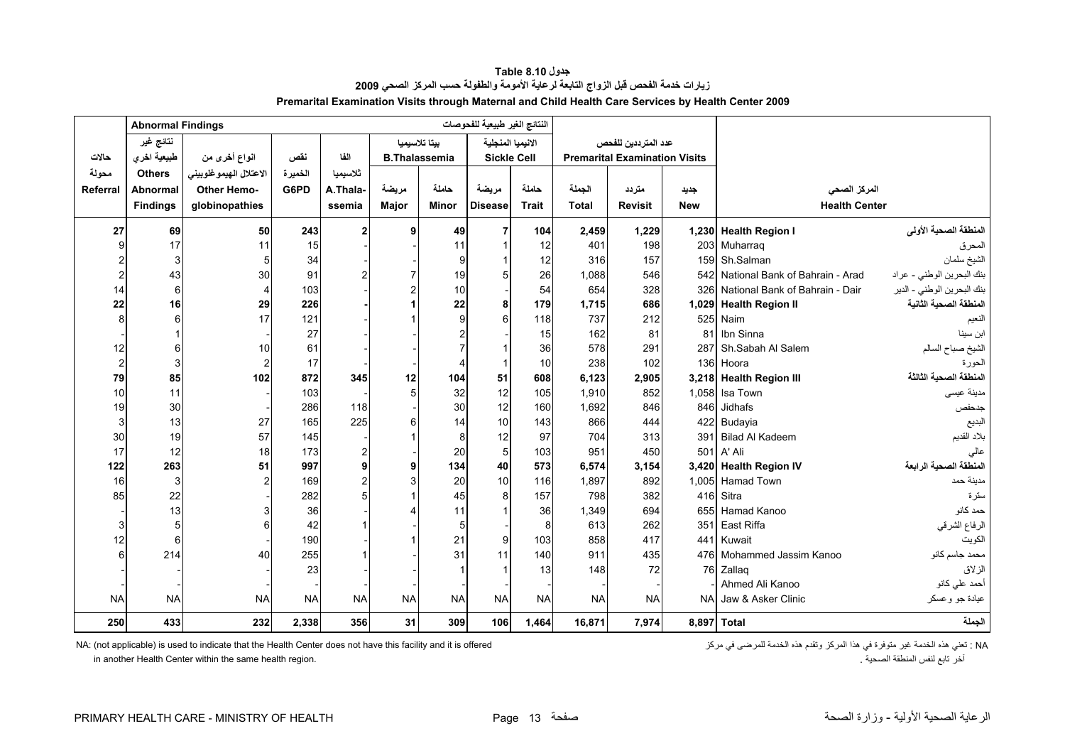<span id="page-13-0"></span>

|                | <b>Abnormal Findings</b> |                        |           |                |                      |                | النتائج الغير طبيعية للفحوصات |              |              |                                      |            |                                     |                            |
|----------------|--------------------------|------------------------|-----------|----------------|----------------------|----------------|-------------------------------|--------------|--------------|--------------------------------------|------------|-------------------------------------|----------------------------|
|                | نتائج غير                |                        |           |                | بيتا تلاسيميا        |                | الانيميا المنجلية             |              |              | عدد المترددين للفحص                  |            |                                     |                            |
| حالات          | طبيعية اخرى              | انواع أخرى من          | نقص       | الفا           | <b>B.Thalassemia</b> |                | <b>Sickle Cell</b>            |              |              | <b>Premarital Examination Visits</b> |            |                                     |                            |
| محولة          | <b>Others</b>            | الاعتلال الهيموغلوبيني | الخميرة   | ثلاسيميا       |                      |                |                               |              |              |                                      |            |                                     |                            |
| Referral       | <b>Abnormal</b>          | <b>Other Hemo-</b>     | G6PD      | A.Thala-       | مريضة                | حاملة          | مريضة                         | حاملة        | الجملة       | متر دد                               | جديد       | المركز الصحي                        |                            |
|                | <b>Findings</b>          | globinopathies         |           | ssemia         | Major                | <b>Minor</b>   | <b>Disease</b>                | <b>Trait</b> | <b>Total</b> | <b>Revisit</b>                       | <b>New</b> | <b>Health Center</b>                |                            |
| 27             | 69                       | 50                     | 243       | $\overline{2}$ | q                    | 49             |                               | 104          | 2,459        | 1,229                                |            | 1,230 Health Region I               | المنطقة الصحية الأولى      |
| 9              | 17                       | 11                     | 15        |                |                      | 11             |                               | 12           | 401          | 198                                  |            | 203 Muharraq                        | المحرق                     |
|                | 3                        | 5                      | 34        |                |                      | 9              |                               | 12           | 316          | 157                                  |            | 159 Sh.Salman                       | الشيخ سلمان                |
| $\overline{2}$ | 43                       | 30                     | 91        | $\mathcal{P}$  |                      | 19             |                               | 26           | 1,088        | 546                                  |            | 542 National Bank of Bahrain - Arad | بنك البحرين الوطني - عراد  |
| 14             | 6                        | $\overline{4}$         | 103       |                |                      | 10             |                               | 54           | 654          | 328                                  |            | 326 National Bank of Bahrain - Dair | بنك البحرين الوطني - الدير |
| 22             | 16                       | 29                     | 226       |                |                      | 22             | 8                             | 179          | 1,715        | 686                                  |            | 1,029 Health Region II              | المنطقة الصحية الثانية     |
| 8              | 6                        | 17                     | 121       |                |                      | 9              | 6                             | 118          | 737          | 212                                  |            | 525 Naim                            | النعيم                     |
|                |                          |                        | 27        |                |                      | $\overline{2}$ |                               | 15           | 162          | 81                                   | 81         | Ibn Sinna                           | ابن سينا                   |
| 12             | 6                        | 10                     | 61        |                |                      |                |                               | 36           | 578          | 291                                  | 287        | Sh.Sabah Al Salem                   | الشيخ صباح السالم          |
| $\overline{c}$ | 3                        | $\overline{2}$         | 17        |                |                      |                |                               | 10           | 238          | 102                                  | 136        | Hoora                               | الحورة                     |
| 79             | 85                       | 102                    | 872       | 345            | 12                   | 104            | 51                            | 608          | 6,123        | 2,905                                |            | 3,218 Health Region III             | المنطقة الصحية الثالثة     |
| 10             | 11                       |                        | 103       |                | 5                    | 32             | 12                            | 105          | 1,910        | 852                                  |            | 1,058 Isa Town                      | مدينة عيسى                 |
| 19             | 30                       |                        | 286       | 118            |                      | 30             | 12                            | 160          | 1,692        | 846                                  |            | 846 Jidhafs                         | جدحفص                      |
| 3              | 13                       | 27                     | 165       | 225            |                      | 14             | 10                            | 143          | 866          | 444                                  | 422        | Budayia                             | البديع                     |
| 30             | 19                       | 57                     | 145       |                |                      | 8              | 12                            | 97           | 704          | 313                                  | 391        | <b>Bilad Al Kadeem</b>              | بلاد القديم                |
| 17             | 12                       | 18                     | 173       | $\overline{2}$ |                      | 20             | 5                             | 103          | 951          | 450                                  | 501        | A' Ali                              | عالى                       |
| 122            | 263                      | 51                     | 997       | 9              | 9                    | 134            | 40                            | 573          | 6,574        | 3,154                                |            | 3,420 Health Region IV              | المنطقة الصحية الرابعة     |
| 16             | 3                        |                        | 169       | $\mathcal{P}$  |                      | 20             | 10                            | 116          | 1,897        | 892                                  |            | 1,005 Hamad Town                    | مدينة حمد                  |
| 85             | 22                       |                        | 282       | 5              |                      | 45             | 8                             | 157          | 798          | 382                                  | 416        | Sitra                               | سترة                       |
|                | 13                       |                        | 36        |                |                      | 11             |                               | 36           | 1,349        | 694                                  |            | 655 Hamad Kanoo                     | حمد كانو                   |
| 3              | 5                        | 6                      | 42        |                |                      | 5              |                               | 8            | 613          | 262                                  | 351        | East Riffa                          | الرفاع الشرقي              |
| 12             | 6                        |                        | 190       |                |                      | 21             | 9                             | 103          | 858          | 417                                  |            | 441 Kuwait                          | الكويت                     |
| 6              | 214                      | 40                     | 255       |                |                      | 31             | 11                            | 140          | 911          | 435                                  | 476        | Mohammed Jassim Kanoo               | محمد جاسم كانو             |
|                |                          |                        | 23        |                |                      |                |                               | 13           | 148          | 72                                   |            | 76 Zallag                           | الزلاق                     |
|                |                          |                        |           |                |                      |                |                               |              |              |                                      |            | Ahmed Ali Kanoo                     | أحمد علي كانو              |
| <b>NA</b>      | <b>NA</b>                | <b>NA</b>              | <b>NA</b> | <b>NA</b>      | <b>NA</b>            | <b>NA</b>      | <b>NA</b>                     | <b>NA</b>    | <b>NA</b>    | <b>NA</b>                            |            | NA Jaw & Asker Clinic               | عيادة جو وعسكر             |
| 250            | 433                      | 232                    | 2,338     | 356            | 31                   | 309            | 106                           | 1,464        | 16,871       | 7,974                                |            | 8,897 Total                         | الجملة                     |

**جدول 8.10 Table زيارات خدمة الفحص قبل الزواج التابعة لرعاية الأمومة والطفولة حسب المرآز الصحي <sup>2009</sup> Premarital Examination Visits through Maternal and Child Health Care Services by Health Center 2009**

NA: (not applicable) is used to indicate that the Health Center does not have this facility and it is offered متغني هذه الخدمة هي المرضى الخدمة للمرضى في مركز الخدمة للمرضى في مركز المركز وتقدم هذه الخدمة للمرضى في مركز ا

in another Health Center within the same health region. . الصحية المنطقة لنفس تابع آخر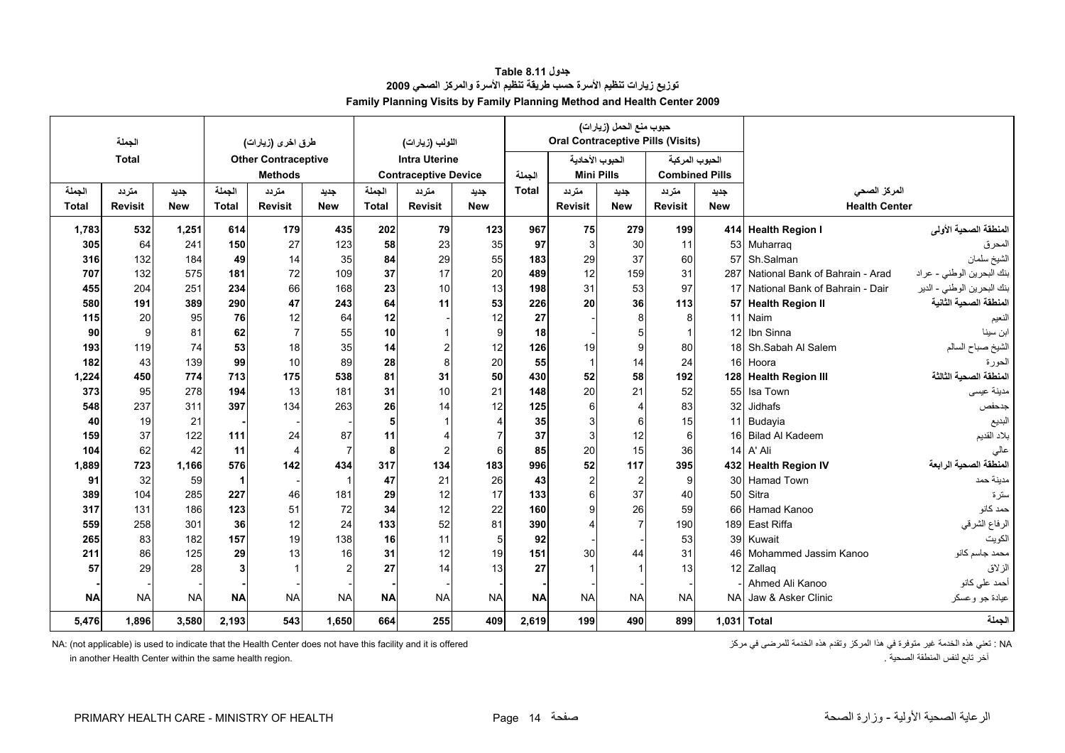<span id="page-14-0"></span>

|              | الجملة         |            |              | طرق اخرى (زيارات)          |                |              | اللولب (زيارات)             |                |              |                         | حبوب منع الحمل (زيارات) | <b>Oral Contraceptive Pills (Visits)</b> |                 |                                 |                            |
|--------------|----------------|------------|--------------|----------------------------|----------------|--------------|-----------------------------|----------------|--------------|-------------------------|-------------------------|------------------------------------------|-----------------|---------------------------------|----------------------------|
|              | <b>Total</b>   |            |              | <b>Other Contraceptive</b> |                |              | <b>Intra Uterine</b>        |                |              |                         | الحبوب الأحادية         | الحبوب المركبة                           |                 |                                 |                            |
|              |                |            |              | <b>Methods</b>             |                |              | <b>Contraceptive Device</b> |                | الجملة       | <b>Mini Pills</b>       |                         | <b>Combined Pills</b>                    |                 |                                 |                            |
| الجملة       | متردد          | جديد       | الجملة       | متردد                      | جديد           | الحملة       | متردد                       | جديد           | <b>Total</b> | متر دد                  | جديد                    | متردد                                    | جديد            | المركز الصحى                    |                            |
| <b>Total</b> | <b>Revisit</b> | <b>New</b> | <b>Total</b> | <b>Revisit</b>             | <b>New</b>     | <b>Total</b> | <b>Revisit</b>              | <b>New</b>     |              | <b>Revisit</b>          | <b>New</b>              | <b>Revisit</b>                           | <b>New</b>      | <b>Health Center</b>            |                            |
| 1,783        | 532            | 1,251      | 614          | 179                        | 435            | 202          | 79                          | 123            | 967          | 75                      | 279                     | 199                                      |                 | 414 Health Region I             | المنطقة الصحية الأولى      |
| 305          | 64             | 241        | 150          | 27                         | 123            | 58           | 23                          | 35             | 97           | $\overline{3}$          | 30                      | 11                                       |                 | 53 Muharrag                     | المحرق                     |
| 316          | 132            | 184        | 49           | 14                         | 35             | 84           | 29                          | 55             | 183          | 29                      | 37                      | 60                                       | 57              | Sh.Salman                       | الشيخ سلمان                |
| 707          | 132            | 575        | 181          | 72                         | 109            | 37           | 17                          | 20             | 489          | 12                      | 159                     | 31                                       | 287             | National Bank of Bahrain - Arad | بنك البحرين الوطني - عراد  |
| 455          | 204            | 251        | 234          | 66                         | 168            | 23           | 10                          | 13             | 198          | 31                      | 53                      | 97                                       | 17              | National Bank of Bahrain - Dair | بنك البحرين الوطني - الدير |
| 580          | 191            | 389        | 290          | 47                         | 243            | 64           | 11                          | 53             | 226          | 20                      | 36                      | 113                                      | 57              | <b>Health Region II</b>         | المنطقة الصحية الثانية     |
| 115          | 20             | 95         | 76           | 12                         | 64             | 12           |                             | 12             | 27           |                         | 8                       | 8                                        | 11              | Naim                            | النعيم                     |
| 90           | 9              | 81         | 62           | $\overline{7}$             | 55             | 10           |                             | 9              | 18           |                         |                         |                                          |                 | 12 Ibn Sinna                    | ابن سينا                   |
| 193          | 119            | 74         | 53           | 18                         | 35             | 14           | 2                           | 12             | 126          | 19                      | 9                       | 80                                       |                 | 18 Sh.Sabah Al Salem            | الشيخ صباح السالم          |
| 182          | 43             | 139        | 99           | 10                         | 89             | 28           | 8                           | 20             | 55           | $\overline{\mathbf{1}}$ | 14                      | 24                                       |                 | 16 Hoora                        | الحورة                     |
| 1,224        | 450            | 774        | 713          | 175                        | 538            | 81           | 31                          | 50             | 430          | 52                      | 58                      | 192                                      |                 | 128 Health Region III           | المنطقة الصحية الثالثة     |
| 373          | 95             | 278        | 194          | 13                         | 181            | 31           | 10                          | 21             | 148          | 20                      | 21                      | 52                                       | 55              | Isa Town                        | مدينة عيسى                 |
| 548          | 237            | 311        | 397          | 134                        | 263            | 26           | 14                          | 12             | 125          | 6                       |                         | 83                                       | 32              | Jidhafs                         | جدحفص                      |
| 40           | 19             | 21         |              |                            |                | 5            |                             | 4              | 35           | 3                       | 6                       | 15                                       | 11              | Budayia                         | البديع                     |
| 159          | 37             | 122        | 111          | 24                         | 87             | 11           |                             | $\overline{7}$ | 37           | $\overline{3}$          | 12                      | $6 \mid$                                 |                 | 16 Bilad Al Kadeem              | بلاد القديم                |
| 104          | 62             | 42         | 11           | $\overline{4}$             | $\overline{7}$ | 8            | $\overline{2}$              | 6              | 85           | 20                      | 15                      | 36                                       | 14              | A' Ali                          | عالى                       |
| 1,889        | 723            | 1.166      | 576          | 142                        | 434            | 317          | 134                         | 183            | 996          | 52                      | 117                     | 395                                      |                 | 432 Health Region IV            | المنطقة الصحية الرابعة     |
| 91           | 32             | 59         | $\mathbf{1}$ |                            | $\overline{1}$ | 47           | 21                          | 26             | 43           | 2                       | $\overline{2}$          | 9                                        | 30 <sup>1</sup> | Hamad Town                      | مدينة حمد                  |
| 389          | 104            | 285        | 227          | 46                         | 181            | 29           | 12                          | 17             | 133          |                         | 37                      | 40                                       | 50              | Sitra                           | سترة                       |
| 317          | 131            | 186        | 123          | 51                         | 72             | 34           | 12                          | 22             | 160          |                         | 26                      | 59                                       |                 | 66 Hamad Kanoo                  | حمد كانو                   |
| 559          | 258            | 301        | 36           | 12                         | 24             | 133          | 52                          | 81             | 390          |                         | $\overline{7}$          | 190                                      |                 | 189 East Riffa                  | الرفاع الشرقي              |
| 265          | 83             | 182        | 157          | 19                         | 138            | 16           | 11                          | 5              | 92           |                         |                         | 53                                       |                 | 39 Kuwait                       | الكويت                     |
| 211          | 86             | 125        | 29           | 13                         | 16             | 31           | 12                          | 19             | 151          | 30                      | 44                      | 31                                       | 46              | Mohammed Jassim Kanoo           | محمد جاسم كانو             |
| 57           | 29             | 28         | 3            |                            |                | 27           | 14                          | 13             | 27           |                         |                         | 13                                       |                 | 12 Zallaq                       | الزلاق                     |
|              |                |            |              |                            |                |              |                             |                |              |                         |                         |                                          |                 | Ahmed Ali Kanoo                 | أحمد علي كانو              |
| <b>NA</b>    | <b>NA</b>      | <b>NA</b>  | <b>NA</b>    | <b>NA</b>                  | <b>NA</b>      | <b>NA</b>    | <b>NA</b>                   | <b>NA</b>      | <b>NA</b>    | <b>NA</b>               | <b>NA</b>               | <b>NA</b>                                | <b>NA</b>       | Jaw & Asker Clinic              | عيادة جو وعسكر             |
| 5.476        | 1.896          | 3.580      | 2.193        | 543                        | 1.650          | 664          | 255                         | 409            | 2.619        | 199                     | 490                     | 899                                      |                 | 1.031 Total                     | الجملة                     |

**جدول 8.11 Table توزيع زيارات تنظيم الأسرة حسب طريقة تنظيم الأسرة والمرآز الصحي <sup>2009</sup> Family Planning Visits by Family Planning Method and Health Center 2009**

in another Health Center within the same health region.

NA: (not applicable) is used to indicate that the Health Center does not have this facility and it is offered<br>آخر تابع لنفس المنطقة الصحية .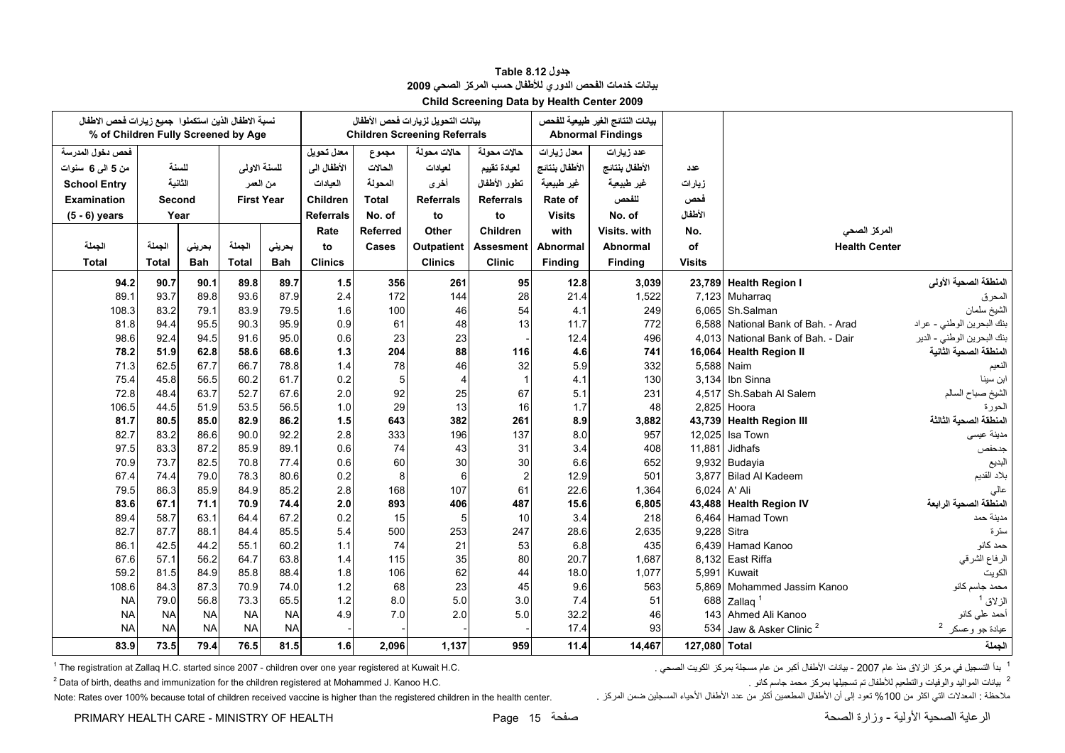<span id="page-15-0"></span>

| نسبة الاطفال الذين استكملوا جميع زيارات فحص الاطفال |              |              |                   |              |                  |                  | بيانات التحويل لزيارات فحص الأطفال  |                  |                | بيانات النتائج الغير طبيعية للفحص |               |                                             |                             |
|-----------------------------------------------------|--------------|--------------|-------------------|--------------|------------------|------------------|-------------------------------------|------------------|----------------|-----------------------------------|---------------|---------------------------------------------|-----------------------------|
| % of Children Fully Screened by Age                 |              |              |                   |              |                  |                  | <b>Children Screening Referrals</b> |                  |                | <b>Abnormal Findings</b>          |               |                                             |                             |
| فحص دخول المدرسة                                    |              |              |                   |              | معدل تحويل       | مجموع            | حالات محولة                         | حالات محولة      | معدل زيارات    | عدد زيارات                        |               |                                             |                             |
| من 5 المي 6 سنوات                                   |              | للسنة        | للسنة الاولى      |              | الأطفال الى      | الحالات          | لعيادات                             | لعيادة تقييم     | الأطفال بنتائج | الأطفال بنتائج                    | عدد           |                                             |                             |
| <b>School Entry</b>                                 |              | الثانية      | من العمر          |              | العيادات         | المحولة          | أخرى                                | تطور الأطفال     | غير طبيعية     | غير طبيعية                        | زيارات        |                                             |                             |
| <b>Examination</b>                                  | Second       |              | <b>First Year</b> |              | Children         | <b>Total</b>     | <b>Referrals</b>                    | <b>Referrals</b> | Rate of        | للفحص                             | فحص           |                                             |                             |
| $(5 - 6)$ years                                     |              | Year         |                   |              | <b>Referrals</b> | No. of           | to                                  | to               | <b>Visits</b>  | No. of                            | الأطفال       |                                             |                             |
|                                                     |              |              |                   |              | Rate             | <b>Referred</b>  | Other                               | <b>Children</b>  | with           | Visits, with                      | No.           | المركز الصحى                                |                             |
| الجملة                                              | الجملة       | بحريني       | الجملة            | بحريني       | to               | Cases            | Outpatient                          | <b>Assesment</b> | Abnormal       | <b>Abnormal</b>                   | of            | <b>Health Center</b>                        |                             |
| <b>Total</b>                                        | <b>Total</b> | <b>Bah</b>   | <b>Total</b>      | <b>Bah</b>   | <b>Clinics</b>   |                  | <b>Clinics</b>                      | <b>Clinic</b>    | Finding        | Finding                           | <b>Visits</b> |                                             |                             |
| 94.2                                                | 90.7         | 90.1         | 89.8              | 89.7         | $1.5$            | 356              | 261                                 | 95               | 12.8           | 3,039                             |               | 23,789 Health Region I                      | المنطقة الصحية الأولى       |
| 89.1                                                | 93.7         | 89.8         | 93.6              | 87.9         | 2.4              | 172              | 144                                 | 28               | 21.4           | 1,522                             |               | 7,123 Muharraq                              | المحرق                      |
| 108.3                                               | 83.2         | 79.1         | 83.9              | 79.5         | 1.6              | 100              | 46                                  | 54               | 4.1            | 249                               |               | 6,065 Sh.Salman                             | الشيخ سلمان                 |
| 81.8                                                | 94.4         | 95.5         | 90.3              | 95.9         | 0.9              | 61               | 48                                  | 13               | 11.7           | 772                               |               | 6.588 National Bank of Bah. - Arad          | بنك البحرين الوطني - عراد   |
| 98.6                                                | 92.4         | 94.5         | 91.6              | 95.0         | 0.6              | 23               | 23                                  |                  | 12.4           | 496                               |               | 4.013 National Bank of Bah. - Dair          | بنك البحرين الوطني - الدير  |
| 78.2                                                | 51.9         | 62.8         | 58.6              | 68.6         | 1.3              | 204              | 88                                  | 116              | 4.6            | 741                               |               | 16,064 Health Region II                     | المنطقة الصحية الثانية      |
| 71.3                                                | 62.5         | 67.7         | 66.7              | 78.8         | 1.4              | 78               | 46                                  | 32               | 5.9            | 332                               |               | 5,588 Naim                                  | النعيم                      |
| 75.4                                                | 45.8         | 56.5         | 60.2              | 61.7         | 0.2              | 5                | $\overline{4}$                      |                  | 4.1            | 130                               |               | 3,134 Ibn Sinna                             | ابن سينا                    |
| 72.8                                                | 48.4         | 63.7         | 52.7              | 67.6         | 2.0              | 92               | 25                                  | 67               | 5.1            | 231                               | 4.517         | Sh.Sabah Al Salem                           | الشيخ صباح السالم           |
| 106.5                                               | 44.5         | 51.9         | 53.5              | 56.5         | 1.0              | 29               | 13                                  | 16               | 1.7            | 48                                | 2,825         | Hoora                                       | الحورة                      |
| 81.7                                                | 80.5         | 85.0         | 82.9              | 86.2         | 1.5              | 643              | 382                                 | 261              | 8.9            | 3,882                             |               | 43,739 Health Region III                    | المنطقة الصحية الثالثة      |
| 82.7                                                | 83.2         | 86.6         | 90.0              | 92.2         | 2.8              | 333              | 196                                 | 137              | 8.0            | 957                               |               | 12,025 Isa Town                             | مدينة عيسى                  |
| 97.5                                                | 83.3         | 87.2         | 85.9              | 89.1         | 0.6              | 74               | 43                                  | 31               | 3.4            | 408                               | 11,881        | Jidhafs                                     | جدحفص                       |
| 70.9                                                | 73.7         | 82.5         | 70.8              | 77.4         | 0.6              | 60               | 30                                  | 30               | 6.6            | 652                               |               | 9,932 Budayia                               | البديع                      |
| 67.4                                                | 74.4         | 79.0         | 78.3              | 80.6         | 0.2              | 8                | 6                                   | 2                | 12.9           | 501                               | 3,877         | Bilad Al Kadeem                             | بلاد القديم                 |
| 79.5                                                | 86.3         | 85.9         | 84.9              | 85.2         | 2.8              | 168              | 107                                 | 61               | 22.6           | 1,364                             |               | 6,024 A' Ali                                | عالى                        |
| 83.6                                                | 67.1         | 71.1         | 70.9              | 74.4         | 2.0              | 893              | 406                                 | 487              | 15.6           | 6,805                             |               | 43,488 Health Region IV                     | المنطقة الصحية الرابعة      |
| 89.4                                                | 58.7         | 63.1         | 64.4              | 67.2         | 0.2              | 15               | 5                                   | 10               | 3.4            | 218                               | 6.464         | <b>Hamad Town</b>                           | مدينة حمد                   |
| 82.7                                                | 87.7         | 88.1         | 84.4              | 85.5         | 5.4              | 500              | 253                                 | 247              | 28.6           | 2,635                             | 9,228 Sitra   |                                             | سترة                        |
| 86.1                                                | 42.5         | 44.2         | 55.1              | 60.2         | 1.1              | 74               | 21                                  | 53               | 6.8            | 435                               |               | 6,439 Hamad Kanoo                           | حمد كانو                    |
| 67.6                                                | 57.1         | 56.2         | 64.7              | 63.8         | 1.4              | 115              | 35                                  | 80               | 20.7           | 1,687                             |               | 8,132 East Riffa                            | الرفاع الشرقي               |
| 59.2<br>108.6                                       | 81.5<br>84.3 | 84.9<br>87.3 | 85.8<br>70.9      | 88.4<br>74.0 | 1.8<br>1.2       | 106<br>68        | 62<br>23                            | 44<br>45         | 18.0<br>9.6    | 1,077<br>563                      |               | 5,991 Kuwait<br>5.869 Mohammed Jassim Kanoo | الكويت<br>محمد جاسم کانو    |
| <b>NA</b>                                           | 79.0         | 56.8         | 73.3              | 65.5         | 1.2              | 8.0 <sub>l</sub> | 5.0                                 | 3.0              | 7.4            | 51                                |               | 688 Zallag <sup>1</sup>                     | الز لاق <sup>1</sup>        |
| <b>NA</b>                                           | <b>NA</b>    | <b>NA</b>    | <b>NA</b>         | <b>NA</b>    | 4.9              | 7.0              | 2.0                                 | 5.0              | 32.2           | 46                                |               | 143 Ahmed Ali Kanoo                         | أحمد علي كانو               |
| <b>NA</b>                                           | <b>NA</b>    | <b>NA</b>    | <b>NA</b>         | <b>NA</b>    |                  |                  |                                     |                  | 17.4           | 93                                | 534           | Jaw & Asker Clinic <sup>2</sup>             | عيادة جو وعسكر <sup>2</sup> |
|                                                     |              |              |                   |              |                  |                  |                                     |                  |                |                                   |               |                                             |                             |
| 83.9                                                | 73.5         | 79.4         | 76.5              | 81.5         | 1.6              | 2,096            | 1,137                               | 959              | 11.4           | 14,467                            | 127,080 Total |                                             | الجملة                      |

#### **جدول 8.12 Table بيانات خدمات الفحص الدوري للأطفال حسب المرآز الصحي <sup>2009</sup> Child Screening Data by Health Center 2009**

1 بدأ التسجيل في مركز الزلاق منذ عام 2007 - بيانات الأطفال أكبر من عام مسجلة بمركز الكويت الصحي . هي الكويت الصحي . "The registration at Zallaq H.C. started since 2007 - children over one year registered at Kuwait H.C. .

2 بيانات المواليد والوفيات والتطعيم للأطفال تم تسجيلها بمركز محمد جاسم كانو .<br>ملاحظة : المعلات التي اكثر من 100% تعود إلى أن الأطفال المطعمين أكثر من عدد الأطفال الأحياء المسجلين ضمن المركز

Note: Rates over 100% because total of children received vaccine is higher than the registered children in the health center.

PRIMARY HEALTH CARE - MINISTRY OF HEALTH Page 15 صفحة الصحة وزارة - الأولية الصحية الرعاية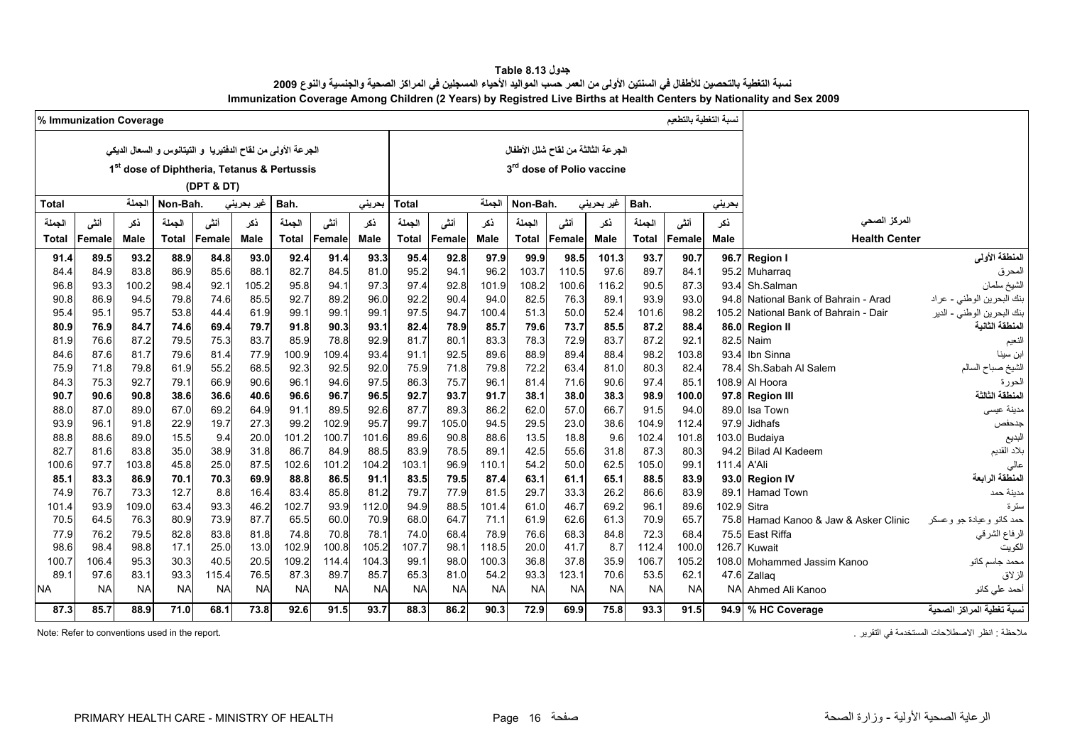| جدول Table 8.13                                                                                                               |
|-------------------------------------------------------------------------------------------------------------------------------|
| نسبة التغطية بالتحصين للأطفال في السنتين الأولى من العمر حسب المواليد الأحياء المسجلين في المراكز الصحية والجنسية والنوع 2009 |
| Immunization Coverage Among Children (2 Years) by Registred Live Births at Health Centers by Nationality and Sex 2009         |

<span id="page-16-0"></span>

|               | % Immunization Coverage |               |              |              |                                                               |               |               |               |               |              |               |              |                                    |             |               | نسبة التغطية بالتطعم |               |                                  |                            |  |  |
|---------------|-------------------------|---------------|--------------|--------------|---------------------------------------------------------------|---------------|---------------|---------------|---------------|--------------|---------------|--------------|------------------------------------|-------------|---------------|----------------------|---------------|----------------------------------|----------------------------|--|--|
|               |                         |               |              |              | الجرعة الأولى من لقاح الدفتيريا ۖ و التيتانوس و السعال الديكي |               |               |               |               |              |               |              | الجرعة الثالثة من لقاح شلل الأطفال |             |               |                      |               |                                  |                            |  |  |
|               |                         |               |              | (DPT & DT)   | 1 <sup>st</sup> dose of Diphtheria, Tetanus & Pertussis       |               |               |               |               |              |               |              | 3rd dose of Polio vaccine          |             |               |                      |               |                                  |                            |  |  |
| Total         |                         | الجملة        | Non-Bah.     |              | غیر بحرین <i>ی</i>                                            | Bah.          |               | بحرينى        | <b>Total</b>  |              | الجملة        | Non-Bah.     |                                    | غير بحريني  | Bah.          |                      | بحريني        |                                  |                            |  |  |
| الجملة        | أنشى                    | نكر           | الجملة       | أننى         | ذكر                                                           | الجملة        | أنشى          | نكر           | الجملة        | أننى         | نكر           | الجملة       | أنشى                               | نكر         | الجملة        | أنشى                 | نكر           | المركز الصحى                     |                            |  |  |
| Total         | Female                  | Male          | Total        | Female       | Male                                                          | <b>Total</b>  | Female        | <b>Male</b>   | <b>Total</b>  | Female       | <b>Male</b>   | <b>Total</b> | Female                             | <b>Male</b> | <b>Total</b>  | Female               | Male          | <b>Health Center</b>             |                            |  |  |
| 91.4          | 89.5                    | 93.2          | 88.9         | 84.8         | 93.0                                                          | 92.4          | 91.4          | 93.3          | 95.4          | 92.8         | 97.9          | 99.9         | 98.5                               | 101.3       | 93.7          | 90.7                 | 96.7          | <b>Region I</b>                  | المنطقة الأولى             |  |  |
| 84.4          | 84.9                    | 83.8          | 86.9         | 85.6         | 88.1                                                          | 82.7          | 84.5          | 81.0          | 95.2          | 94.          | 96.2          | 103.7        | 110.5                              | 97.6        | 89.7          | 84.1                 | 95.2          | Muharraq                         | المحرق                     |  |  |
| 96.8          | 93.3                    | 100.2         | 98.4         | 92.1         | 105.2                                                         | 95.8          | 94.1          | 97.3          | 97.4          | 92.8         | 101.9         | 108.2        | 100.6                              | 116.2       | 90.5          | 87.3                 | 93.4          | Sh.Salman                        | الشيخ سلمان                |  |  |
| 90.8          | 86.9                    | 94.5          | 79.8         | 74.6         | 85.5                                                          | 92.7          | 89.2          | 96.0          | 92.2          | 90.4         | 94.0          | 82.5         | 76.3                               | 89.1        | 93.9          | 93.0                 | 948           | National Bank of Bahrain - Arad  | بنك البحرين الوطني - عراد  |  |  |
| 95.4          | 95.1                    | 95.7          | 53.8         | 44.4         | 61.9                                                          | 99.1          | 99.1          | 99.1          | 97.5          | 94.7         | 100.4         | 51.3         | 50.0                               | 52.4        | 101.6         | 98.2                 | 1052          | National Bank of Bahrain - Dair  | بنك البحرين الوطني - الدير |  |  |
| 80.9          | 76.9                    | 84.7          | 74.6         | 69.4         | 79.7                                                          | 91.8          | 90.3          | 93.1          | 82.4          | 78.9         | 85.7          | 79.6         | 73.7                               | 85.5        | 87.2          | 88.4                 |               | 86.0 Region II                   | لمنطقة الثانية             |  |  |
| 81.9          | 76.6                    | 87.2          | 79.5         | 75.3         | 83.7                                                          | 85.9          | 78.8          | 92.9          | 81.7          | 80.1         | 83.3          | 78.3         | 72.9                               | 83.7        | 87.2          | 92.1                 | 82.5          | Naim                             | النعيم                     |  |  |
| 84.6          | 87.6                    | 81.7          | 79.6         | 81.4         | 77.9                                                          | 100.9         | 109.4         | 93.4          | 91.1          | 92.5         | 89.6          | 88.9         | 89.4                               | 88.4        | 98.2          | 103.8                | 934           | Ibn Sinna                        |                            |  |  |
| 75.9          | 71.8                    | 79.8          | 61.9         | 55.2         | 68.5                                                          | 92.3          | 92.5          | 92.0          | 75.9          | 71.8         | 79.8          | 72.2         | 63.4                               | 81.0        | 80.3          | 82.4                 | 784           | Sh.Sabah Al Salem                | الشيخ صباح السالم          |  |  |
| 84.3          | 75.3                    | 92.7          | 79.1         | 66.9         | 90.6                                                          | 96.1          | 94.6          | 97.5          | 86.3          | 75.7         | 96.1          | 81.4         | 71.6                               | 90.6        | 97.4          | 85.1                 | 108.9         | Al Hoora                         | لحورة                      |  |  |
| 90.7          | 90.6                    | 90.8          | 38.6         | 36.6         | 40.6                                                          | 96.6          | 96.7          | 96.5          | 92.7          | 93.7         | 91.7          | 38.1         | 38.0                               | 38.3        | 98.9          | 100.0                | 97.8          | <b>Region III</b>                | لمنطقة الثالثة             |  |  |
| 88.0          | 87.0                    | 89.0          | 67.0         | 69.2         | 64.9                                                          | 91.1          | 89.5          | 92.6          | 87.7          | 89.3         | 86.2          | 62.0         | 57.0                               | 66.7        | 91.5          | 94.0                 | 89.0          | Isa Town                         | مدينة عيسى                 |  |  |
| 93.9          | 96.1                    | 91.8          | 22.9         | 19.7         | 27.3                                                          | 99.2          | 102.9         | 95.7          | 99.7          | 105.0        | 94.5          | 29.5         | 23.0                               | 38.6        | 104.9         | 112.4                | 97.9          | <b>Jidhafs</b>                   | جدحفص                      |  |  |
| 88.8          | 88.6                    | 89.0          | 15.5         | 9.4          | 20.0                                                          | 101.2         | 100.7         | 101.6         | 89.6          | 90.8         | 88.6          | 13.5         | 18.8                               | 9.6         | 102.4         | 101.8                | 103.0         | Budaiya                          | لبديع                      |  |  |
| 82.7          | 81.6                    | 83.8          | 35.0         | 38.9         | 31.8                                                          | 86.7          | 84.9          | 88.5          | 83.9          | 78.5         | 89.1          | 42.5         | 55.6                               | 31.8        | 87.3          | 80.3                 | 94.2          | <b>Bilad Al Kadeem</b>           | بلاد القديم                |  |  |
| 100.6         | 97.7                    | 103.8         | 45.8         | 25.0         | 87.5                                                          | 102.6         | 101.2         | 104.2         | 103.1         | 96.9         | 110.7         | 54.2         | 50.0                               | 62.5        | 105.0         | 99.1                 | 111.4         | A'Ali                            | عالى                       |  |  |
| 85.1          | 83.3                    | 86.9          | 70.1         | 70.3         | 69.9                                                          | 88.8          | 86.5          | 91.1          | 83.5          | 79.5         | 87.4          | 63.1         | 61.1                               | 65.1        | 88.5          | 83.9                 | 93.0          | <b>Region IV</b>                 | المنطقة الرابعة            |  |  |
| 74.9          | 76.7                    | 73.3          | 12.7         | 8.8          | 16.4                                                          | 83.4          | 85.8          | 81.2          | 79.7          | 77.9         | 81.5          | 29.7         | 33.3                               | 26.2        | 86.6          | 83.9                 | 89.1          | <b>Hamad Town</b>                | مدينة حمد                  |  |  |
| 101.4<br>70.5 | 93.9<br>64.5            | 109.0<br>76.3 | 63.4<br>80.9 | 93.3<br>73.9 | 46.2<br>87.7                                                  | 102.7<br>65.5 | 93.9<br>60.0  | 112.0<br>70.9 | 94.9<br>68.0  | 88.5<br>64.7 | 101.4<br>71.1 | 61.0<br>61.9 | 46.7<br>62.6                       | 69.2        | 96.1<br>70.9  | 89.6<br>65.7         | 102.9<br>75.8 | Sitra                            | ستر ۃ                      |  |  |
|               |                         |               |              |              |                                                               |               |               |               |               |              |               |              |                                    | 61.3        |               |                      |               | Hamad Kanoo & Jaw & Asker Clinic | حمد كانو وعيادة جو وعسكر   |  |  |
| 77.9<br>98.6  | 76.2<br>98.4            | 79.5<br>98.8  | 82.8<br>17.1 | 83.8<br>25.0 | 81.8<br>13.0                                                  | 74.8<br>102.9 | 70.8<br>100.8 | 78.1<br>105.2 | 74.0<br>107.7 | 68.4<br>98.1 | 78.9<br>118.5 | 76.6<br>20.0 | 68.3<br>41.7                       | 84.8<br>8.7 | 72.3<br>112.4 | 68.4<br>100.0        | 75.5<br>126.7 | East Riffa<br>Kuwait             | الرفاع الشرقي              |  |  |
| 100.7         | 106.4                   | 95.3          | 30.3         | 40.5         | 20.5                                                          | 109.2         | 114.4         | 104.3         | 99.1          | 98.C         | 100.3         | 36.8         | 37.8                               | 35.9        | 106.7         | 105.2                | 108.0         | Mohammed Jassim Kanoo            | الكويت<br>محمد جاسم كانو   |  |  |
| 89.7          | 97.6                    | 83.1          | 93.3         | 115.4        | 76.5                                                          | 87.3          | 89.7          | 85.7          | 65.3          | 81.0         | 54.2          | 93.3         | 123.1                              | 70.6        | 53.5          | 62.1                 | 47.6          | Zallag                           | الزلاق                     |  |  |
| <b>NA</b>     | <b>NA</b>               | <b>NA</b>     | <b>NA</b>    | <b>NA</b>    | <b>NA</b>                                                     | <b>NA</b>     | <b>NA</b>     | <b>NA</b>     | <b>NA</b>     | <b>NA</b>    | <b>NA</b>     | <b>NA</b>    | <b>NA</b>                          | <b>NA</b>   | <b>NA</b>     | <b>NA</b>            | <b>NA</b>     | Ahmed Ali Kanoo                  | أحمد على كانو              |  |  |
|               |                         |               |              |              |                                                               |               |               |               |               |              |               |              |                                    |             |               |                      |               |                                  |                            |  |  |
| 87.3          | 85.7                    | 88.9          | 71.0         | 68.1         | 73.8                                                          | 92.6          | 91.5          | 93.7          | 88.3          | 86.2         | 90.3          | 72.9         | 69.9                               | 75.8        | 93.3          | 91.5                 |               | 94.9 % HC Coverage               | لسبة تغطية المراكز الصحية  |  |  |

. انظر الاصطلاحات المستخدمة في التقرير المستخدمة في التقرير المستخدمة المستخدمة المستخدمة المستخدمة المستخدمة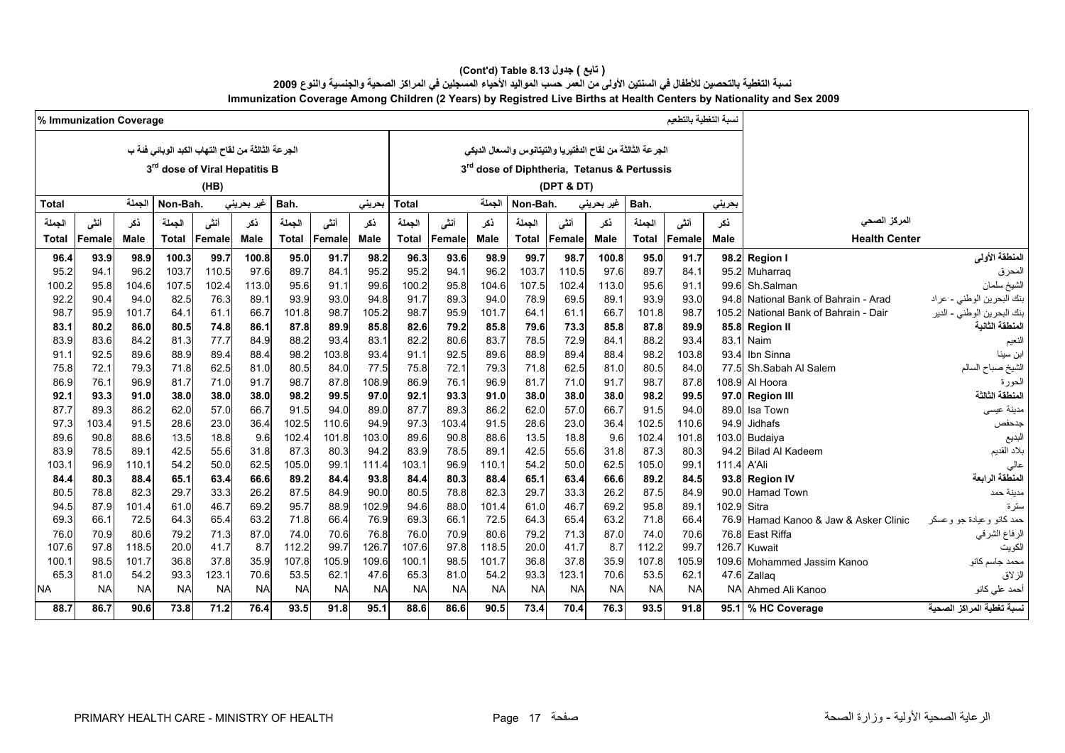#### **(Cont'd) Table 8.13 جدول ) تابع(**

نسبة التغطية بالتحصين للأطفال في السنتين الأولى من العمر حسب المواليد الأحياء المسجلين في المراكز الصحية والجنسية والنوع 2009

**Immunization Coverage Among Children (2 Years) by Registred Live Births at Health Centers by Nationality and Sex 2009**

|              | % Immunization Coverage |               |              |                                                    |                    |              |              |               |              |               |               |              |                                                            |              |              | لسبة التغطية بالتطعيم |               |                                                     |                                   |
|--------------|-------------------------|---------------|--------------|----------------------------------------------------|--------------------|--------------|--------------|---------------|--------------|---------------|---------------|--------------|------------------------------------------------------------|--------------|--------------|-----------------------|---------------|-----------------------------------------------------|-----------------------------------|
|              |                         |               |              | الجر عة الثالثة من لقاح التهاب الكبد الوبائي فئة ب |                    |              |              |               |              |               |               |              | الجرعة الثالثة من لقاح الدفتيريا والتيتانوس والسعال الديكي |              |              |                       |               |                                                     |                                   |
|              |                         |               |              | 3 <sup>rd</sup> dose of Viral Hepatitis B          |                    |              |              |               |              |               |               |              | 3rd dose of Diphtheria, Tetanus & Pertussis                |              |              |                       |               |                                                     |                                   |
|              |                         |               |              |                                                    |                    |              |              |               |              |               |               |              |                                                            |              |              |                       |               |                                                     |                                   |
|              |                         |               |              | (HB)                                               |                    |              |              |               |              |               |               |              | (DPT & DT)                                                 |              |              |                       |               |                                                     |                                   |
| <b>Total</b> |                         | الحملة        | Non-Bah.     |                                                    | غیر بحرین <i>ی</i> | Bah.         |              | بحرينى        | <b>Total</b> |               | الجملة        | Non-Bah.     |                                                            | غیر بحرینی   | Bah.         |                       | بحرينى        |                                                     |                                   |
| الجملة       | أنشى                    | ذكر           | الجملة       | أنشى                                               | ذكر                | الجملة       | أنشى         | ذكر           | الجملة       | أنثى          | نكر           | الجملة       | أنشى                                                       | نكر          | الجملة       | أنشى                  | نكر           | المركز الصحى                                        |                                   |
| Total        | Female                  | Male          | <b>Total</b> | <b>Female</b>                                      | <b>Male</b>        | <b>Total</b> | Female       | <b>Male</b>   | <b>Total</b> | <b>Female</b> | <b>Male</b>   | Total        | Female                                                     | Male         | Total        | Female                | <b>Male</b>   | <b>Health Center</b>                                |                                   |
| 96.4         | 93.9                    | 98.9          | 100.3        | 99.7                                               | 100.8              | 95.0         | 91.7         | 98.2          | 96.3         | 93.6          | 98.9          | 99.7         | 98.7                                                       | 100.8        | 95.0         | 91.7                  |               | 98.2 Region I                                       | المنطقة الأولى                    |
| 95.2         | 94.1                    | 96.2          | 103.7        | 110.5                                              | 97.6               | 89.7         | 84.1         | 95.2          | 95.2         | 94.           | 96.2          | 103.7        | 110.5                                                      | 97.6         | 89.7         | 84.1                  |               | 95.2 Muharraq                                       | المحرق                            |
| 100.2        | 95.8                    | 104.6         | 107.5        | 102.4                                              | 113.0              | 95.6         | 91.1         | 99.6          | 100.2        | 95.8          | 104.6         | 107.5        | 102.4                                                      | 113.0        | 95.6         | 91.1                  |               | 99.6 Sh.Salman                                      | الشيخ سلمان                       |
| 92.2         | 90.4                    | 94.0          | 82.5         | 76.3                                               | 89.1               | 93.9         | 93.0         | 94.8          | 91.7         | 89.3          | 94.0          | 78.9         | 69.5                                                       | 89.1         | 93.9         | 93.0                  |               | 94.8 National Bank of Bahrain - Arad                | بنك البحرين الوطني - عراد         |
| 98.7         | 95.9                    | 101.7         | 64.1         | 61.1                                               | 66.7               | 101.8        | 98.7         | 105.2         | 98.7         | 95.9          | 101.7         | 64.1         | 61.1                                                       | 66.7         | 101.8        | 98.7                  | 105.2         | National Bank of Bahrain - Dair                     | بنك البحرين الوطني - الدير        |
| 83.1         | 80.2                    | 86.0          | 80.5         | 74.8                                               | 86.1               | 87.8         | 89.9         | 85.8          | 82.6         | 79.2          | 85.8          | 79.6         | 73.3                                                       | 85.8         | 87.8         | 89.9                  |               | 85.8 Region II                                      | المنطقة الثانية                   |
| 83.9         | 83.6                    | 84.2          | 81.3         | 77.7                                               | 84.9               | 88.2         | 93.4         | 83.1          | 82.2         | 80.6          | 83.7          | 78.5         | 72.9                                                       | 84.1         | 88.2         | 93.4                  |               | 83.1 Naim                                           | النعيم                            |
| 91.1         | 92.5                    | 89.6          | 88.9         | 89.4                                               | 88.4               | 98.2         | 103.8        | 93.4          | 91.1         | 92.5          | 89.6          | 88.9         | 89.4                                                       | 88.4         | 98.2         | 103.8                 | 93.4          | Ibn Sinna                                           | ابن سينا                          |
| 75.8         | 72.1                    | 79.3          | 71.8         | 62.5                                               | 81.0               | 80.5         | 84.0         | 77.5          | 75.8         | 72.7          | 79.3          | 71.8         | 62.5                                                       | 81.0         | 80.5         | 84.0                  | 77.5          | Sh.Sabah Al Salem                                   | لشيخ صباح السالم                  |
| 86.9         | 76.1                    | 96.9          | 81.7         | 71.0                                               | 91.7               | 98.7         | 87.8         | 108.9         | 86.9         | 76.1          | 96.9          | 81.7         | 71.0                                                       | 91.7         | 98.7         | 87.8                  |               | 108.9 Al Hoora                                      | لحورة                             |
| 92.1         | 93.3                    | 91.0          | 38.0         | 38.0                                               | 38.0               | 98.2         | 99.5         | 97.0          | 92.1         | 93.3          | 91.0          | 38.0         | 38.0                                                       | 38.0         | 98.2         | 99.5                  |               | 97.0 Region III                                     | لمنطقة الثالثة                    |
| 87.7         | 89.3                    | 86.2          | 62.0         | 57.0                                               | 66.7               | 91.5         | 94.0         | 89.0          | 87.7         | 89.3          | 86.2          | 62.0         | 57.0                                                       | 66.7         | 91.5         | 94.0                  | 89.0          | Isa Town                                            | مدينة عيسى                        |
| 97.3         | 103.4                   | 91.5          | 28.6         | 23.0                                               | 36.4               | 102.5        | 110.6        | 94.9          | 97.3         | 103.4         | 91.5          | 28.6         | 23.0                                                       | 36.4         | 102.5        | 110.6                 | 94.9          | Jidhafs                                             | جدحفص                             |
| 89.6         | 90.8                    | 88.6          | 13.5         | 18.8                                               | 9.6                | 102.4        | 101.8        | 103.0         | 89.6         | 90.8          | 88.6          | 13.5         | 18.8                                                       | 9.6          | 102.4        | 101.8                 |               | 103.0 Budaiya                                       | لبديع                             |
| 83.9         | 78.5                    | 89.1          | 42.5         | 55.6                                               | 31.8               | 87.3         | 80.3         | 94.2          | 83.9         | 78.5          | 89.1          | 42.5         | 55.6                                                       | 31.8         | 87.3         | 80.3                  |               | 94.2 Bilad Al Kadeem                                | بلاد القديم                       |
| 103.1        | 96.9                    | 110.1         | 54.2         | 50.0                                               | 62.5               | 105.0        | 99.1         | 111.4         | 103.1        | 96.9          | 110.1         | 54.2         | 50.0                                                       | 62.5         | 105.0        | 99.1                  | 111.4         | A'Ali                                               | عالى                              |
| 84.4         | 80.3                    | 88.4          | 65.1         | 63.4                                               | 66.6               | 89.2         | 84.4         | 93.8          | 84.4         | 80.3          | 88.4          | 65.1         | 63.4                                                       | 66.6         | 89.2         | 84.5                  |               | 93.8 Region IV                                      | المنطقة الرابعة                   |
| 80.5         | 78.8<br>87.9            | 82.3          | 29.7<br>61.0 | 33.3<br>46.7                                       | 26.2<br>69.2       | 87.5<br>95.7 | 84.9         | 90.0<br>102.9 | 80.5<br>94.6 | 78.8<br>88.0  | 82.3<br>101.4 | 29.7<br>61.0 | 33.3<br>46.7                                               | 26.2<br>69.2 | 87.5<br>95.8 | 84.9<br>89.1          | 90.0<br>102.9 | Hamad Town<br>Sitra                                 | مدينة حمد                         |
| 94.5<br>69.3 | 66.1                    | 101.4<br>72.5 | 64.3         | 65.4                                               | 63.2               | 71.8         | 88.9<br>66.4 | 76.9          | 69.3         | 66.           | 72.5          | 64.3         | 65.4                                                       | 63.2         | 71.8         | 66.4                  | 76.9          |                                                     | ىئز ة<br>حمد كانو وعيادة جو وعسكر |
| 76.0         | 70.9                    | 80.6          | 79.2         | 71.3                                               | 87.0               | 74.0         | 70.6         | 76.8          | 76.0         | 70.9          | 80.6          | 79.2         | 71.3                                                       | 87.0         | 74.0         | 70.6                  |               | Hamad Kanoo & Jaw & Asker Clinic<br>76.8 East Riffa |                                   |
| 107.6        | 97.8                    | 118.5         | 20.0         | 41.7                                               | 8.7                | 112.2        | 99.7         | 126.7         | 107.6        | 97.8          | 118.5         | 20.0         | 41.7                                                       | 8.7          | 112.2        | 99.7                  | 126.7         | Kuwait                                              | الرفاع الشرقي<br>الكويت           |
| 100.1        | 98.5                    | 101.7         | 36.8         | 37.8                                               | 35.9               | 107.8        | 105.9        | 109.6         | 100.1        | 98.5          | 101.7         | 36.8         | 37.8                                                       | 35.9         | 107.8        | 105.9                 | 109.6         | Mohammed Jassim Kanoo                               | محمد جاسم كانو                    |
| 65.3         | 81.0                    | 54.2          | 93.3         | 123.1                                              | 70.6               | 53.5         | 62.1         | 47.6          | 65.3         | 81.0          | 54.2          | 93.3         | 123.1                                                      | 70.6         | 53.5         | 62.1                  |               | 47.6 Zallaq                                         | الزلاق                            |
| <b>NA</b>    | <b>NA</b>               | <b>NA</b>     | <b>NA</b>    | <b>NA</b>                                          | <b>NA</b>          | <b>NA</b>    | <b>NA</b>    | <b>NA</b>     | <b>NA</b>    | <b>NA</b>     | <b>NA</b>     | <b>NA</b>    | <b>NA</b>                                                  | <b>NA</b>    | <b>NA</b>    | <b>NA</b>             | <b>NA</b>     | Ahmed Ali Kanoo                                     | أحمد على كانو                     |
| 88.7         | 86.7                    | 90.6          | 73.8         | 71.2                                               | 76.4               | 93.5         | 91.8         | 95.1          | 88.6         | 86.6          | 90.5          | 73.4         | 70.4                                                       | 76.3         | 93.5         | 91.8                  |               | 95.1 % HC Coverage                                  | نسبة تغطية المراكز الصحية         |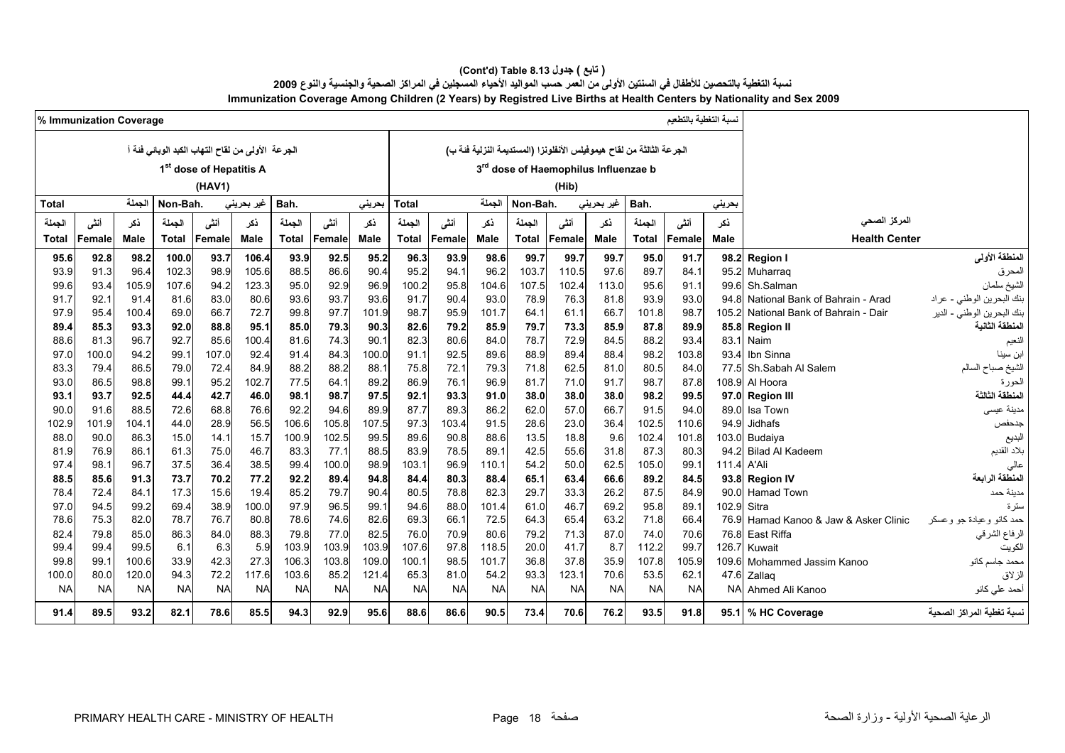#### **(Cont'd) Table 8.13 جدول ) تابع(**  نسبة التغطية بالتحصين للأطفال في السنتين الأولى من العمر حسب المواليد الأحياء المسجلين في المراكز الصحية والجنسية والنوع 2009 **Immunization Coverage Among Children (2 Years) by Registred Live Births at Health Centers by Nationality and Sex 2009**

|                                                              |               | نسبة التغطية بالتطعيم |               |                                                                      |              |              |               |              |               |              |               |              |              |                                                    |              |              | % Immunization Coverage |              |
|--------------------------------------------------------------|---------------|-----------------------|---------------|----------------------------------------------------------------------|--------------|--------------|---------------|--------------|---------------|--------------|---------------|--------------|--------------|----------------------------------------------------|--------------|--------------|-------------------------|--------------|
|                                                              |               |                       |               | الجرعة الثالثة من لقاح هيموفيلس الأنفلونزا (المستديمة النزلية فئة ب) |              |              |               |              |               |              |               |              |              | الجرعة الأولى من لقاح التهاب الكبد الوبائي فَنَة أ |              |              |                         |              |
|                                                              |               |                       |               | 3rd dose of Haemophilus Influenzae b                                 |              |              |               |              |               |              |               |              |              | 1 <sup>st</sup> dose of Hepatitis A                |              |              |                         |              |
|                                                              |               |                       |               |                                                                      |              |              |               |              |               |              |               |              |              |                                                    |              |              |                         |              |
|                                                              |               |                       |               |                                                                      | (Hib)        |              |               |              |               |              |               |              |              | (HAV1)                                             |              |              |                         |              |
|                                                              | بحريني        |                       | Bah.          | غیر بحرین <i>ی</i>                                                   |              | Non-Bah.     | الحملة        |              | <b>Total</b>  | بحرينى       |               | Bah.         | غير بحريني   |                                                    | Non-Bah.     | الحملة       |                         | <b>Total</b> |
| المركز الصحي                                                 | نكر           | أنشى                  | الجملة        | نكر                                                                  | أنشى         | الجملة       | ذكر           | أننى         | الجملة        | ذكر          | أنشى          | الجملة       | نكر          | أننى                                               | الجملة       | نكر          | أنشى                    | الحملة       |
| <b>Health Center</b>                                         | <b>Male</b>   | <b>Female</b>         | Total         | <b>Male</b>                                                          | Female       | Total        | <b>Male</b>   | Female       | Total         | <b>Male</b>  | Female        | <b>Total</b> | <b>Male</b>  | Female                                             | <b>Total</b> | Male         | Female                  | Total        |
| المنطقة الأولى<br><b>Region I</b>                            | 98.2          | 91.7                  | 95.0          | 99.7                                                                 | 99.7         | 99.7         | 98.6          | 93.9         | 96.3          | 95.2         | 92.5          | 93.9         | 106.4        | 93.7                                               | 100.0        | 98.2         | 92.8                    | 95.6         |
| Muharrag                                                     | 95.2          | 84.1                  | 89.7          | 97.6                                                                 | 110.5        | 103.7        | 96.2          | 94.1         | 95.2          | 90.4         | 86.6          | 88.5         | 105.6        | 98.9                                               | 102.3        | 96.4         | 91.3                    | 93.9         |
| Sh.Salman                                                    | 99.6          | 91.1                  | 95.6          | 113.0                                                                | 102.4        | 107.5        | 104.6         | 95.8         | 100.2         | 96.9         | 92.9          | 95.0         | 123.3        | 94.2                                               | 107.6        | 105.9        | 93.4                    | 99.6         |
| بنك البحرين الوطني - عراد<br>National Bank of Bahrain - Arad | 94 8          | 93.0                  | 93.9          | 81.8                                                                 | 76.3         | 78.9         | 93.0          | 90.4         | 91.7          | 93.6         | 93.7          | 93.6         | 80.6         | 83.0                                               | 81.6         | 91.4         | 92.1                    | 91.7         |
| نك البحرين الوطني - الدير<br>National Bank of Bahrain - Dair | 105.2         | 98.7                  | 101.8         | 66.7                                                                 | 61.1         | 64.1         | 101.7         | 95.9         | 98.7          | 101.9        | 97.7          | 99.8         | 72.7         | 66.7                                               | 69.0         | 100.4        | 95.4                    | 97.9         |
| المنطقة الثانية<br><b>Region II</b>                          | 85.8          | 89.9                  | 87.8          | 85.9                                                                 | 73.3         | 79.7         | 85.9          | 79.2         | 82.6          | 90.3         | 79.3          | 85.0         | 95.1         | 88.8                                               | 92.0         | 93.3         | 85.3                    | 89.4         |
| Naim                                                         | 83.1          | 93.4                  | 88.2          | 84.5                                                                 | 72.9         | 78.7         | 84.0          | 80.6         | 82.3          | 90.1         | 74.3          | 81.6         | 100.4        | 85.6                                               | 92.7         | 96.7         | 81.3                    | 88.6         |
| Ibn Sinna                                                    | 93.4          | 103.8                 | 98.2          | 88.4                                                                 | 89.4         | 88.9         | 89.6          | 92.5         | 91.1          | 100.0        | 84.3          | 91.4         | 92.4         | 107.0                                              | 99.1         | 94.2         | 100.0                   | 97.0         |
| Sh.Sabah Al Salem<br>الشيخ صباح السالم                       | 77.5          | 84.0                  | 80.5          | 81.0                                                                 | 62.5         | 71.8         | 79.3          | 72.1         | 75.8          | 88.1         | 88.2          | 88.2         | 84.9         | 72.4                                               | 79.0         | 86.5         | 79.4                    | 83.3         |
| Al Hoora                                                     | 108.9         | 87.8                  | 98.7          | 91.7                                                                 | 71.0         | 81.7         | 96.9          | 76.1         | 86.9          | 89.2         | 64.1          | 77.5         | 102.7        | 95.2                                               | 99.1         | 98.8         | 86.5                    | 93.0         |
| لمنطقة الثالثة<br><b>Region III</b>                          | 97.0          | 99.5                  | 98.2          | 38.0                                                                 | 38.0         | 38.0         | 91.0          | 93.3         | 92.1          | 97.5         | 98.7          | 98.1         | 46.0         | 42.7                                               | 44.4         | 92.5         | 93.7                    | 93.1         |
| Isa Town                                                     | 89.0          | 94.0                  | 91.5          | 66.7                                                                 | 57.0         | 62.0         | 86.2          | 89.3         | 87.7          | 89.9         | 94.6          | 92.2         | 76.6         | 68.8                                               | 72.6         | 88.5         | 91.6                    | 90.0         |
| Jidhafs                                                      | 94.9          | 110.6                 | 102.5         | 36.4                                                                 | 23.0         | 28.6         | 91.5          | 103.4        | 97.3          | 107.5        | 105.8         | 106.6        | 56.5         | 28.9                                               | 44.0         | 104.1        | 101.9                   | 102.9        |
| Budaiya                                                      | 103.0         | 101.8                 | 102.4         | 9.6                                                                  | 18.8         | 13.5         | 88.6          | 90.8         | 89.6          | 99.5         | 102.5         | 100.9        | 15.7         | 14.1                                               | 15.0         | 86.3         | 90.0                    | 88.0         |
| <b>Bilad Al Kadeem</b>                                       | 94.2          | 80.3                  | 87.3          | 31.8                                                                 | 55.6         | 42.5         | 89.1          | 78.5         | 83.9          | 88.5         | 77.1          | 83.3         | 46.7         | 75.0                                               | 61.3         | 86.1         | 76.9                    | 81.9         |
| A'Ali<br>المنطقة الرابعة<br><b>Region IV</b>                 | 111.4<br>93.8 | 99.1<br>84.5          | 105.0<br>89.2 | 62.5<br>66.6                                                         | 50.0<br>63.4 | 54.2<br>65.1 | 110.1<br>88.4 | 96.9<br>80.3 | 103.1<br>84.4 | 98.9<br>94.8 | 100.0<br>89.4 | 99.4<br>92.2 | 38.5<br>77.2 | 36.4<br>70.2                                       | 37.5<br>73.7 | 96.7<br>91.3 | 98.1<br>85.6            | 97.4<br>88.5 |
| <b>Hamad Town</b>                                            | 90.0          | 84.9                  | 87.5          | 26.2                                                                 | 33.3         | 29.7         | 82.3          | 78.8         | 80.5          | 90.4         | 79.7          | 85.2         | 19.4         | 15.6                                               | 17.3         | 84.1         | 72.4                    | 78.4         |
| Sitra                                                        | 102.9         | 89.1                  | 95.8          | 69.2                                                                 | 46.7         | 61.0         | 101.4         | 88.0         | 94.6          | 99.1         | 96.5          | 97.9         | 100.0        | 38.9                                               | 69.4         | 99.2         | 94.5                    | 97.0         |
| ممد كانو وعيادة جو وعسكر<br>Hamad Kanoo & Jaw & Asker Clinic | 76.9          | 66.4                  | 71.8          | 63.2                                                                 | 65.4         | 64.3         | 72.5          | 66.1         | 69.3          | 82.6         | 74.6          | 78.6         | 80.8         | 76.7                                               | 78.7         | 82.0         | 75.3                    | 78.6         |
| الرفاع الشرقي<br>East Riffa                                  | 76.8          | 70.6                  | 74.0          | 87.0                                                                 | 71.3         | 79.2         | 80.6          | 70.9         | 76.0          | 82.5         | 77.0          | 79.8         | 88.3         | 84.0                                               | 86.3         | 85.0         | 79.8                    | 82.4         |
| Kuwait                                                       | 126.7         | 99.7                  | 112.2         | 8.7                                                                  | 41.7         | 20.0         | 118.5         | 97.8         | 107.6         | 103.9        | 103.9         | 103.9        | 5.9          | 6.3                                                | 6.1          | 99.5         | 99.4                    | 99.4         |
| Mohammed Jassim Kanoo<br>محمد جاسم كانو                      | 109.6         | 105.9                 | 107.8         | 35.9                                                                 | 37.8         | 36.8         | 101.7         | 98.5         | 100.1         | 109.0        | 103.8         | 106.3        | 27.3         | 42.3                                               | 33.9         | 100.6        | 99.1                    | 99.8         |
| Zallaq                                                       | 47.6          | 62.1                  | 53.5          | 70.6                                                                 | 123.1        | 93.3         | 54.2          | 81.0         | 65.3          | 121.4        | 85.2          | 103.6        | 117.6        | 72.2                                               | 94.3         | 120.0        | 80.0                    | 100.0        |
| أحمد على كانو<br>Ahmed Ali Kanoo                             | <b>NA</b>     | <b>NA</b>             | <b>NA</b>     | <b>NA</b>                                                            | <b>NA</b>    | <b>NA</b>    | <b>NA</b>     | <b>NA</b>    | <b>NA</b>     | <b>NA</b>    | <b>NA</b>     | <b>NA</b>    | <b>NA</b>    | <b>NA</b>                                          | <b>NA</b>    | <b>NA</b>    | <b>NA</b>               | <b>NA</b>    |
| سبة تغطية المراكز الصحية<br>95.1 % HC Coverage               |               | 91.8                  | 93.5          | 76.2                                                                 | 70.6         | 73.4         | 90.5          | 86.6         | 88.6          | 95.6         | 92.9          | 94.3         | 85.5         | 78.6                                               | 82.1         | 93.2         | 89.5                    | 91.4         |
|                                                              |               |                       |               |                                                                      |              |              |               |              |               |              |               |              |              |                                                    |              |              |                         |              |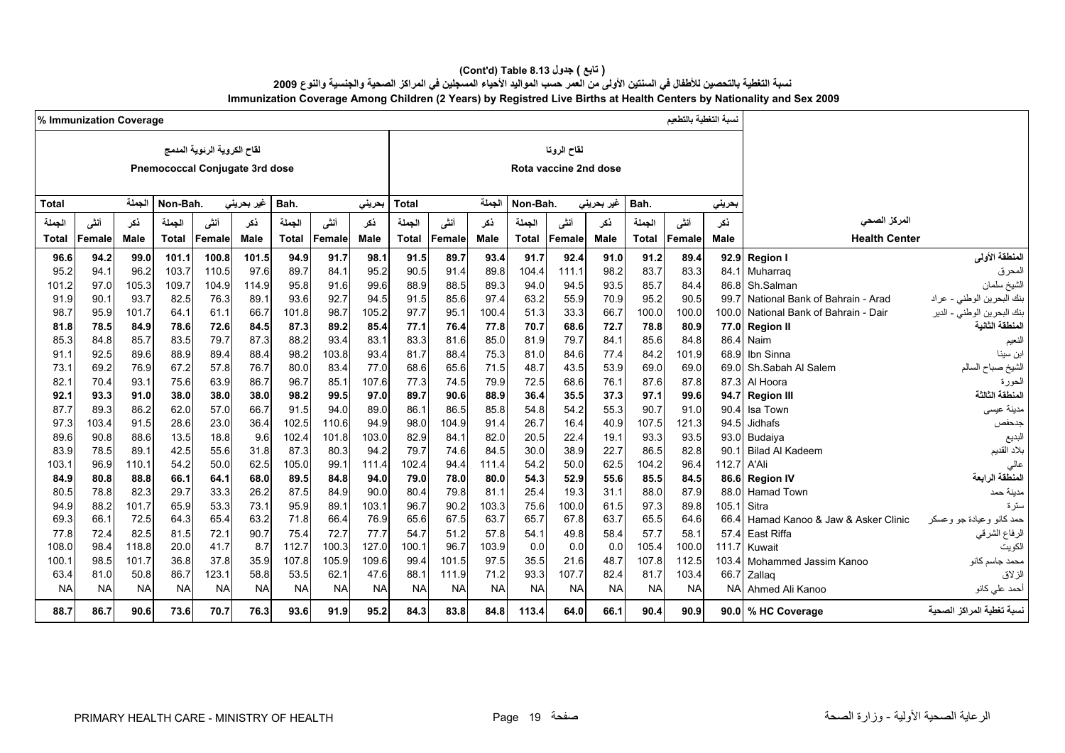#### **(Cont'd) Table 8.13 جدول ) تابع(**  نسبة التغطية بالتحصين للأطفال في السنتين الأولى من العمر حسب المواليد الأحياء المسجلين في المراكز الصحية والجنسية والنوع 2009 **Immunization Coverage Among Children (2 Years) by Registred Live Births at Health Centers by Nationality and Sex 2009**

|                                                                    |           | نسبة التغطية بالتطعيم |              |            |                       |           |             |           |              |             |           |              |            |                                |           |           | % Immunization Coverage |           |
|--------------------------------------------------------------------|-----------|-----------------------|--------------|------------|-----------------------|-----------|-------------|-----------|--------------|-------------|-----------|--------------|------------|--------------------------------|-----------|-----------|-------------------------|-----------|
|                                                                    |           |                       |              |            | لقاح الروتا           |           |             |           |              |             |           |              |            | لقاح الكروية الرئوية المدمج    |           |           |                         |           |
|                                                                    |           |                       |              |            |                       |           |             |           |              |             |           |              |            |                                |           |           |                         |           |
|                                                                    |           |                       |              |            | Rota vaccine 2nd dose |           |             |           |              |             |           |              |            | Pnemococcal Conjugate 3rd dose |           |           |                         |           |
|                                                                    |           |                       |              |            |                       |           |             |           |              |             |           |              |            |                                |           |           |                         |           |
|                                                                    | بحريني    |                       | Bah.         | غير بحريني |                       | Non-Bah.  | الجملة      |           | Total        | بحرينى      |           | Bah.         | غیر بحرینی |                                | Non-Bah.  | الجملة    |                         | Total     |
| المركز الصحى                                                       | نكر       | أننسى                 | الجملة       | نكر        | أنشى                  | الجملة    | نكر         | أنشى      | الجملة       | ذكر         | أنشى      | الجملة       | ذكر        | أننس                           | الجملة    | ذكر       | أنشى                    | الجملة    |
| <b>Health Center</b>                                               | Male      | Female                | <b>Total</b> | Male       | Female                | Total     | <b>Male</b> | Female    | <b>Total</b> | <b>Male</b> | Female    | <b>Total</b> | Male       | <b>Female</b>                  | Total     | Male      | Female                  | Total     |
| المنطقة الأولى<br><b>Region I</b>                                  | 92.9      | 89.4                  | 91.2         | 91.0       | 92.4                  | 91.7      | 93.4        | 89.7      | 91.5         | 98.1        | 91.7      | 94.9         | 101.5      | 100.8                          | 101.1     | 99.0      | 94.2                    | 96.6      |
| Muharraq<br>المحرق                                                 | 84.1      | 83.3                  | 83.7         | 98.2       | 111.1                 | 104.4     | 89.8        | 91.4      | 90.5         | 95.2        | 84.1      | 89.7         | 97.6       | 110.5                          | 103.7     | 96.2      | 94.1                    | 95.2      |
| الشيخ سلمان<br>Sh.Salman                                           | 86.8      | 84.4                  | 85.7         | 93.5       | 94.5                  | 94.0      | 89.3        | 88.5      | 88.9         | 99.6        | 91.6      | 95.8         | 114.9      | 104.9                          | 109.7     | 105.3     | 97.0                    | 101.2     |
| بنك البحرين الوطني - عراد<br>National Bank of Bahrain - Arad       | 99.7      | 90.5                  | 95.2         | 70.9       | 55.9                  | 63.2      | 97.4        | 85.6      | 91.5         | 94.5        | 92.7      | 93.6         | 89.1       | 76.3                           | 82.5      | 93.7      | 90.1                    | 91.9      |
| .<br>بنك البحرين الوطني - الدير<br>National Bank of Bahrain - Dair | 100.0     | 100.0                 | 100.0        | 66.7       | 33.3                  | 51.3      | 100.4       | 95.1      | 97.7         | 105.2       | 98.7      | 101.8        | 66.7       | 61.1                           | 64.1      | 101.7     | 95.9                    | 98.7      |
| لمنطقة الثانية<br><b>Region II</b>                                 | 77.0      | 80.9                  | 78.8         | 72.7       | 68.6                  | 70.7      | 77.8        | 76.4      | 77.1         | 85.4        | 89.2      | 87.3         | 84.5       | 72.6                           | 78.6      | 84.9      | 78.5                    | 81.8      |
| Naim<br>النعيم                                                     | 86.4      | 84.8                  | 85.6         | 84.1       | 79.7                  | 81.9      | 85.0        | 81.6      | 83.3         | 83.1        | 93.4      | 88.2         | 87.3       | 79.7                           | 83.5      | 85.7      | 84.8                    | 85.3      |
| Ibn Sinna<br>ابن سينا                                              | 68.9      | 101.9                 | 84.2         | 77.4       | 84.6                  | 81.0      | 75.3        | 88.4      | 81.7         | 93.4        | 103.8     | 98.2         | 88.4       | 89.4                           | 88.9      | 89.6      | 92.5                    | 91.1      |
| Sh.Sabah Al Salem<br>الشيخ صباح السالم                             | 69.0      | 69.0                  | 69.0         | 53.9       | 43.5                  | 48.7      | 71.5        | 65.6      | 68.6         | 77.0        | 83.4      | 80.0         | 76.7       | 57.8                           | 67.2      | 76.9      | 69.2                    | 73.1      |
| Al Hoora<br>الحورة                                                 | 87.3      | 87.8                  | 87.6         | 76.1       | 68.6                  | 72.5      | 79.9        | 74.5      | 77.3         | 107.6       | 85.1      | 96.7         | 86.7       | 63.9                           | 75.6      | 93.1      | 70.4                    | 82.1      |
| لمنطقة الثالثة<br><b>Region III</b>                                | 94.7      | 99.6                  | 97.1         | 37.3       | 35.5                  | 36.4      | 88.9        | 90.6      | 89.7         | 97.0        | 99.5      | 98.2         | 38.0       | 38.0                           | 38.0      | 91.0      | 93.3                    | 92.1      |
| مدينة عيسى<br>Isa Town                                             | 90.4      | 91.0                  | 90.7         | 55.3       | 54.2                  | 54.8      | 85.8        | 86.5      | 86.1         | 89.0        | 94.0      | 91.5         | 66.7       | 57.0                           | 62.0      | 86.2      | 89.3                    | 87.7      |
| Jidhafs<br>جدحفص                                                   | 94.5      | 121.3                 | 107.5        | 40.9       | 16.4                  | 26.7      | 91.4        | 104.9     | 98.0         | 94.9        | 110.6     | 102.5        | 36.4       | 23.0                           | 28.6      | 91.5      | 103.4                   | 97.3      |
| البديع<br>Budaiya                                                  | 93.0      | 93.5                  | 93.3         | 19.1       | 22.4                  | 20.5      | 82.0        | 84.1      | 82.9         | 103.0       | 101.8     | 102.4        | 9.6        | 18.8                           | 13.5      | 88.6      | 90.8                    | 89.6      |
| بلاد القديم<br><b>Bilad Al Kadeem</b>                              | 90.1      | 82.8                  | 86.5         | 22.7       | 38.9                  | 30.0      | 84.5        | 74.6      | 79.7         | 94.2        | 80.3      | 87.3         | 31.8       | 55.6                           | 42.5      | 89.1      | 78.5                    | 83.9      |
| A'Ali<br>عالي                                                      | 112.7     | 96.4                  | 104.2        | 62.5       | 50.0                  | 54.2      | 111.4       | 94.4      | 102.4        | 111.4       | 99.1      | 105.0        | 62.5       | 50.0                           | 54.2      | 110.1     | 96.9                    | 103.1     |
| المنطقة الرابعة<br><b>Region IV</b>                                | 86.6      | 84.5                  | 85.5         | 55.6       | 52.9                  | 54.3      | 80.0        | 78.0      | 79.0         | 94.0        | 84.8      | 89.5         | 68.0       | 64.1                           | 66.1      | 88.8      | 80.8                    | 84.9      |
| مدينة حمد<br><b>Hamad Town</b>                                     | 88.0      | 87.9                  | 88.0         | 31.1       | 19.3                  | 25.4      | 81.1        | 79.8      | 80.4         | 90.0        | 84.9      | 87.5         | 26.2       | 33.3                           | 29.7      | 82.3      | 78.8                    | 80.5      |
| Sitra                                                              | 105.1     | 89.8                  | 97.3         | 61.5       | 100.0                 | 75.6      | 103.3       | 90.2      | 96.7         | 103.1       | 89.1      | 95.9         | 73.1       | 53.3                           | 65.9      | 101.7     | 88.2                    | 94.9      |
| Hamad Kanoo & Jaw & Asker Clinic<br>حمد كانو وعيادة جو وعسكر       | 66.4      | 64.6                  | 65.5         | 63.7       | 67.8                  | 65.7      | 63.7        | 67.5      | 65.6         | 76.9        | 66.4      | 71.8         | 63.2       | 65.4                           | 64.3      | 72.5      | 66.1                    | 69.3      |
| East Riffa<br>الرفاع الشرقي                                        | 57.4      | 58.1                  | 57.7         | 58.4       | 49.8                  | 54.1      | 57.8        | 51.2      | 54.7         | 77.7        | 72.7      | 75.4         | 90.7       | 72.1                           | 81.5      | 82.5      | 72.4                    | 77.8      |
| الكويت<br>Kuwait                                                   | 111.7     | 100.0                 | 105.4        | 0.0        | 0.0                   | 0.0       | 103.9       | 96.7      | 100.1        | 127.0       | 100.3     | 112.7        | 8.7        | 41.7                           | 20.0      | 118.8     | 98.4                    | 108.0     |
| Mohammed Jassim Kanoo<br>محمد جاسم كانو                            | 103.4     | 112.5                 | 107.8        | 48.7       | 21.6                  | 35.5      | 97.5        | 101.5     | 99.4         | 109.6       | 105.9     | 107.8        | 35.9       | 37.8                           | 36.8      | 101.7     | 98.5                    | 100.1     |
| Zallaq<br>الزلاق                                                   | 66.7      | 103.4                 | 81.7         | 82.4       | 107.7                 | 93.3      | 71.2        | 111.9     | 88.1         | 47.6        | 62.1      | 53.5         | 58.8       | 123.1                          | 86.7      | 50.8      | 81.0                    | 63.4      |
| أحمد على كانو<br>Ahmed Ali Kanoo                                   | <b>NA</b> | <b>NA</b>             | <b>NA</b>    | <b>NA</b>  | <b>NA</b>             | <b>NA</b> | <b>NA</b>   | <b>NA</b> | <b>NA</b>    | <b>NA</b>   | <b>NA</b> | <b>NA</b>    | <b>NA</b>  | <b>NA</b>                      | <b>NA</b> | <b>NA</b> | <b>NA</b>               | <b>NA</b> |
| سبة تغطية المراكز الصحية<br>90.0 % HC Coverage                     |           | 90.9                  | 90.4         | 66.1       | 64.0                  | 113.4     | 84.8        | 83.8      | 84.3         | 95.2        | 91.9      | 93.6         | 76.3       | 70.7                           | 73.6      | 90.6      | 86.7                    | 88.7      |
|                                                                    |           |                       |              |            |                       |           |             |           |              |             |           |              |            |                                |           |           |                         |           |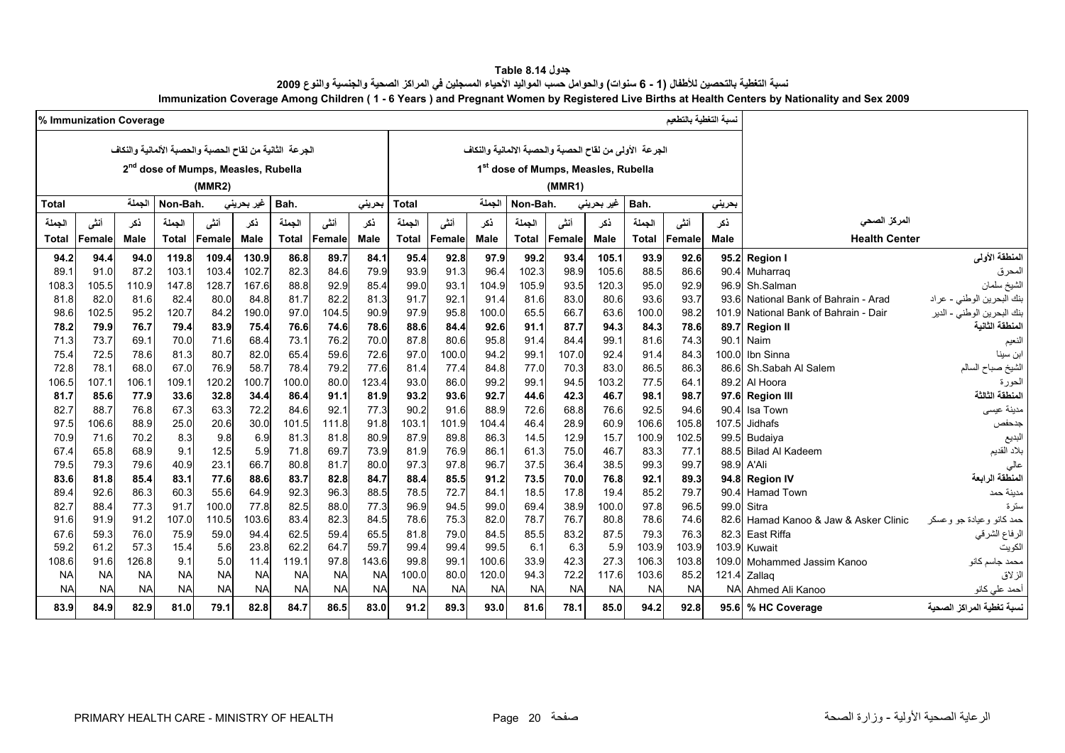| جدول Table 8.14                                                                                                                               |
|-----------------------------------------------------------------------------------------------------------------------------------------------|
| نسبة التغطية بالتحصين للأطفال (1 - 6 سنوات) والحوامل حسب المواليد الأحياء المسجلين في المراكز الصحية والجنسية والنوع 2009                     |
| Immunization Coverage Among Children (1 - 6 Years) and Pregnant Women by Registered Live Births at Health Centers by Nationality and Sex 2009 |

<span id="page-20-0"></span>

| % Immunization Coverage |              |              |              |                                                         |             |              |              |              |              |              |              |              |                                     |              |                                                        | نسبة التغطية بالتطعيم |              |                                  |                            |
|-------------------------|--------------|--------------|--------------|---------------------------------------------------------|-------------|--------------|--------------|--------------|--------------|--------------|--------------|--------------|-------------------------------------|--------------|--------------------------------------------------------|-----------------------|--------------|----------------------------------|----------------------------|
|                         |              |              |              | الجرعة الثانية من لقاح الحصبة والحصبة الألمانية والنكاف |             |              |              |              |              |              |              |              |                                     |              | الجرعة الأولى من لقاح الحصبة والحصبة الالمانية والنكاف |                       |              |                                  |                            |
|                         |              |              |              | 2 <sup>nd</sup> dose of Mumps, Measles, Rubella         |             |              |              |              |              |              |              |              | 1st dose of Mumps, Measles, Rubella |              |                                                        |                       |              |                                  |                            |
|                         |              |              |              | (MMR2)                                                  |             |              |              |              |              |              |              |              | (MMR1)                              |              |                                                        |                       |              |                                  |                            |
|                         |              | الحملة       |              |                                                         |             |              |              |              |              |              | الحملة       |              |                                     |              |                                                        |                       |              |                                  |                            |
| <b>Total</b>            |              |              | Non-Bah.     |                                                         | غير بحريني  | Bah.         |              | بحرينى       | <b>Total</b> |              |              | Non-Bah.     |                                     | غير بحريني   | Bah.                                                   |                       | بحريني       |                                  |                            |
| الجملة                  | أنشى         | ذكر          | الجملة       | أننى                                                    | ذكر         | الجملة       | أنشى         | نكر          | الجملة       | أننى         | نكر          | الجملة       | أننى                                | ذكر          | الجملة                                                 | أنشى                  | ذكر          | المركز الصحى                     |                            |
| Total                   | Female       | Male         | <b>Total</b> | Female                                                  | <b>Male</b> | Total        | Female       | Male         | Total        | Female       | <b>Male</b>  | <b>Total</b> | <b>Female</b>                       | <b>Male</b>  | <b>Total</b>                                           | <b>Female</b>         | <b>Male</b>  | <b>Health Center</b>             |                            |
| 94.2                    | 94.4         | 94.0         | 119.8        | 109.4                                                   | 130.9       | 86.8         | 89.7         | 84.1         | 95.4         | 92.8         | 97.9         | 99.2         | 93.4                                | 105.1        | 93.9                                                   | 92.6                  |              | 95.2 Region I                    | المنطقة الأولى             |
| 89.1                    | 91.0         | 87.2         | 103.1        | 103.4                                                   | 102.7       | 82.3         | 84.6         | 79.9         | 93.9         | 91.3         | 96.4         | 102.3        | 98.9                                | 105.6        | 88.5                                                   | 86.6                  | 90.4         | Muharrag                         | المحرق                     |
| 108.3                   | 105.5        | 110.9        | 147.8        | 128.7                                                   | 167.6       | 88.8         | 92.9         | 85.4         | 99.0         | 93.1         | 104.9        | 105.9        | 93.5                                | 120.3        | 95.0                                                   | 92.9                  | 96.9         | Sh.Salman                        | الشيخ سلمان                |
| 81.8                    | 82.0         | 81.6         | 82.4         | 80.0                                                    | 84.8        | 81.7         | 82.2         | 81.3         | 91.7         | 92.1         | 91.4         | 81.6         | 83.0                                | 80.6         | 93.6                                                   | 93.7                  | 936          | National Bank of Bahrain - Arad  | بنك البحرين الوطني - عراد  |
| 98.6                    | 102.5        | 95.2         | 120.7        | 84.2                                                    | 190.0       | 97.0         | 104.5        | 90.9         | 97.9         | 95.8         | 100.0        | 65.5         | 66.7                                | 63.6         | 100.0                                                  | 98.2                  | 101.9        | National Bank of Bahrain - Dair  | بنك البحرين الوطني - الدير |
| 78.2                    | 79.9         | 76.7         | 79.4         | 83.9                                                    | 75.4        | 76.6         | 74.6         | 78.6         | 88.6         | 84.4         | 92.6         | 91.1         | 87.7                                | 94.3         | 84.3                                                   | 78.6                  | 89.7         | <b>Region II</b>                 | المنطقة الثانية            |
| 71.3                    | 73.7         | 69.1         | 70.0         | 71.6                                                    | 68.4        | 73.1         | 76.2         | 70.0         | 87.8         | 80.6         | 95.8         | 91.4         | 84.4                                | 99.1         | 81.6                                                   | 74.3                  | 90.1         | Naim                             | لنعيم                      |
| 75.4                    | 72.5         | 78.6         | 81.3         | 80.7                                                    | 82.0        | 65.4         | 59.6         | 72.6         | 97.0         | 100.0        | 94.2         | 99.1         | 107.0                               | 92.4         | 91.4                                                   | 84.3                  |              | 100.0 Ibn Sinna                  | ابن سينا                   |
| 72.8                    | 78.1         | 68.0         | 67.0         | 76.9                                                    | 58.7        | 78.4         | 79.2         | 77.6         | 81.4         | 77.4         | 84.8         | 77.0         | 70.3                                | 83.0         | 86.5                                                   | 86.3                  | 86.6         | Sh.Sabah Al Salem                | الشيخ صباح السالم          |
| 106.5                   | 107.1        | 106.1        | 109.1        | 120.2                                                   | 100.7       | 100.0        | 80.0         | 123.4        | 93.0         | 86.0         | 99.2         | 99.1         | 94.5                                | 103.2        | 77.5                                                   | 64.1                  |              | 89.2 Al Hoora                    | الحورة                     |
| 81.7                    | 85.6         | 77.9         | 33.6         | 32.8                                                    | 34.4        | 86.4         | 91.1         | 81.9         | 93.2         | 93.6         | 92.7         | 44.6         | 42.3                                | 46.7         | 98.1                                                   | 98.7                  |              | 97.6 Region III                  | المنطقة الثالثة            |
| 82.7                    | 88.7         | 76.8         | 673          | 63.3                                                    | 72.2        | 84.6         | 92.1         | 77.3         | 90.2         | 91.6         | 88.9         | 72.6         | 68.8                                | 76.6         | 92.5                                                   | 94.6                  | 90.4         | Isa Town                         | مدينة عيسى                 |
| 97.5                    | 106.6        | 88.9         | 25.0         | 20.6                                                    | 30.0        | 101.5        | 111.8        | 91.8         | 103.1        | 101.9        | 104.4        | 46.4         | 28.9                                | 60.9         | 106.6                                                  | 105.8                 | 107.5        | Jidhafs                          | جدحفص                      |
| 70.9                    | 71.6         | 70.2         | 8.3          | 9.8                                                     | 6.9         | 81.3         | 81.8         | 80.9         | 87.9         | 89.8         | 86.3         | 14.5         | 12.9                                | 15.7         | 100.9                                                  | 102.5                 | 99.5         | Budaiya                          | البديع                     |
| 67.4<br>79.5            | 65.8<br>79.3 | 68.9         | 9.1          | 12.5                                                    | 5.9<br>66.7 | 71.8<br>80.8 | 69.7<br>81.7 | 73.9         | 81.9         | 76.9<br>97.8 | 86.1<br>96.7 | 61.3<br>37.5 | 75.0<br>36.4                        | 46.7<br>38.5 | 83.3<br>99.3                                           | 77.1<br>99.7          | 88.5<br>98.9 | <b>Bilad Al Kadeem</b><br>A'Ali  | بلاد القديم                |
| 83.6                    | 81.8         | 79.6<br>85.4 | 40.9<br>83.1 | 23.1<br>77.6                                            | 88.6        | 83.7         | 82.8         | 80.0<br>84.7 | 97.3<br>88.4 | 85.5         | 91.2         | 73.5         | 70.0                                | 76.8         | 92.1                                                   | 89.3                  |              | 94.8 Region IV                   | عالى<br>المنطقة الرابعة    |
| 89.4                    | 92.6         | 86.3         | 60.3         | 55.6                                                    | 64.9        | 92.3         | 96.3         | 88.5         | 78.5         | 72.7         | 84.1         | 18.5         | 17.8                                | 19.4         | 85.2                                                   | 79.7                  | 90.4         | <b>Hamad Town</b>                | مدينة حمد                  |
| 82.7                    | 88.4         | 77.3         | 91.7         | 100.0                                                   | 77.8        | 82.5         | 88.0         | 77.3         | 96.9         | 94.5         | 99.0         | 69.4         | 38.9                                | 100.0        | 97.8                                                   | 96.5                  | 99.0         | Sitra                            | ستر ۃ                      |
| 91.6                    | 91.9         | 91.2         | 107.0        | 110.5                                                   | 103.6       | 83.4         | 82.3         | 84.5         | 78.6         | 75.3         | 82.0         | 78.7         | 76.7                                | 80.8         | 78.6                                                   | 74.6                  | 82.6         | Hamad Kanoo & Jaw & Asker Clinic | حمد كانو وعيادة جو وعسكر   |
| 67.6                    | 59.3         | 76.0         | 75.9         | 59.0                                                    | 94.4        | 62.5         | 59.4         | 65.5         | 81.8         | 79.0         | 84.5         | 85.5         | 83.2                                | 87.5         | 79.3                                                   | 76.3                  | 82.3         | East Riffa                       | الرفاع الشرقي              |
| 59.2                    | 61.2         | 57.3         | 15.4         | 5.6                                                     | 23.8        | 62.2         | 64.7         | 59.7         | 99.4         | 99.4         | 99.5         | 6.1          | 6.3                                 | 5.9          | 103.9                                                  | 103.9                 | 103.9        | Kuwait                           | لكويت                      |
| 108.6                   | 91.6         | 126.8        | 9.1          | 5.0                                                     | 11.4        | 119.1        | 97.8         | 143.6        | 99.8         | 99.1         | 100.6        | 33.9         | 42.3                                | 27.3         | 106.3                                                  | 103.8                 | 109.0        | Mohammed Jassim Kanoo            | محمد جاسم كانو             |
| <b>NA</b>               | <b>NA</b>    | <b>NA</b>    | <b>NA</b>    | <b>NA</b>                                               | <b>NA</b>   | <b>NA</b>    | <b>NA</b>    | <b>NA</b>    | 100.0        | 80.0         | 120.0        | 94.3         | 72.2                                | 117.6        | 103.6                                                  | 85.2                  | 121.4        | Zallaq                           | الزلاق                     |
| <b>NA</b>               | <b>NA</b>    | <b>NA</b>    | <b>NA</b>    | <b>NA</b>                                               | <b>NA</b>   | <b>NA</b>    | <b>NA</b>    | <b>NA</b>    | <b>NA</b>    | <b>NA</b>    | <b>NA</b>    | <b>NA</b>    | <b>NA</b>                           | <b>NA</b>    | <b>NA</b>                                              | <b>NA</b>             | <b>NA</b>    | Ahmed Ali Kanoo                  | أحمد علي كانو              |
| 83.9                    | 84.9         | 82.9         | 81.0         | 79.1                                                    | 82.8        | 84.7         | 86.5         | 83.0         | 91.2         | 89.3         | 93.0         | 81.6         | 78.1                                | 85.0         | 94.2                                                   | 92.8                  |              | 95.6 % HC Coverage               | نسبة تغطية المراكز الصحية  |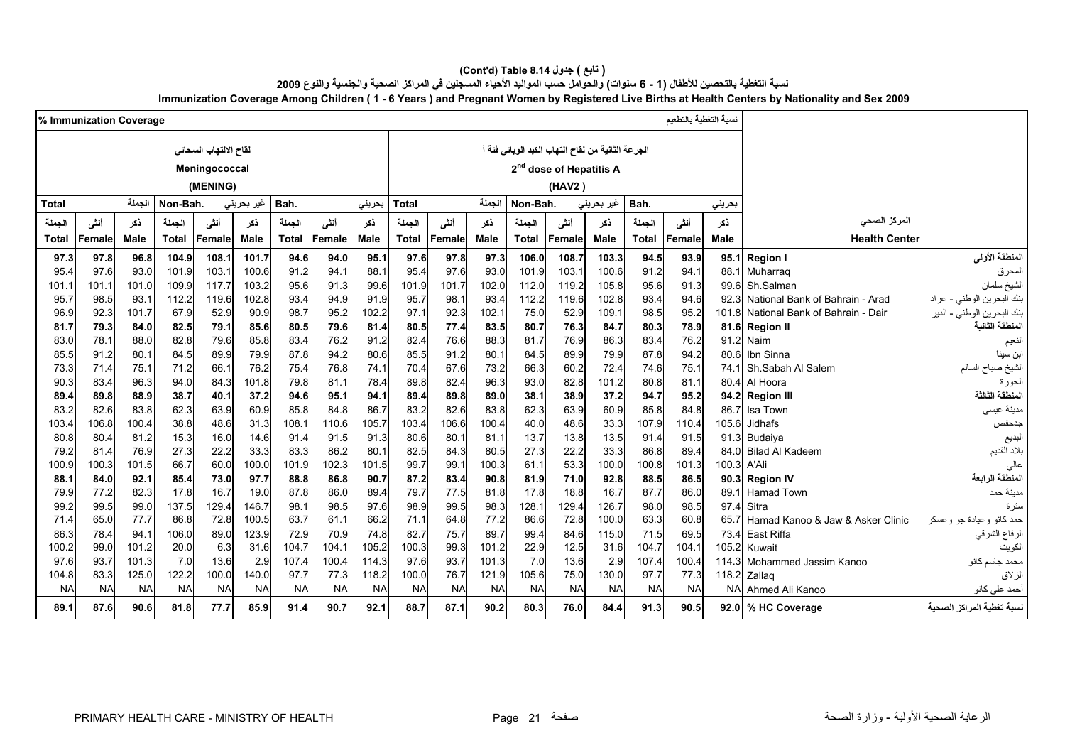#### **(Cont'd) Table 8.14 جدول ) تابع(**  نسبة التغطية بالتحصين للأطفال (1 - 6 سنوات) والحوامل حسب المواليد الأحياء المسجلين في المراكز الصحية والجنسية والنوع 2009 **Immunization Coverage Among Children ( 1 - 6 Years ) and Pregnant Women by Registered Live Births at Health Centers by Nationality and Sex 2009**

|              |              | سبة التغطية بالتطعيم<br>% Immunization Coverage |               |                       |               |              |              |              |              |              |              |                                                   |                                     |                    |              |              |              |                                  |                                       |
|--------------|--------------|-------------------------------------------------|---------------|-----------------------|---------------|--------------|--------------|--------------|--------------|--------------|--------------|---------------------------------------------------|-------------------------------------|--------------------|--------------|--------------|--------------|----------------------------------|---------------------------------------|
|              |              |                                                 |               |                       |               |              |              |              |              |              |              |                                                   |                                     |                    |              |              |              |                                  |                                       |
|              |              |                                                 |               |                       |               |              |              |              |              |              |              |                                                   |                                     |                    |              |              |              |                                  |                                       |
|              |              |                                                 |               | لقاح الالتهاب السحائى |               |              |              |              |              |              |              | الجرعة الثانية من لقاح التهاب الكبد الوبائي فئة أ |                                     |                    |              |              |              |                                  |                                       |
|              |              |                                                 |               | Meningococcal         |               |              |              |              |              |              |              |                                                   | 2 <sup>nd</sup> dose of Hepatitis A |                    |              |              |              |                                  |                                       |
|              |              |                                                 |               | (MENING)              |               |              |              |              |              |              |              |                                                   | (HAV2)                              |                    |              |              |              |                                  |                                       |
| Total        |              | الجملة                                          | Non-Bah.      |                       | غير بحريني    | Bah.         |              | بحرينى       | Total        |              | الحملة       | Non-Bah.                                          |                                     | غیر بحرین <i>ی</i> | Bah.         |              | بحرينى       |                                  |                                       |
| الجملة       | أنشى         | ذكر                                             | الحملة        | أنشى                  | نكر           | الجملة       | أنشى         | نكر          | الجملة       | أننى         | نكر          | الحملة                                            | أننى                                | نكر                | الجملة       | أننى         | نكر          | المركز الصحى                     |                                       |
| Total        | Female       | Male                                            | <b>Total</b>  | <b>Female</b>         | <b>Male</b>   | <b>Total</b> | Female       | <b>Male</b>  | <b>Total</b> | Female       | <b>Male</b>  | <b>Total</b>                                      | Female                              | <b>Male</b>        | <b>Total</b> | Female       | Male         | <b>Health Center</b>             |                                       |
| 97.3         | 97.8         | 96.8                                            | 104.9         | 108.1                 | 101.7         | 94.6         | 94.0         | 95.1         | 97.6         | 97.8         | 97.3         | 106.0                                             | 108.7                               | 103.3              | 94.5         | 93.9         | 95.1         | <b>Region I</b>                  | المنطقة الأولى                        |
| 95.4         | 97.6         | 93.0                                            | 101.9         | 103.1                 | 100.6         | 91.2         | 94.1         | 88.          | 95.4         | 97.6         | 93.0         | 101.9                                             | 103.1                               | 100.6              | 91.2         | 94.1         | 88.1         | Muharraq                         | المحرق                                |
| 101.1        | 101.1        | 101.0                                           | 109.9         | 117.7                 | 103.2         | 95.6         | 91.3         | 99.6         | 101.9        | 101.7        | 102.0        | 112.0                                             | 119.2                               | 105.8              | 95.6         | 91.3         | 99.6         | Sh.Salman                        | لشيخ سلمان                            |
| 95.7         | 98.5         | 93.1                                            | 112.2         | 119.6                 | 102.8         | 93.4         | 94.9         | 91.9         | 95.7         | 98.1         | 93.4         | 112.2                                             | 119.6                               | 102.8              | 93.4         | 94.6         | 923          | National Bank of Bahrain - Arad  | بنك البحرين الوطني - عراد             |
| 96.9         | 92.3         | 101.7                                           | 67.9          | 52.9                  | 90.9          | 98.7         | 95.2         | 102.2        | 97.1         | 92.3         | 102.1        | 75.0                                              | 52.9                                | 109.1              | 98.5         | 95.2         | 101.8        | National Bank of Bahrain - Dair  | <sup>نك ا</sup> لبحرين الوطني - الدير |
| 81.7         | 79.3         | 84.0                                            | 82.5          | 79.1                  | 85.6          | 80.5         | 79.6         | 81.4         | 80.5         | 77.4         | 83.5         | 80.7                                              | 76.3                                | 84.7               | 80.3         | 78.9         |              | 81.6 Region II                   | لمنطقة الثانية                        |
| 83.0         | 78.1         | 88.0                                            | 82.8          | 79.6                  | 85.8          | 83.4         | 76.2         | 91.2         | 82.4         | 76.6         | 88.3         | 81.7                                              | 76.9                                | 86.3               | 83.4         | 76.2         | 91.2         | Naim                             | لنعيم                                 |
| 85.5         | 91.2         | 80.1                                            | 84.5          | 89.9                  | 79.9          | 87.8         | 94.2         | 80.6         | 85.5         | 91.2         | 80.1         | 84.5                                              | 89.9                                | 79.9               | 87.8         | 94.2         | 80.6         | Ibn Sinna                        | بن سينا                               |
| 73.3         | 71.4         | 75.1                                            | 71.2          | 66.1                  | 76.2          | 75.4         | 76.8         | 74.7         | 70.4         | 67.6         | 73.2         | 66.3                                              | 60.2                                | 72.4               | 74.6         | 75.1         | 74.1         | Sh.Sabah Al Salem                | الشيخ صباح السالم                     |
| 90.3         | 83.4         | 96.3                                            | 94.0          | 84.3                  | 101.8         | 79.8         | 81.1         | 78.4         | 89.8         | 82.4         | 96.3         | 93.0                                              | 82.8                                | 101.2              | 80.8         | 81.1         | 80.4         | Al Hoora                         | لحورة                                 |
| 89.4         | 89.8         | 88.9                                            | 38.7          | 40.1                  | 37.2          | 94.6         | 95.1         | 94.1         | 89.4         | 89.8         | 89.0         | 38.1                                              | 38.9                                | 37.2               | 94.7         | 95.2         |              | 94.2 Region III                  | لمنطقة الثالثة                        |
| 83.2         | 82.6         | 83.8                                            | 62.3          | 63.9                  | 60.9          | 85.8         | 84.8         | 86.7         | 83.2         | 82.6         | 83.8         | 62.3                                              | 63.9                                | 60.9               | 85.8         | 84.8         | 86.7         | Isa Town                         | مدينة عيسى                            |
| 103.4        | 106.8        | 100.4                                           | 38.8          | 48.6                  | 31.3          | 108.1        | 110.6        | 105.7        | 103.4        | 106.6        | 100.4        | 40.0                                              | 48.6                                | 33.3               | 107.9        | 110.4        | 105.6        | Jidhafs                          | جدحفص                                 |
| 80.8         | 80.4         | 81.2                                            | 15.3          | 16.0                  | 14.6          | 91.4         | 91.5         | 91.3         | 80.6         | 80.1         | 81.1         | 13.7                                              | 13.8                                | 13.5               | 91.4         | 91.5         | 91.3         | Budaiya                          | لبديع                                 |
| 79.2         | 81.4         | 76.9                                            | 27.3          | 22.2                  | 33.3          | 83.3         | 86.2         | 80.          | 82.5         | 84.3         | 80.5         | 27.3                                              | 22.2                                | 33.3               | 86.8         | 89.4         | 84.0         | <b>Bilad Al Kadeem</b>           | بلاد القديم                           |
| 100.9        | 100.3        | 101.5                                           | 66.7          | 60.0                  | 100.0         | 101.9        | 102.3        | 101.5        | 99.7         | 99.1         | 100.3        | 61.1                                              | 53.3                                | 100.0              | 100.8        | 101.3        | 100.3        | A'Ali                            | عالى                                  |
| 88.1         | 84.0         | 92.1                                            | 85.4          | 73.0                  | 97.7          | 88.8         | 86.8         | 90.7         | 87.2         | 83.4         | 90.8         | 81.9                                              | 71.0                                | 92.8               | 88.5         | 86.5         | 90.3         | <b>Region IV</b>                 | المنطقة الرابعة                       |
| 79.9<br>99.2 | 77.2<br>99.5 | 82.3<br>99.0                                    | 17.8<br>137.5 | 16.7<br>129.4         | 19.0<br>146.7 | 87.8<br>98.1 | 86.0<br>98.5 | 89.4<br>97.6 | 79.7<br>98.9 | 77.5<br>99.5 | 81.8<br>98.3 | 17.8<br>128.1                                     | 18.8<br>129.4                       | 16.7<br>126.7      | 87.7<br>98.0 | 86.0<br>98.5 | 89.1<br>97.4 | Hamad Town<br>Sitra              | مدينة حمد                             |
| 71.4         | 65.0         | 77.7                                            | 86.8          | 72.8                  | 100.5         | 63.7         | 61.1         | 66.2         | 71.1         | 64.8         | 77.2         | 86.6                                              | 72.8                                | 100.0              | 63.3         | 60.8         | 65.7         | Hamad Kanoo & Jaw & Asker Clinic | ىئز ة<br>حمد کانو و عیادۃ جو و عسکر   |
| 86.3         | 78.4         | 94.1                                            | 106.0         | 89.0                  | 123.9         | 72.9         | 70.9         | 74.8         | 82.7         | 75.7         | 89.7         | 99.4                                              | 84.6                                | 115.0              | 71.5         | 69.5         | 73.4         | East Riffa                       | الرفاع الشرقي                         |
| 100.2        | 99.0         | 101.2                                           | 20.0          | 6.3                   | 31.6          | 104.7        | 104.1        | 105.2        | 100.3        | 99.3         | 101.2        | 22.9                                              | 12.5                                | 31.6               | 104.7        | 104.1        | 105.2        | Kuwait                           | الكويت                                |
| 97.6         | 93.7         | 101.3                                           | 7.0           | 13.6                  | 2.9           | 107.4        | 100.4        | 114.3        | 97.6         | 93.7         | 101.3        | 7.0                                               | 13.6                                | 2.9                | 107.4        | 100.4        | 114.3        | Mohammed Jassim Kanoo            | محمد جاسم كانو                        |
| 104.8        | 83.3         | 125.0                                           | 122.2         | 100.0                 | 140.0         | 97.7         | 77.3         | 118.2        | 100.0        | 76.7         | 121.9        | 105.6                                             | 75.0                                | 130.0              | 97.7         | 77.3         | 118.2        | Zallaq                           | الزلاق                                |
| <b>NA</b>    | <b>NA</b>    | <b>NA</b>                                       | <b>NA</b>     | <b>NA</b>             | <b>NA</b>     | <b>NA</b>    | <b>NA</b>    | <b>NA</b>    | <b>NA</b>    | <b>NA</b>    | <b>NA</b>    | <b>NA</b>                                         | <b>NA</b>                           | <b>NA</b>          | <b>NA</b>    | <b>NA</b>    | <b>NA</b>    | Ahmed Ali Kanoo                  | أحمد على كانو                         |
| 89.1         | 87.6         | 90.6                                            | 81.8          | 77.7                  | 85.9          | 91.4         | 90.7         | 92.1         | 88.7         | 87.1         | 90.2         | 80.3                                              | 76.0                                | 84.4               | 91.3         | 90.5         |              | 92.0 % HC Coverage               | سبة تغطية المراكز الصحية              |
|              |              |                                                 |               |                       |               |              |              |              |              |              |              |                                                   |                                     |                    |              |              |              |                                  |                                       |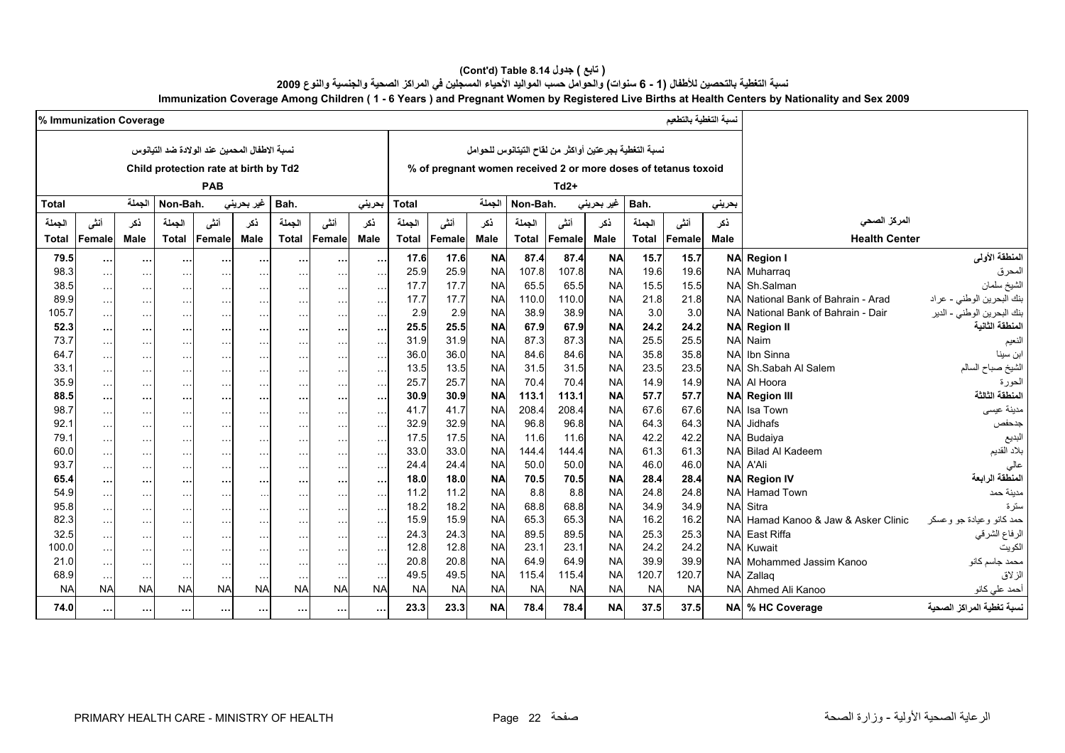#### **(Cont'd) Table 8.14 جدول ) تابع(**  نسبة التغطية بالتحصين للأطفال (1 - 6 سنوات) والحوامل حسب المواليد الأحياء المسجلين في المراكز الصحية والجنسية والنوع 2009 **Immunization Coverage Among Children ( 1 - 6 Years ) and Pregnant Women by Registered Live Births at Health Centers by Nationality and Sex 2009**

|                   | % Immunization Coverage    |                       |                            |                                              |                            |                                   |                            |                     |              |                   |                        |                    |                    |                                                       |               | نسبة التغطية بالتطعيم                                          |                        |                                  |                            |
|-------------------|----------------------------|-----------------------|----------------------------|----------------------------------------------|----------------------------|-----------------------------------|----------------------------|---------------------|--------------|-------------------|------------------------|--------------------|--------------------|-------------------------------------------------------|---------------|----------------------------------------------------------------|------------------------|----------------------------------|----------------------------|
|                   |                            |                       |                            |                                              |                            |                                   |                            |                     |              |                   |                        |                    |                    |                                                       |               |                                                                |                        |                                  |                            |
|                   |                            |                       |                            | نسبة الاطفال المحمين عند الولادة ضد التيانوس |                            |                                   |                            |                     |              |                   |                        |                    |                    | نسبة التغطية بجرعتين أواكثر من لقاح التيتانوس للحوامل |               |                                                                |                        |                                  |                            |
|                   |                            |                       |                            | Child protection rate at birth by Td2        |                            |                                   |                            |                     |              |                   |                        |                    |                    |                                                       |               | % of pregnant women received 2 or more doses of tetanus toxoid |                        |                                  |                            |
|                   |                            |                       |                            | PAB                                          |                            |                                   |                            |                     |              |                   |                        |                    | $Td2+$             |                                                       |               |                                                                |                        |                                  |                            |
| Total             |                            | الجملة                | Non-Bah.                   |                                              | غير بحريني                 | Bah.                              |                            | بحرينى              | Total        |                   | الحملة                 | Non-Bah.           |                    | غیر بحرینی                                            | Bah.          |                                                                | بحرينى                 |                                  |                            |
|                   |                            |                       |                            |                                              |                            |                                   |                            |                     |              |                   |                        |                    |                    |                                                       |               |                                                                |                        |                                  |                            |
| الجملة            | أنشى                       | نكر                   | الحملة                     | أنشى                                         | ذكر                        | الجملة                            | أنشى                       | نكر                 | الجملة       | أنشى              | نكر                    | الحملة             | أنشى               | نكر                                                   | الجملة        | أننى                                                           | نكر                    | المركز الصحى                     |                            |
| Total             | Female                     | <b>Male</b>           | <b>Total</b>               | <b>Female</b>                                | <b>Male</b>                | <b>Total</b>                      | Female                     | Male                | <b>Total</b> | Female            | Male                   | <b>Total</b>       | Female             | Male                                                  | <b>Total</b>  | Female                                                         | Male                   | <b>Health Center</b>             |                            |
| 79.5              | $\ddotsc$                  | $\cdots$              | $\sim$                     | $\cdots$                                     | $\cdots$                   | $\cdots$                          | $\cdots$                   | $\cdots$            | 17.6         | 17.6              | <b>NA</b>              | 87.4               | 87.4               | <b>NA</b>                                             | 15.7          | 15.7                                                           |                        | <b>NA Region I</b>               | المنطقة الأولى             |
| 98.3              | $\sim$ $\sim$              | $\ddotsc$             | $\ddotsc$                  | $\sim$ $\sim$ $\sim$                         | $\sim$ $\sim$ $\sim$       | $\cdots$                          |                            | $\sim$              | 25.9         | 25.9              | <b>NA</b>              | 107.8              | 107.8              | <b>NA</b>                                             | 19.6          | 19.6                                                           |                        | NA Muharraq                      | المحرق                     |
| 38.5              | $\ldots$                   | $\sim$ $\sim$ $\sim$  | $\ddotsc$                  | $\ddotsc$                                    | $\sim$ $\sim$ $\sim$       | $\sim 100$                        | $\ddotsc$                  | $\ldots$            | 17.7         | 17.7              | <b>NA</b>              | 65.5               | 65.5               | <b>NA</b>                                             | 15.5          | 15.5                                                           | <b>NA</b>              | Sh.Salman                        | الشيخ سلمان                |
| 89.9              | $\ddotsc$                  | $\cdots$              | $\sim$ $\sim$              | $\sim$ $\sim$ $\sim$                         | $\cdots$                   | $\cdots$                          | $\sim$                     | $\ddotsc$           | 17.7         | 17.7              | <b>NA</b>              | 110.0              | 110.0              | <b>NA</b>                                             | 21.8          | 21.8                                                           | <b>NA</b>              | National Bank of Bahrain - Arad  | بنك البحرين الوطني - عراد  |
| 105.7             | $\ddotsc$                  | $\sim$ $\sim$         | $\sim$ $\sim$              | $\ldots$                                     | $\sim$ $\sim$              | $\cdots$                          | $\sim$ $\sim$              | $\sim$ $\sim$       | 2.9          | 2.9               | <b>NA</b>              | 38.9               | 38.9               | <b>NA</b>                                             | 3.0           | 3.0                                                            | <b>NA</b>              | National Bank of Bahrain - Dair  | بنك البحرين الوطني - الدير |
| 52.3              | $\cdots$                   | $\cdots$              | $\sim$                     | $\cdots$                                     | $\cdots$                   | $\cdots$                          | $\cdots$                   | $\ddotsc$           | 25.5         | 25.5              | <b>NA</b>              | 67.9               | 67.9               | <b>NA</b>                                             | 24.2          | 24.2                                                           |                        | <b>NA Region II</b>              | لمنطقة الثانية             |
| 73.7              | $\sim$ $\sim$              | $\cdots$              | $\sim$ $\sim$              | $\ldots$                                     | $\cdots$                   | $\sim 100$                        | $\sim$ $\sim$              | $\sim$ $\sim$       | 31.9         | 31.9              | <b>NA</b>              | 87.3               | 87.3               | <b>NA</b>                                             | 25.5          | 25.5                                                           | <b>NA</b>              | Naim                             | النعيم                     |
| 64.7              | $\sim$ $\sim$ $\sim$       | $\sim$ $\sim$         | $\sim$ $\sim$              | $\sim$ $\sim$ $\sim$                         | $\cdots$                   | $\sim 100$                        | $\sim$                     | $\ddotsc$           | 36.0         | 36.0              | <b>NA</b>              | 84.6               | 84.6               | <b>NA</b>                                             | 35.8          | 35.8                                                           | <b>NA</b>              | Ibn Sinna                        | ابن سينا                   |
| 33.1              | $\sim$ $\sim$              | $\cdots$              | $\sim$ $\sim$              | $\ldots$                                     | $\cdots$                   | $\sim 100$                        | $\sim$ $\sim$              | $\sim$ $\sim$       | 13.5         | 13.5              | <b>NA</b>              | 31.5               | 31.5               | <b>NA</b>                                             | 23.5          | 23.5                                                           | <b>NA</b>              | Sh.Sabah Al Salem                | لشيخ صباح السالم           |
| 35.9              | $\ddotsc$                  | $\sim$ $\sim$         | $\sim$ $\sim$              | $\sim$ $\sim$ $\sim$                         | $\cdots$                   | $\sim 100$                        | $\sim$                     | $\sim$ $\sim$       | 25.7         | 25.7              | <b>NA</b>              | 70.4               | 70.4               | <b>NA</b>                                             | 14.9          | 14.9                                                           | <b>NA</b>              | Al Hoora                         | لحورة                      |
| 88.5              | $\cdots$                   | $\cdots$              | $\cdots$                   | $\sim$ $\sim$                                | $\cdots$                   | $\sim$ $\sim$                     | $\cdots$                   | $\cdots$            | 30.9         | 30.9              | <b>NA</b>              | 113.1              | 113.1              | <b>NA</b>                                             | 57.7          | 57.7                                                           |                        | <b>NA</b> Region III             | المنطقة الثالثة            |
| 98.7              | $\ldots$                   | $\cdots$              | $\ldots$                   | $\ldots$                                     | $\cdots$                   | $\sim$ $\sim$ $\sim$              | $\sim$ $\sim$              | $\sim$ $\sim$       | 41.7         | 41.7              | <b>NA</b>              | 208.4              | 208.4              | <b>NA</b>                                             | 67.6          | 67.6                                                           | <b>NA</b>              | Isa Town                         | مدينة عيسى                 |
| 92.1              | $\ldots$                   | $\ddotsc$             | $\sim$ $\sim$              | $\ldots$                                     | $\cdots$                   | $\sim$ $\sim$                     | $\sim$ $\sim$              | $\ldots$            | 32.9         | 32.9              | <b>NA</b>              | 96.8               | 96.8               | <b>NA</b>                                             | 64.3          | 64.3                                                           | <b>NA</b>              | Jidhafs                          | جدحفص                      |
| 79.1              | $\ldots$                   | $\ddotsc$             | $\ldots$                   | $\ldots$                                     | $\ddotsc$                  | $\sim$ $\sim$                     | $\sim$ $\sim$              | $\sim$              | 17.5         | 17.5              | <b>NA</b>              | 11.6               | 11.6               | <b>NA</b>                                             | 42.2          | 42.2                                                           | <b>NA</b>              | Budaiya                          | لبديع                      |
| 60.0              | $\ldots$                   | $\ddotsc$             | $\sim$ $\sim$              | $\ldots$                                     | $\cdots$                   | $\sim$ $\sim$ $\sim$              | $\ldots$                   | $\ldots$            | 33.0         | 33.0              | <b>NA</b>              | 144.4              | 144.4              | <b>NA</b>                                             | 61.3          | 61.3                                                           | <b>NA</b>              | <b>Bilad Al Kadeem</b>           | بلاد القديم                |
| 93.7              | $\ldots$                   | $\ddotsc$             | $\sim$ $\sim$              | $\sim$ $\sim$                                | $\sim$ $\sim$ $\sim$       | $\sim$ $\sim$                     | $\sim$ $\sim$              | $\sim$              | 24.4         | 24.4              | <b>NA</b>              | 50.0               | 50.0               | <b>NA</b>                                             | 46.0          | 46.0                                                           | <b>NA</b>              | A'Ali                            | عالى                       |
| 65.4              | $\cdots$                   | $\cdots$              | $\cdots$                   | $\cdots$                                     | $\cdots$                   | $\cdots$                          | $\sim$ $\sim$              | $\cdots$            | 18.0         | 18.0              | <b>NA</b>              | 70.5               | 70.5               | <b>NA</b>                                             | 28.4          | 28.4                                                           | <b>NA</b>              | <b>Region IV</b>                 | المنطقة الرابعة            |
| 54.9              | $\ldots$                   | $\ddotsc$             | $\sim$ $\sim$              | $\sim$ $\sim$                                |                            | $\sim$ $\sim$                     | $\sim$ $\sim$              | $\sim$ $\sim$       | 11.2         | 11.2              | <b>NA</b>              | 8.8                | 8.8                | <b>NA</b>                                             | 24.8          | 24.8                                                           | <b>NA</b>              | Hamad Town                       | مدينة حمد                  |
| 95.8              | $\ldots$                   | $\cdots$              | $\sim$ $\sim$              | $\ldots$                                     | $\sim$ $\sim$              | $\sim$ $\sim$ $\sim$              | $\sim$ $\sim$              | $\ldots$            | 18.2         | 18.2              | <b>NA</b>              | 68.8               | 68.8               | <b>NA</b>                                             | 34.9          | 34.9                                                           | <b>NA</b>              | Sitra                            | ىئز ة                      |
| 82.3              | $\ldots$                   | $\cdots$              | $\sim$ $\sim$              | $\sim$ $\sim$                                | $\cdots$                   | $\sim$ $\sim$ $\sim$              | $\sim$ $\sim$              | $\sim$ $\sim$       | 15.9         | 15.9              | <b>NA</b>              | 65.3               | 65.3               | <b>NA</b>                                             | 16.2          | 16.2                                                           | <b>NA</b>              | Hamad Kanoo & Jaw & Asker Clinic | حمد كانو وعيادة جو وعسكر   |
| 32.5              | $\sim$ $\sim$              | $\ddotsc$             | $\ddotsc$                  | $\sim$ $\sim$ $\sim$                         | $\ddotsc$                  | $\sim 100$                        |                            | $\ddotsc$           | 24.3         | 24.3              | <b>NA</b>              | 89.5               | 89.5               | <b>NA</b>                                             | 25.3          | 25.3                                                           | <b>NA</b>              | East Riffa                       | الرفاع الشرقي              |
| 100.0             | $\sim$ $\sim$              | $\sim$ $\sim$         | $\sim$ $\sim$              | $\sim$ $\sim$                                | $\sim$ $\sim$              | $\cdots$                          | $\sim$ .                   | $\sim$ $\sim$       | 12.8         | 12.8              | <b>NA</b>              | 23.1               | 23.1               | <b>NA</b>                                             | 24.2          | 24.2                                                           | <b>NA</b>              | Kuwait                           | الكويت                     |
| 21.0              | $\ddotsc$                  | $\ddotsc$             | $\sim$ $\sim$              | $\ddotsc$                                    | $\ldots$                   | $\sim 100$                        | $\sim$ $\sim$              | $\sim$ $\sim$       | 20.8<br>49.5 | 20.8              | <b>NA</b><br><b>NA</b> | 64.9               | 64.9               | <b>NA</b><br><b>NA</b>                                | 39.9<br>120.7 | 39.9                                                           | <b>NA</b><br><b>NA</b> | Mohammed Jassim Kanoo            | محمد جاسم كانو             |
| 68.9<br><b>NA</b> | $\sim$ $\sim$<br><b>NA</b> | $\ldots$<br><b>NA</b> | $\sim$ $\sim$<br><b>NA</b> | $\sim$ $\sim$<br><b>NA</b>                   | $\sim$ $\sim$<br><b>NA</b> | $\sim$ $\sim$ $\sim$<br><b>NA</b> | $\sim$ $\sim$<br><b>NA</b> | $\sim$<br><b>NA</b> | <b>NA</b>    | 49.5<br><b>NA</b> | <b>NA</b>              | 115.4<br><b>NA</b> | 115.4<br><b>NA</b> | <b>NA</b>                                             | <b>NA</b>     | 120.7<br><b>NA</b>                                             | <b>NA</b>              | Zallaq<br>Ahmed Ali Kanoo        | الزلاق                     |
|                   |                            |                       |                            |                                              |                            |                                   |                            |                     |              |                   |                        |                    |                    |                                                       |               |                                                                |                        |                                  | أحمد على كانو              |
| 74.0              | $\ddotsc$                  | $\cdots$              | $\cdots$                   | $\cdots$                                     | $\cdots$                   | $\cdots$                          | $\cdots$                   | $\cdots$            | 23.3         | 23.3              | <b>NA</b>              | 78.4               | 78.4               | <b>NA</b>                                             | 37.5          | 37.5                                                           |                        | NA % HC Coverage                 | سبة تغطية المراكز الصحية   |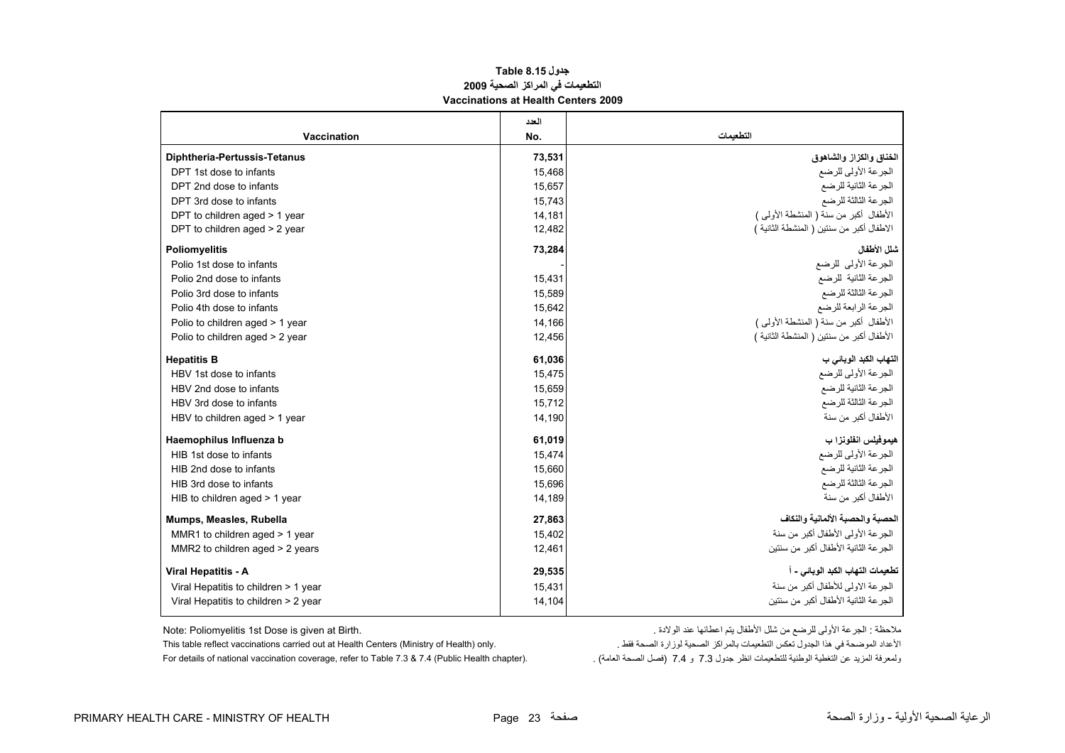#### **جدول 8.15 Table التطعيمات في المراآز الصحية <sup>2009</sup> Vaccinations at Health Centers 2009**

<span id="page-23-0"></span>

|                                      | العدد  |                                           |
|--------------------------------------|--------|-------------------------------------------|
| Vaccination                          | No.    | التطعمات                                  |
| <b>Diphtheria-Pertussis-Tetanus</b>  | 73,531 | الخناق والكزاز والشاهوق                   |
| DPT 1st dose to infants              | 15,468 | الجرعة الأولى للرضع                       |
| DPT 2nd dose to infants              | 15,657 | الجرعة الثانية للرضع                      |
| DPT 3rd dose to infants              | 15,743 | الجرعة الثالثة للرضع                      |
| DPT to children aged > 1 year        | 14,181 | الأطفال أكبر من سنة ( المنشطة الأولى )    |
| DPT to children aged > 2 year        | 12,482 | الاطفال أكبر من سنتين ( المنشطة الثانية ) |
| <b>Poliomyelitis</b>                 | 73,284 | شلل الأطفال                               |
| Polio 1st dose to infants            |        | الجرعة الأولى للرضع                       |
| Polio 2nd dose to infants            | 15,431 | الجرعة الثانية للرضع                      |
| Polio 3rd dose to infants            | 15,589 | الجرعة الثالثة للرضع                      |
| Polio 4th dose to infants            | 15,642 | الجرعة الرابعة للرضع                      |
| Polio to children aged > 1 year      | 14,166 | الأطفال أكبر من سنة ( المنشطة الأولى )    |
| Polio to children aged > 2 year      | 12,456 | الأطفال أكبر من سنتين ( المنشطة الثانية ) |
| <b>Hepatitis B</b>                   | 61,036 | التهاب الكبد الوبائي ب                    |
| HBV 1st dose to infants              | 15,475 | الجرعة الأولى للرضع                       |
| HBV 2nd dose to infants              | 15,659 | الجرعة الثانية للرضع                      |
| HBV 3rd dose to infants              | 15,712 | الجرعة الثالثة للرضع                      |
| HBV to children aged > 1 year        | 14,190 | الأطفال أكبر من سنة                       |
| Haemophilus Influenza b              | 61,019 | هيموفيلس انفلونزا ب                       |
| HIB 1st dose to infants              | 15,474 | الجرعة الأولى للرضع                       |
| HIB 2nd dose to infants              | 15,660 | الجرعة الثانية للرضع                      |
| HIB 3rd dose to infants              | 15,696 | الجرعة الثالثة للرضع                      |
| HIB to children aged $>$ 1 year      | 14,189 | الأطفال أكبر من سنة                       |
| Mumps, Measles, Rubella              | 27,863 | الحصبة والحصبة الألمانية والنكاف          |
| MMR1 to children aged > 1 year       | 15,402 | الجرعة الأولى الأطفال أكبر من سنة         |
| MMR2 to children aged > 2 years      | 12,461 | الجر عة الثانية الأطفال أكبر من سنتين     |
| <b>Viral Hepatitis - A</b>           | 29,535 | تطعيمات التهاب الكبد الوبائي - أ          |
| Viral Hepatitis to children > 1 year | 15,431 | الجرعة الاولى للأطفال أكبر من سنة         |
| Viral Hepatitis to children > 2 year | 14,104 | الجر عة الثانية الأطفال أكبر من سنتين     |
|                                      |        |                                           |

ملاحظة : الجرعة الأولى للرضع من شلل الأطفال يتم اعطائها عند الولادة . .Birth at given is Dose st1 Poliomyelitis :Note

الأعداد الموضحة في هذا الجدول تعكس التطعيمات بالمراكز الصحية لوزارة الصحة فقط . "This table reflect vaccinations carried out at Health Centers (Ministry of Health) only.<br>ولمعرفة المريد عن التغطية الوطنية للتطعيمات انظر جد For details of national vaccination coverage, refer to Table 7.3 & 7.4 (Public Health chapter).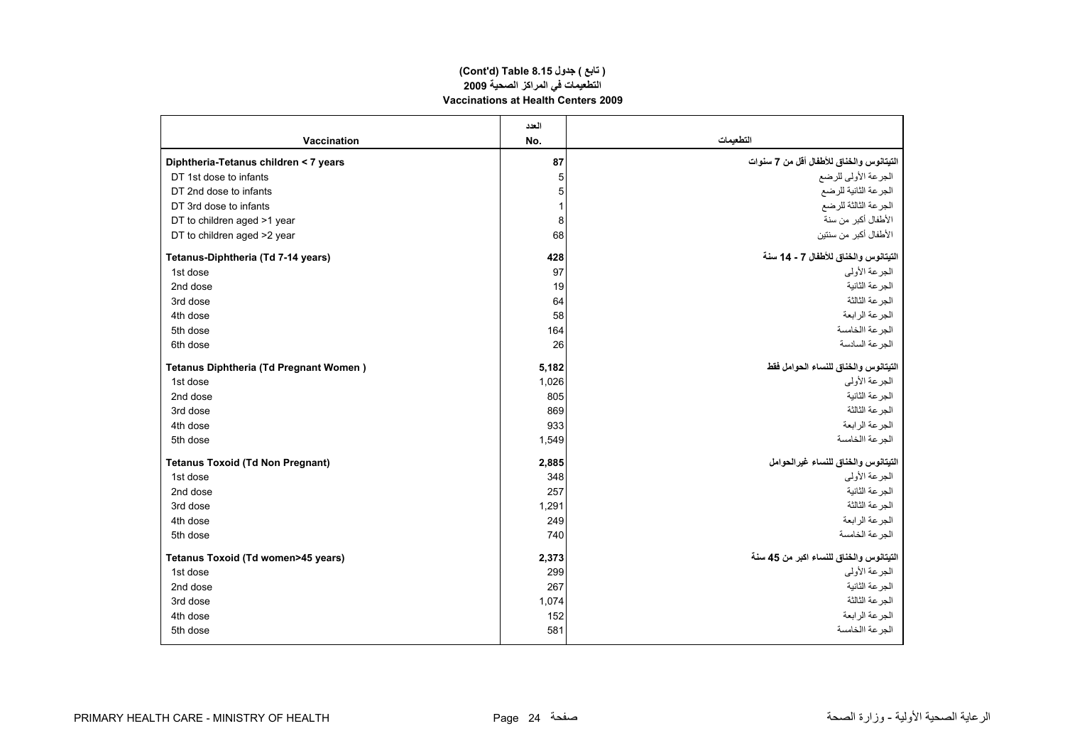#### **التطعيمات في المراآز الصحية <sup>2009</sup> Vaccinations at Health Centers 2009 (Cont'd) Table 8.15 جدول ) تابع(**

|                                         | العدد |                                          |
|-----------------------------------------|-------|------------------------------------------|
| Vaccination                             | No.   | التطعيمات                                |
| Diphtheria-Tetanus children < 7 years   | 87    | التيتانوس والخناق للأطفال أقل من 7 سنوات |
| DT 1st dose to infants                  | 5     | الجرعة الأولى للرضع                      |
| DT 2nd dose to infants                  | 5     | الجرعة الثانية للرضع                     |
| DT 3rd dose to infants                  | 1     | الجرعة الثالثة للرضع                     |
| DT to children aged >1 year             | 8     | الأطفال أكبر من سنة                      |
| DT to children aged >2 year             | 68    | الأطفال أكبر من سنتين                    |
| Tetanus-Diphtheria (Td 7-14 years)      | 428   | التيتانوس والخناق للأطفال 7 - 14 سنة     |
| 1st dose                                | 97    | الجر عة الأولى                           |
| 2nd dose                                | 19    | الجرعة الثانية                           |
| 3rd dose                                | 64    | الجر عة الثالثة                          |
| 4th dose                                | 58    | الجرعة الرابعة                           |
| 5th dose                                | 164   | الجرعة االخامسة                          |
| 6th dose                                | 26    | الجر عة السادسة                          |
| Tetanus Diphtheria (Td Pregnant Women)  | 5,182 | التيتانوس والخناق للنساء الحوامل فقط     |
| 1st dose                                | 1,026 | الجرعة الأولى                            |
| 2nd dose                                | 805   | الجرعة الثانية                           |
| 3rd dose                                | 869   | الجرعة الثالثة                           |
| 4th dose                                | 933   | الجرعة الرابعة                           |
| 5th dose                                | 1,549 | الجر عة االخامسة                         |
| <b>Tetanus Toxoid (Td Non Pregnant)</b> | 2,885 | التيتانوس والخناق للنساء غيرالحوامل      |
| 1st dose                                | 348   | الجر عة الأولى                           |
| 2nd dose                                | 257   | الجر عة الثانية                          |
| 3rd dose                                | 1,291 | الجرعة الثالثة                           |
| 4th dose                                | 249   | الجرعة الرابعة                           |
| 5th dose                                | 740   | الجرعة الخامسة                           |
| Tetanus Toxoid (Td women>45 years)      | 2,373 | التيتانوس والخناق للنساء اكبر من 45 سنة  |
| 1st dose                                | 299   | الجرعة الأولى                            |
| 2nd dose                                | 267   | الجرعة الثانية                           |
| 3rd dose                                | 1,074 | الجرعة الثالثة                           |
| 4th dose                                | 152   | الجز عة الر ابعة                         |
| 5th dose                                | 581   | الجر عة االخامسة                         |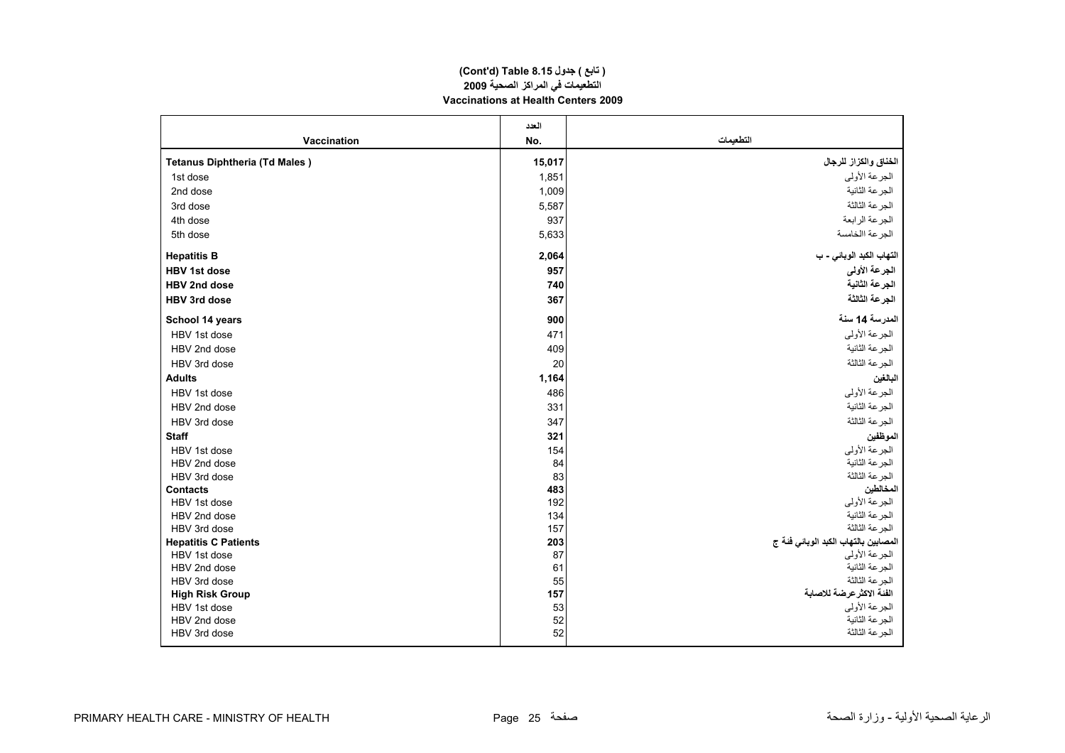#### **(Cont'd) Table 8.15 جدول ) تابع( التطعيمات في المراآز الصحية <sup>2009</sup> Vaccinations at Health Centers 2009**

|                                      | العدد     |                                                        |
|--------------------------------------|-----------|--------------------------------------------------------|
| Vaccination                          | No.       | التطعيمات                                              |
| <b>Tetanus Diphtheria (Td Males)</b> | 15,017    | الخناق والكزاز للرجال                                  |
| 1st dose                             | 1,851     | الجرعة الأولى                                          |
| 2nd dose                             | 1,009     | الجرعة الثانية                                         |
| 3rd dose                             | 5,587     | الجرعة الثالثة                                         |
| 4th dose                             | 937       | الجرعة الرابعة                                         |
| 5th dose                             | 5,633     | الجرعة االخامسة                                        |
| <b>Hepatitis B</b>                   | 2,064     | التهاب الكبد الوبائي - ب                               |
| <b>HBV 1st dose</b>                  | 957       | الجرعة الأولى                                          |
| <b>HBV 2nd dose</b>                  | 740       | الجرعة الثانية                                         |
| <b>HBV 3rd dose</b>                  | 367       | الجرعة الثالثة                                         |
| School 14 years                      | 900       | المدرسة 14 سنة                                         |
| HBV 1st dose                         | 471       | الجرعة الأولى                                          |
| HBV 2nd dose                         | 409       | الجرعة الثانية                                         |
| HBV 3rd dose                         | 20        | الجرعة الثالثة                                         |
| <b>Adults</b>                        | 1,164     | البالغين                                               |
| HBV 1st dose                         | 486       | الجرعة الأولى                                          |
| HBV 2nd dose                         | 331       | الجرعة الثانية                                         |
| HBV 3rd dose                         | 347       | الجرعة الثالثة                                         |
| <b>Staff</b>                         | 321       | الموظفين                                               |
| HBV 1st dose                         | 154       | الجرعة الأولى                                          |
| HBV 2nd dose                         | 84        | الجرعة الثانية                                         |
| HBV 3rd dose                         | 83        | الجرعة الثالثة                                         |
| <b>Contacts</b>                      | 483       | المخالطين                                              |
| HBV 1st dose                         | 192       | الجرعة الأولى                                          |
| HBV 2nd dose                         | 134       | الجرعة الثانية                                         |
| HBV 3rd dose                         | 157       | الجرعة الثالثة                                         |
| <b>Hepatitis C Patients</b>          | 203<br>87 | المصابين بالتهاب الكبد الوبائي فئة ج<br>الجر عة الأولى |
| HBV 1st dose<br>HBV 2nd dose         | 61        | الجرعة الثانية                                         |
| HBV 3rd dose                         | 55        | الجرعة الثالثة                                         |
| <b>High Risk Group</b>               | 157       | الفئة الاكثر عرضة للاصابة                              |
| HBV 1st dose                         | 53        | الجرعة الأولى                                          |
| HBV 2nd dose                         | 52        | الجرعة الثانية                                         |
| HBV 3rd dose                         | 52        | الجرعة الثالثة                                         |
|                                      |           |                                                        |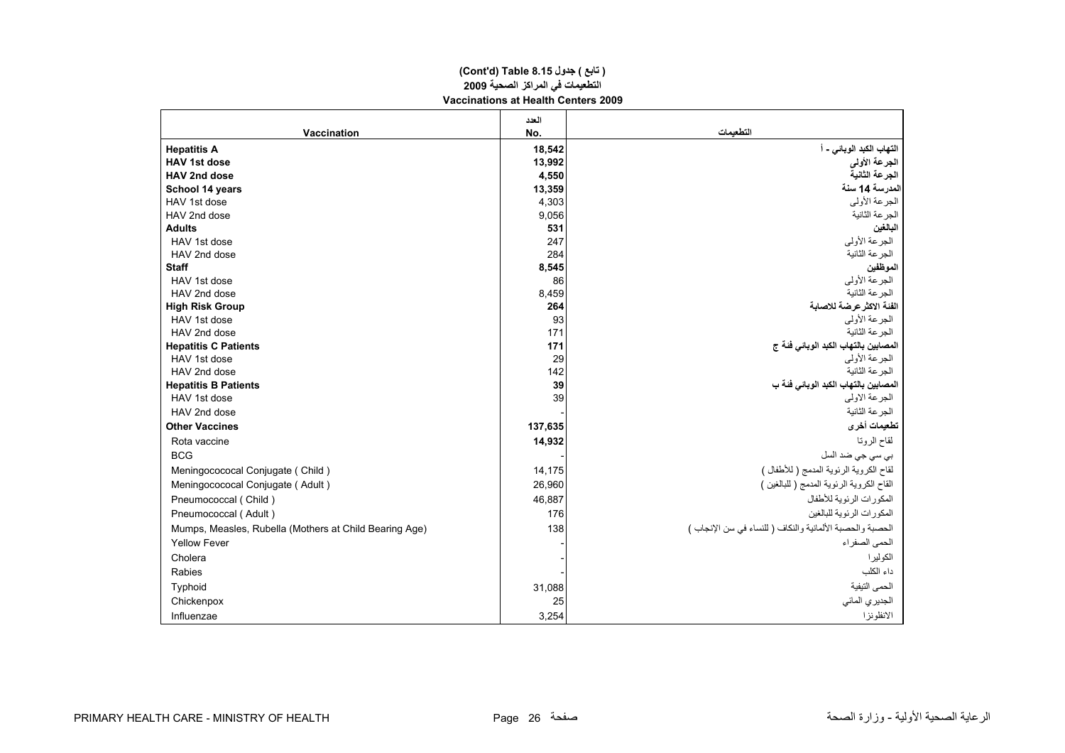#### **(Cont'd) Table 8.15 جدول ) تابع( التطعيمات في المراآز الصحية <sup>2009</sup> Vaccinations at Health Centers 2009**

|                                                        | العدد   |                                                           |
|--------------------------------------------------------|---------|-----------------------------------------------------------|
| <b>Vaccination</b>                                     | No.     | التطعمات                                                  |
| <b>Hepatitis A</b>                                     | 18,542  | التهاب الكبد الوبائي - أ                                  |
| <b>HAV 1st dose</b>                                    | 13,992  | الجرعة الأولى                                             |
| HAV 2nd dose                                           | 4,550   | الجرعة الثانية                                            |
| School 14 years                                        | 13,359  | المدرسة 14 سنة                                            |
| HAV 1st dose                                           | 4,303   | الجرعة الأولى                                             |
| HAV 2nd dose                                           | 9,056   | الجرعة الثانية                                            |
| <b>Adults</b>                                          | 531     | البالغين                                                  |
| HAV 1st dose                                           | 247     | الجر عة الأولى                                            |
| HAV 2nd dose                                           | 284     | الجرعة الثانية                                            |
| <b>Staff</b>                                           | 8,545   | الموظفين                                                  |
| HAV 1st dose                                           | 86      | الجرعة الأولى                                             |
| HAV 2nd dose                                           | 8,459   | الجر عة الثانبة                                           |
| <b>High Risk Group</b>                                 | 264     | الفئة الاكثر عرضة للاصابة                                 |
| HAV 1st dose                                           | 93      | الجرعة الأولى                                             |
| HAV 2nd dose                                           | 171     | الجر عة الثانية                                           |
| <b>Hepatitis C Patients</b>                            | 171     | المصابين بالتهاب الكبد الوبائي فئة ج                      |
| HAV 1st dose                                           | 29      | الجر عة الأولى                                            |
| HAV 2nd dose                                           | 142     | الجر عة الثانبة                                           |
| <b>Hepatitis B Patients</b>                            | 39      | المصابين بالتهاب الكبد الوبائي فَنَة ب                    |
| HAV 1st dose                                           | 39      | الجرعة الاولى                                             |
| HAV 2nd dose                                           |         | الجرعة الثانية                                            |
| <b>Other Vaccines</b>                                  | 137,635 | تطعيمات أخرى                                              |
| Rota vaccine                                           | 14,932  | لقاح الروتا                                               |
| <b>BCG</b>                                             |         | بي سي جي ضد السل                                          |
| Meningocococal Conjugate (Child)                       | 14,175  | لقاح الكروية الرئوية المدمج ( للأطفال )                   |
| Meningocococal Conjugate (Adult)                       | 26,960  | القاح الكروية الرئوية المدمج ( للبالغين )                 |
| Pneumococcal (Child)                                   | 46,887  | المكورات الرئوية للأطفال                                  |
| Pneumococcal (Adult)                                   | 176     | المكورات الرئوية للبالغين                                 |
| Mumps, Measles, Rubella (Mothers at Child Bearing Age) | 138     | الحصبة والحصبة الألمانية والنكاف ( للنساء في سن الإنجاب ) |
| <b>Yellow Fever</b>                                    |         | الحمى الصفر اء                                            |
| Cholera                                                |         | الكولير ا                                                 |
| Rabies                                                 |         | داء الكلب                                                 |
| Typhoid                                                | 31,088  | الحمى التيفية                                             |
| Chickenpox                                             | 25      | الجديري المائي                                            |
| Influenzae                                             | 3,254   | الانفلونزا                                                |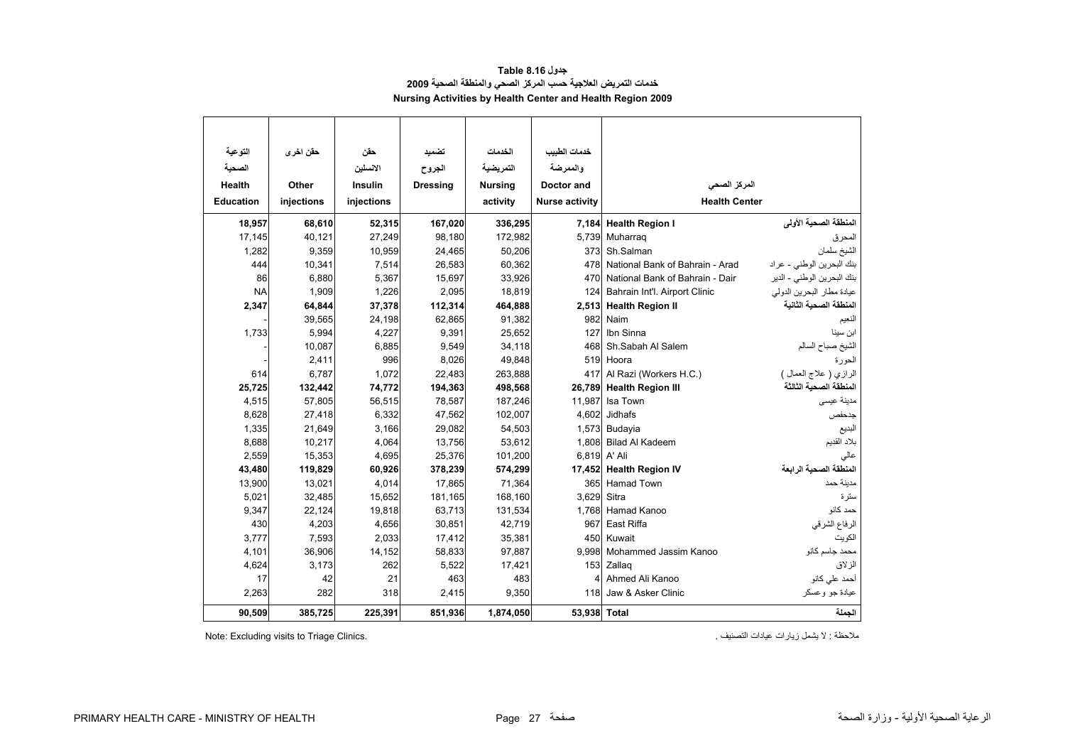#### **جدول 8.16 Table خدمات التمريض العلاجية حسب المرآز الصحي والمنطقة الصحية <sup>2009</sup> Nursing Activities by Health Center and Health Region 2009**

<span id="page-27-0"></span>

| التوعية          | حقن اخر ي  | حقن            | تضميد           | الخدمات        | خدمات الطبيب          |                                             |                            |  |  |  |
|------------------|------------|----------------|-----------------|----------------|-----------------------|---------------------------------------------|----------------------------|--|--|--|
| الصحية           |            | الانسلين       | الجروح          | التمريضية      | والممرضة              |                                             |                            |  |  |  |
| Health           | Other      | <b>Insulin</b> | <b>Dressing</b> | <b>Nursing</b> | Doctor and            | المركز الصحى                                |                            |  |  |  |
| <b>Education</b> | injections | injections     |                 | activity       | <b>Nurse activity</b> | <b>Health Center</b>                        |                            |  |  |  |
| 18,957           | 68,610     | 52,315         | 167,020         | 336,295        |                       | 7,184 Health Region I                       | المنطقة الصحية الأولى      |  |  |  |
| 17,145           | 40,121     | 27,249         | 98,180          | 172,982        | 5,739                 | Muharrag                                    | المحرق                     |  |  |  |
| 1,282            | 9,359      | 10,959         | 24,465          | 50,206         | 373                   | Sh.Salman                                   | الشيخ سلمان                |  |  |  |
| 444              | 10,341     | 7,514          | 26,583          | 60,362         | 478                   | National Bank of Bahrain - Arad             | بنك البحرين الوطني - عراد  |  |  |  |
| 86               | 6,880      | 5,367          | 15,697          | 33,926         | 470                   | National Bank of Bahrain - Dair             | بنك البحرين الوطني - الدير |  |  |  |
| <b>NA</b>        | 1,909      | 1,226          | 2,095           | 18,819         |                       | 124 Bahrain Int'l. Airport Clinic           | عيادة مطار البحرين الدولمي |  |  |  |
| 2,347            | 64,844     | 37,378         | 112,314         | 464,888        |                       | 2,513 Health Region II                      | المنطقة الصحية الثانية     |  |  |  |
|                  | 39,565     | 24,198         | 62,865          | 91,382         | 982                   | Naim                                        | النعيم                     |  |  |  |
| 1,733            | 5,994      | 4,227          | 9,391           | 25,652         | 127                   | Ibn Sinna                                   | ابن سينا                   |  |  |  |
|                  | 10,087     | 6,885          | 9,549           | 34,118         | 468                   | Sh.Sabah Al Salem                           | الشيخ صباح السالم          |  |  |  |
|                  | 2,411      | 996            | 8,026           | 49,848         | 519                   | Hoora                                       | الحورة                     |  |  |  |
| 614              | 6,787      | 1,072          | 22,483          | 263,888        | 417                   | Al Razi (Workers H.C.)                      | الرازي ( علاج العمال )     |  |  |  |
| 25,725           | 132,442    | 74,772         | 194,363         | 498,568        | 26,789                | <b>Health Region III</b>                    | المنطقة الصحية الثالثة     |  |  |  |
| 4,515            | 57,805     | 56,515         | 78,587          | 187,246        | 11,987                | Isa Town                                    | مدينة عيسى                 |  |  |  |
| 8,628            | 27,418     | 6,332          | 47,562          | 102,007        | 4,602                 | <b>Jidhafs</b>                              | جدحفص                      |  |  |  |
| 1,335            | 21,649     | 3,166          | 29,082          | 54,503         | 1,573                 | Budayia                                     | البديع                     |  |  |  |
| 8,688            | 10,217     | 4,064          | 13,756          | 53,612         | 1,808                 | <b>Bilad Al Kadeem</b>                      | بلاد القديم                |  |  |  |
| 2,559            | 15,353     | 4,695          | 25,376          | 101,200        | 6,819                 | A' Ali                                      | عالى                       |  |  |  |
| 43,480           | 119,829    | 60,926         | 378,239         | 574,299        | 17,452                | <b>Health Region IV</b>                     | المنطقة الصحية الرابعة     |  |  |  |
| 13,900           | 13,021     | 4,014          | 17,865          | 71,364         | 365                   | <b>Hamad Town</b>                           | مدينة حمد                  |  |  |  |
| 5,021            | 32,485     | 15,652         | 181,165         | 168.160        | 3.629                 | Sitra                                       | ستر ۃ                      |  |  |  |
| 9,347            | 22,124     | 19,818         | 63,713          | 131,534        | 1,768                 | Hamad Kanoo                                 | حمد كانو                   |  |  |  |
| 430              | 4,203      | 4,656          | 30,851          | 42,719         | 967                   | East Riffa                                  | الرفاع الشرقي              |  |  |  |
| 3,777            | 7,593      | 2,033          | 17,412          | 35,381         | 450                   | Kuwait                                      | الكويت                     |  |  |  |
| 4,101            | 36,906     | 14,152         | 58,833          | 97,887         | 9,998                 | Mohammed Jassim Kanoo                       | محمد جاسم كانو             |  |  |  |
| 4,624            | 3,173      | 262            | 5,522           | 17,421         |                       | الزلاق<br>153<br>Zallag                     |                            |  |  |  |
| 17               | 42         | 21             | 463             | 483            | 4                     | Ahmed Ali Kanoo<br>أحمد على كانو            |                            |  |  |  |
| 2,263            | 282        | 318            | 2,415           | 9,350          |                       | Jaw & Asker Clinic<br>118<br>عيادة جو وعسكر |                            |  |  |  |
| 90,509           | 385,725    | 225,391        | 851,936         | 1,874,050      | 53,938 Total          |                                             | الجملة                     |  |  |  |

Note: Excluding visits to Triage Clinics.

ملاحظة : لا يشمل زيارات عيادات التصنيف .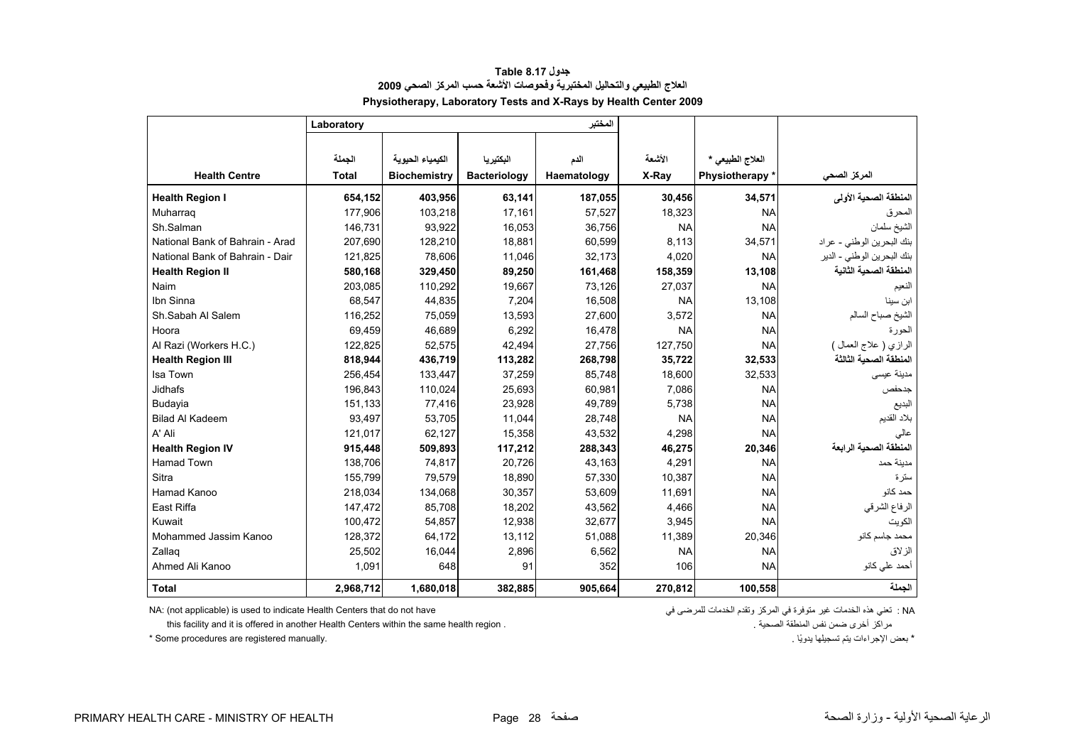<span id="page-28-0"></span>

|                                 | Laboratory   |                     |                     | المختبر     |           |                  |                            |
|---------------------------------|--------------|---------------------|---------------------|-------------|-----------|------------------|----------------------------|
|                                 |              |                     |                     |             |           |                  |                            |
|                                 | الجملة       | الكيمياء الحيوية    | البكتيريا           | الدم        | الأشعة    | العلاج الطبيعي * |                            |
| <b>Health Centre</b>            | <b>Total</b> | <b>Biochemistry</b> | <b>Bacteriology</b> | Haematology | X-Ray     | Physiotherapy *  | المركز الصحي               |
| <b>Health Region I</b>          | 654,152      | 403,956             | 63,141              | 187,055     | 30,456    | 34,571           | المنطقة الصحية الأولى      |
| Muharraq                        | 177,906      | 103,218             | 17,161              | 57,527      | 18,323    | <b>NA</b>        | لمحرق                      |
| Sh.Salman                       | 146,731      | 93,922              | 16,053              | 36,756      | <b>NA</b> | <b>NA</b>        | الشيخ سلمان                |
| National Bank of Bahrain - Arad | 207,690      | 128,210             | 18,881              | 60,599      | 8,113     | 34,571           | بنك البحرين الوطني - عراد  |
| National Bank of Bahrain - Dair | 121,825      | 78,606              | 11,046              | 32,173      | 4,020     | <b>NA</b>        | بنك البحرين الوطني - الدير |
| <b>Health Region II</b>         | 580,168      | 329,450             | 89,250              | 161,468     | 158,359   | 13,108           | المنطقة الصحية الثانية     |
| Naim                            | 203,085      | 110,292             | 19,667              | 73,126      | 27,037    | <b>NA</b>        | الفعيم                     |
| Ibn Sinna                       | 68,547       | 44,835              | 7,204               | 16,508      | <b>NA</b> | 13.108           | ابن سينا                   |
| Sh.Sabah Al Salem               | 116,252      | 75,059              | 13,593              | 27,600      | 3,572     | <b>NA</b>        | الشيخ صباح السالم          |
| Hoora                           | 69,459       | 46,689              | 6,292               | 16,478      | <b>NA</b> | <b>NA</b>        | الحورة                     |
| Al Razi (Workers H.C.)          | 122,825      | 52,575              | 42,494              | 27,756      | 127,750   | <b>NA</b>        | الرازي ( علاج العمال )     |
| <b>Health Region III</b>        | 818,944      | 436,719             | 113,282             | 268,798     | 35,722    | 32,533           | المنطقة الصحية الثالثة     |
| Isa Town                        | 256,454      | 133,447             | 37,259              | 85,748      | 18,600    | 32,533           | مدينة عيسى                 |
| Jidhafs                         | 196,843      | 110,024             | 25,693              | 60,981      | 7,086     | <b>NA</b>        | جدحفص                      |
| Budayia                         | 151,133      | 77,416              | 23,928              | 49,789      | 5,738     | <b>NA</b>        | البديع                     |
| <b>Bilad Al Kadeem</b>          | 93,497       | 53,705              | 11,044              | 28,748      | <b>NA</b> | <b>NA</b>        | بلاد القديم                |
| A' Ali                          | 121,017      | 62,127              | 15,358              | 43,532      | 4,298     | <b>NA</b>        | عالى                       |
| <b>Health Region IV</b>         | 915,448      | 509,893             | 117,212             | 288,343     | 46,275    | 20,346           | المنطقة الصحية الرابعة     |
| <b>Hamad Town</b>               | 138,706      | 74,817              | 20,726              | 43,163      | 4,291     | <b>NA</b>        | مدينة حمد                  |
| Sitra                           | 155,799      | 79,579              | 18,890              | 57,330      | 10,387    | <b>NA</b>        | سترة                       |
| Hamad Kanoo                     | 218,034      | 134,068             | 30,357              | 53,609      | 11,691    | <b>NA</b>        | حمد كانو                   |
| East Riffa                      | 147,472      | 85,708              | 18,202              | 43,562      | 4,466     | <b>NA</b>        | الرفاع الشرقي              |
| Kuwait                          | 100,472      | 54,857              | 12,938              | 32,677      | 3,945     | <b>NA</b>        | الكويت                     |
| Mohammed Jassim Kanoo           | 128,372      | 64,172              | 13,112              | 51,088      | 11,389    | 20,346           | محمد جاسم كانو             |
| Zallaq                          | 25,502       | 16,044              | 2,896               | 6,562       | <b>NA</b> | <b>NA</b>        | الزلاق                     |
| Ahmed Ali Kanoo                 | 1,091        | 648                 | 91                  | 352         | 106       | <b>NA</b>        | أحمد علي كانو              |
| Total                           | 2,968,712    | 1,680,018           | 382,885             | 905,664     | 270,812   | 100,558          | الجملة                     |

#### **جدول 8.17 Table العلاج الطبيعي والتحاليل المختبرية وفحوصات الأشعة حسب المرآز الصحي <sup>2009</sup> Physiotherapy, Laboratory Tests and X-Rays by Health Center 2009**

NA: (not applicable) is used to indicate Health Centers that do not have : تعني هذه الخدمات غير متوفرة في المركز وتقدم الخدمات للمرضى في<br>مراكز أخرى ضمن نفس المنطقة الصحية . "this facility and it is offered in another Heal حراكر أخرى ضمن نفس المنطقة الصحية .<br>\* بعض الإجراءات يتم تسجيلها يدويًا .<br>\* بعض الإجراءات يتم تسجيلها يدويًا .

\* Some procedures are registered manually.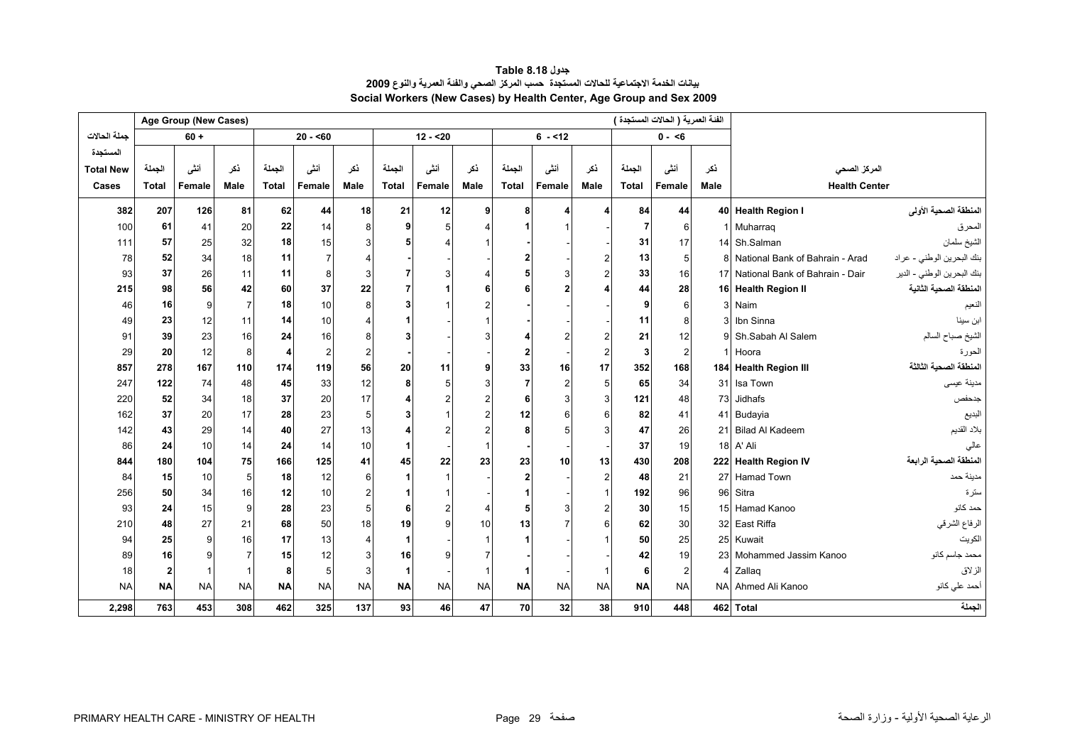<span id="page-29-0"></span>

|                  |                         | Age Group (New Cases) |                |              |                |                |              |           |           |                |           |           |              | الفَنَة العمرية ( الحالات المستجدة ) |             |                                    |                            |
|------------------|-------------------------|-----------------------|----------------|--------------|----------------|----------------|--------------|-----------|-----------|----------------|-----------|-----------|--------------|--------------------------------------|-------------|------------------------------------|----------------------------|
| جملة الحالات     |                         | $60 +$                |                |              | $20 - 60$      |                |              | $12 - 20$ |           |                | $6 - 12$  |           |              | $0 - 6$                              |             |                                    |                            |
| المستجدة         |                         |                       |                |              |                |                |              |           |           |                |           |           |              |                                      |             |                                    |                            |
| <b>Total New</b> | الجملة                  | أنشى                  | نكر            | الجملة       | أننى           | ذكر            | الجملة       | أنشى      | نكر       | الجملة         | أننى      | نكر       | الجملة       | أنشى                                 | نكر         | المركز الصحي                       |                            |
| Cases            | <b>Total</b>            | Female                | Male           | <b>Total</b> | Female         | Male           | <b>Total</b> | Female    | Male      | <b>Total</b>   | Female    | Male      | <b>Total</b> | Female                               | <b>Male</b> | <b>Health Center</b>               |                            |
| 382              | 207                     | 126                   | 81             | 62           | 44             | 18             | 21           | 12        | 9         | 8              |           |           | 84           | 44                                   |             | 40 Health Region I                 | المنطقة الصحية الأولى      |
| 100              | 61                      | 41                    | 20             | 22           | 14             | 8              |              |           |           |                |           |           | 7            | 6                                    |             | Muharrag                           | المحرق                     |
| 111              | 57                      | 25                    | 32             | 18           | 15             |                |              |           |           |                |           |           | 31           | 17                                   |             | 14 Sh.Salman                       | الشيخ سلمان                |
| 78               | 52                      | 34                    | 18             | 11           | $\overline{7}$ |                |              |           |           |                |           |           | 13           | 5                                    |             | National Bank of Bahrain - Arad    | بنك البحرين الوطني - عراد  |
| 93               | 37                      | 26                    | 11             | 11           | 8              | 3              |              | 3         |           |                |           |           | 33           | 16                                   |             | 17 National Bank of Bahrain - Dair | بنك البحرين الوطني - الدير |
| 215              | 98                      | 56                    | 42             | 60           | 37             | 22             |              |           |           |                |           |           | 44           | 28                                   |             | 16 Health Region II                | المنطقة الصحية الثانية     |
| 46               | 16                      | 9                     | $\overline{7}$ | 18           | 10             | 8              |              |           |           |                |           |           |              | 6                                    |             | Naim                               | النعيم                     |
| 49               | 23                      | 12                    | 11             | 14           | 10             |                |              |           |           |                |           |           | 11           | 8                                    |             | Ibn Sinna                          | ابن سينا                   |
| 91               | 39                      | 23                    | 16             | 24           | 16             |                |              |           |           |                |           |           | 21           | 12                                   |             | Sh.Sabah Al Salem                  | الشيخ صباح السالم          |
| 29               | 20                      | 12                    | 8              | 4            | $\overline{2}$ | $\overline{2}$ |              |           |           | $\overline{2}$ |           |           | 3            | $\overline{2}$                       |             | Hoora                              | الحورة                     |
| 857              | 278                     | 167                   | 110            | 174          | 119            | 56             | 20           | 11        |           | 33             | 16        | 17        | 352          | 168                                  |             | 184 Health Region III              | المنطقة الصحية الثالثة     |
| 247              | 122                     | 74                    | 48             | 45           | 33             | 12             |              | 5         |           |                | 2         | 5         | 65           | 34                                   | 31          | Isa Town                           | مدينة عيسى                 |
| 220              | 52                      | 34                    | 18             | 37           | 20             | 17             |              |           |           | 6              |           |           | 121          | 48                                   | 73          | Jidhafs                            | جدحفص                      |
| 162              | 37                      | 20                    | 17             | 28           | 23             | 5              |              |           |           | 12             |           |           | 82           | 41                                   |             | 41 Budayia                         | البديع                     |
| 142              | 43                      | 29                    | 14             | 40           | 27             | 13             |              |           |           |                |           |           | 47           | 26                                   | 21          | <b>Bilad Al Kadeem</b>             | بلاد القديم                |
| 86               | 24                      | 10                    | 14             | 24           | 14             | 10             |              |           |           |                |           |           | 37           | 19                                   |             | 18 A' Ali                          | عالي                       |
| 844              | 180                     | 104                   | 75             | 166          | 125            | 41             | 45           | 22        | 23        | 23             | 10        | 13        | 430          | 208                                  |             | 222 Health Region IV               | المنطقة الصحية الرابعة     |
| 84               | 15                      | 10                    | 5              | 18           | 12             | 6              |              |           |           | $\mathbf{2}$   |           |           | 48           | 21                                   |             | 27 Hamad Town                      | مدينة حمد                  |
| 256              | 50                      | 34                    | 16             | 12           | 10             |                |              |           |           |                |           |           | 192          | 96                                   | 96          | Sitra                              | سترة                       |
| 93               | 24                      | 15                    | 9              | 28           | 23             | 5              |              |           |           | 5              |           |           | 30           | 15                                   |             | 15 Hamad Kanoo                     | حمد كانو                   |
| 210              | 48                      | 27                    | 21             | 68           | 50             | 18             | 19           |           | 10        | 13             |           |           | 62           | 30                                   |             | 32 East Riffa                      | الرفاع الشرقي              |
| 94               | 25                      | 9                     | 16             | 17           | 13             |                |              |           |           |                |           |           | 50           | 25                                   |             | 25 Kuwait                          | الكويت                     |
| 89               | 16                      | 9                     |                | 15           | 12             |                | 16           |           |           |                |           |           | 42           | 19                                   | 23          | Mohammed Jassim Kanoo              | محمد جاسم كانو             |
| 18               | $\overline{\mathbf{2}}$ |                       |                | 8            | 5              | 3              |              |           |           |                |           |           | 6            | $\overline{2}$                       |             | Zallag                             | الزلاق                     |
| <b>NA</b>        | <b>NA</b>               | <b>NA</b>             | <b>NA</b>      | <b>NA</b>    | <b>NA</b>      | <b>NA</b>      | <b>NA</b>    | <b>NA</b> | <b>NA</b> | <b>NA</b>      | <b>NA</b> | <b>NA</b> | <b>NA</b>    | <b>NA</b>                            | <b>NAI</b>  | Ahmed Ali Kanoo                    | أحمد علي كانو              |
| 2,298            | 763                     | 453                   | 308            | 462          | 325            | 137            | 93           | 46        | 47        | 70             | 32        | 38        | 910          | 448                                  |             | 462 Total                          | الجملة                     |

#### **جدول 8.18 Table بيانات الخدمة الاجتماعية للحالات المستجدة حسب المرآز الصحي والفئة العمرية والنوع<sup>2009</sup> Social Workers (New Cases) by Health Center, Age Group and Sex 2009**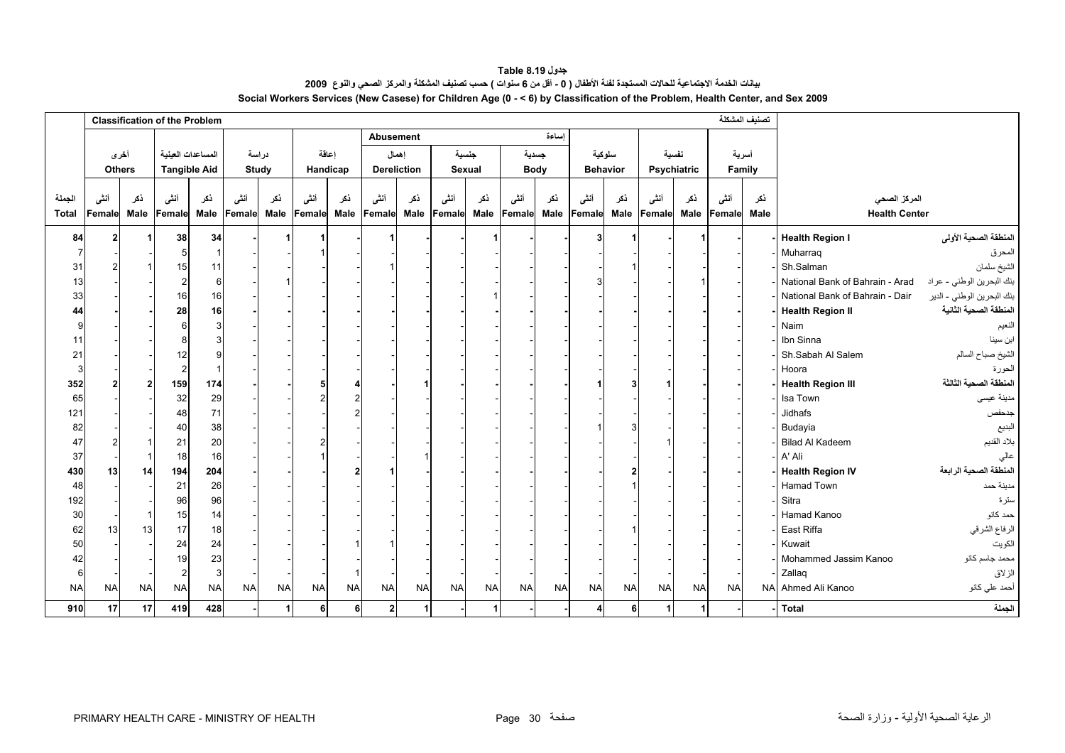**جدول 8.19 Table** بيانات الخدمة الاجتماعية للحالات المستجدة لفنة الأطفال ( 0 - أقل من 6 سنوات ) حسب تصنيف المشكلة والمركز الصحي والنوع 2009 **Social Workers Services (New Casese) for Children Age (0 - < 6) by Classification of the Problem, Health Center, and Sex 2009**

<span id="page-30-0"></span>

|                        | <b>Classification of the Problem</b> |              |                     |             |                |                    |                |             |                  |                    |                |             |                |             | تصنيف المشكلة  |                 |                |             |                |             |                                      |                            |
|------------------------|--------------------------------------|--------------|---------------------|-------------|----------------|--------------------|----------------|-------------|------------------|--------------------|----------------|-------------|----------------|-------------|----------------|-----------------|----------------|-------------|----------------|-------------|--------------------------------------|----------------------------|
|                        |                                      |              |                     |             |                |                    |                |             | <b>Abusement</b> |                    |                |             |                | اساءة       |                |                 |                |             |                |             |                                      |                            |
|                        |                                      | أخرى         | المساعدات العينية   |             | دراسة          |                    |                | اعاقة       |                  | اهمال              |                | جنسية       |                | جسدية       |                | سلوكية          |                | نفسية       |                | أسرية       |                                      |                            |
|                        | <b>Others</b>                        |              | <b>Tangible Aid</b> |             |                | Study              |                | Handicap    |                  | <b>Dereliction</b> | Sexual         |             |                | <b>Body</b> |                | <b>Behavior</b> |                | Psychiatric |                | Family      |                                      |                            |
| الجملة<br><b>Total</b> | أننى<br>Female                       | نكر<br>Male  | أنشى<br>Female      | ذكر<br>Male | أنشى<br>Female | نكر<br><b>Male</b> | أنشى<br>Female | ذكر<br>Male | أنشى<br>Female   | نكر<br>Male        | أنشى<br>Female | نكر<br>Male | أننى<br>Female | ذكر<br>Male | أنشى<br>Female | ذكر<br>Male     | أنثى<br>Female | نكر<br>Male | أنشى<br>Female | ذكر<br>Male | المركز الصحى<br><b>Health Center</b> |                            |
| 84                     | $\mathbf{2}$                         |              | 38                  | 34          |                |                    |                |             |                  |                    |                |             |                |             | 3              |                 |                |             |                |             | <b>Health Region I</b>               | المنطقة الصحية الأولى      |
|                        |                                      |              | 5                   |             |                |                    |                |             |                  |                    |                |             |                |             |                |                 |                |             |                |             | Muharrag                             | المحرق                     |
| 31                     |                                      |              | 15                  | 11          |                |                    |                |             |                  |                    |                |             |                |             |                |                 |                |             |                |             | Sh.Salman                            | الشيخ سلمان                |
| 13                     |                                      |              | $\overline{2}$      | 6           |                |                    |                |             |                  |                    |                |             |                |             |                |                 |                |             |                |             | National Bank of Bahrain - Arad      | بنك البحرين الوطني - عراد  |
| 33                     |                                      |              | 16                  | 16          |                |                    |                |             |                  |                    |                |             |                |             |                |                 |                |             |                |             | National Bank of Bahrain - Dair      | بنك البحرين الوطني - الدير |
| 44                     |                                      |              | 28                  | 16          |                |                    |                |             |                  |                    |                |             |                |             |                |                 |                |             |                |             | <b>Health Region II</b>              | المنطقة الصحية الثانية     |
| 9                      |                                      |              | 6                   |             |                |                    |                |             |                  |                    |                |             |                |             |                |                 |                |             |                |             | Naim                                 | النعيم                     |
| 11                     |                                      |              | 8                   |             |                |                    |                |             |                  |                    |                |             |                |             |                |                 |                |             |                |             | Ibn Sinna                            | ابن سينا                   |
| 21                     |                                      |              | 12                  |             |                |                    |                |             |                  |                    |                |             |                |             |                |                 |                |             |                |             | Sh.Sabah Al Salem                    | الشيخ صباح السالم          |
| 3                      |                                      |              | $\overline{2}$      |             |                |                    |                |             |                  |                    |                |             |                |             |                |                 |                |             |                |             | Hoora                                | الحورة                     |
| 352                    |                                      | $\mathbf{c}$ | 159                 | 174         |                |                    |                |             |                  |                    |                |             |                |             |                |                 |                |             |                |             | <b>Health Region III</b>             | المنطقة الصحبة الثالثة     |
| 65                     |                                      |              | 32                  | 29          |                |                    |                |             |                  |                    |                |             |                |             |                |                 |                |             |                |             | Isa Town                             | مدينة عيسى                 |
| 121                    |                                      |              | 48                  | 71          |                |                    |                |             |                  |                    |                |             |                |             |                |                 |                |             |                |             | Jidhafs                              | جدحفص                      |
| 82                     |                                      |              | 40                  | 38          |                |                    |                |             |                  |                    |                |             |                |             |                |                 |                |             |                |             | Budayia                              | البديع                     |
| 47                     |                                      |              | 21                  | 20          |                |                    |                |             |                  |                    |                |             |                |             |                |                 |                |             |                |             | <b>Bilad Al Kadeem</b>               | بلاد القديم                |
| 37                     |                                      |              | 18                  | 16          |                |                    |                |             |                  |                    |                |             |                |             |                |                 |                |             |                |             | A' Ali                               | عالى                       |
| 430                    | 13                                   | 14           | 194                 | 204         |                |                    |                |             |                  |                    |                |             |                |             |                |                 |                |             |                |             | <b>Health Region IV</b>              | المنطقة الصحية الرابعة     |
| 48                     |                                      |              | 21                  | 26          |                |                    |                |             |                  |                    |                |             |                |             |                |                 |                |             |                |             | Hamad Town                           | مدينة حمد                  |
| 192                    |                                      |              | 96                  | 96          |                |                    |                |             |                  |                    |                |             |                |             |                |                 |                |             |                |             | Sitra                                | سترة                       |
| $30\,$                 |                                      |              | 15                  | 14          |                |                    |                |             |                  |                    |                |             |                |             |                |                 |                |             |                |             | Hamad Kanoo                          | حمد كانو                   |
| 62                     | 13                                   | 13           | 17                  | 18          |                |                    |                |             |                  |                    |                |             |                |             |                |                 |                |             |                |             | East Riffa                           | الرفاع الشرقي              |
| 50                     |                                      |              | 24                  | 24          |                |                    |                |             |                  |                    |                |             |                |             |                |                 |                |             |                |             | Kuwait                               | الكويت                     |
| 42                     |                                      |              | 19                  | 23          |                |                    |                |             |                  |                    |                |             |                |             |                |                 |                |             |                |             | Mohammed Jassim Kanoo                | محمد جاسم كانو             |
| 6                      |                                      |              | $\overline{2}$      | 3           |                |                    |                |             |                  |                    |                |             |                |             |                |                 |                |             |                |             | Zallag                               | الزلاق                     |
| <b>NA</b>              | <b>NA</b>                            | <b>NA</b>    | <b>NA</b>           | <b>NA</b>   | <b>NA</b>      | <b>NA</b>          | <b>NA</b>      | <b>NA</b>   | <b>NA</b>        | <b>NA</b>          | <b>NA</b>      | <b>NA</b>   | <b>NA</b>      | <b>NA</b>   | <b>NA</b>      | <b>NA</b>       | <b>NA</b>      | <b>NA</b>   | <b>NA</b>      |             | NA Ahmed Ali Kanoo                   | أحمد علي كانو              |
| 910                    | 17                                   | 17           | 419                 | 428         |                | 1                  | 6              | 6           | 2 <sub>1</sub>   | $\mathbf{1}$       |                | -1          |                |             | 4              | 6               | $\overline{1}$ | 1           |                |             | <b>Total</b>                         | الجملة                     |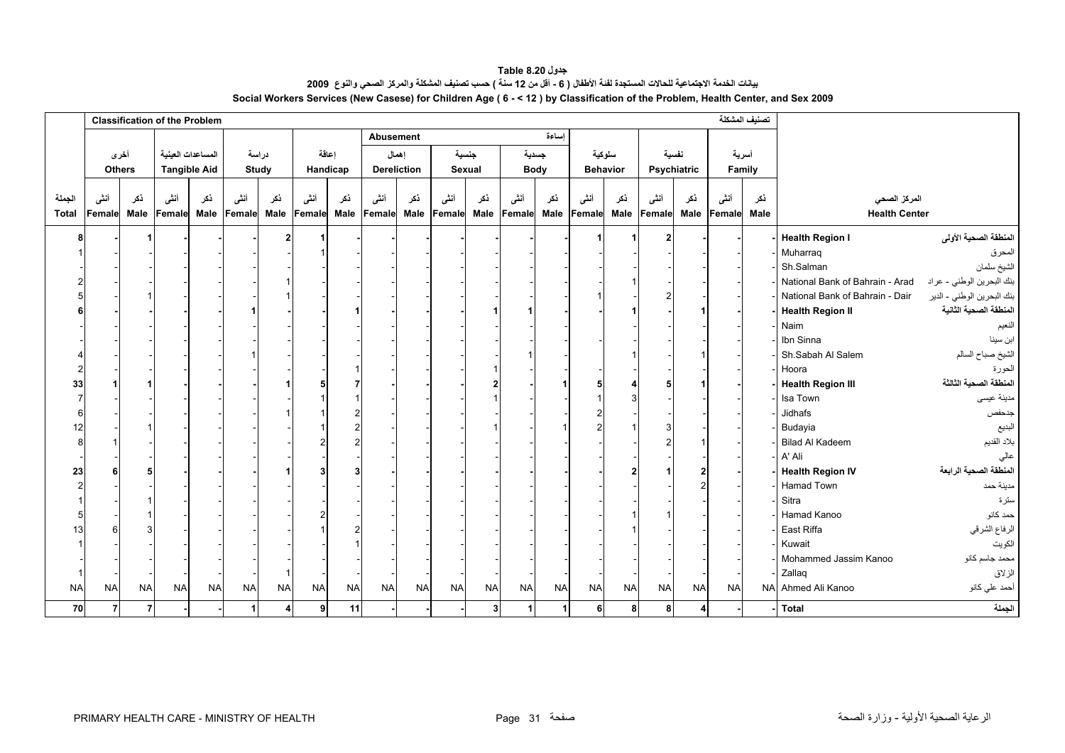**جدول 8.20 Table** بيانت الخدمة الاجتماعية للحالات المستجدة لفنة الأطفال ( 6 ـ أقل من 12 سنة ) حسب تصنيف المشكلة والمركز الصحي والنوع 2009 **Social Workers Services (New Casese) for Children Age ( 6 - < 12 ) by Classification of the Problem, Health Center, and Sex 2009**

<span id="page-31-0"></span>

|                 |                |             | <b>Classification of the Problem</b> |                                          |                |                |                |                   |                |                      |                |                 |                |                      |                |                           |                |                      |                | تصنيف المشكلة   |                                      |                            |
|-----------------|----------------|-------------|--------------------------------------|------------------------------------------|----------------|----------------|----------------|-------------------|----------------|----------------------|----------------|-----------------|----------------|----------------------|----------------|---------------------------|----------------|----------------------|----------------|-----------------|--------------------------------------|----------------------------|
|                 |                |             |                                      |                                          |                |                |                |                   | Abusement      |                      |                |                 |                | اساءة                |                |                           |                |                      |                |                 |                                      |                            |
|                 | <b>Others</b>  | أخرى        |                                      | المساعدات العينية<br><b>Tangible Aid</b> |                | دراسة<br>Study |                | اعاقة<br>Handicap |                | إهمال<br>Dereliction |                | جنسية<br>Sexual |                | جسدية<br><b>Body</b> |                | سلوكية<br><b>Behavior</b> |                | نفسية<br>Psychiatric |                | أسرية<br>Family |                                      |                            |
| الجملة<br>Total | أننى<br>Female | نكر<br>Male | أنشى<br>Female                       | نكر<br><b>Male</b>                       | أنشى<br>Female | نكر<br>Male    | أنشى<br>Female | ذكر<br>Male       | أنثى<br>Female | نكر<br>Male          | أنشى<br>Female | نكر<br>Male     | أنشى<br>Female | ذكر<br>Male          | أنشى<br>Female | ذكر<br>Male               | أنثى<br>Female | نكر<br>Male          | أنشى<br>Female | ذكر<br>Male     | المركز الصحى<br><b>Health Center</b> |                            |
| 8               |                |             |                                      |                                          |                |                |                |                   |                |                      |                |                 |                |                      |                |                           |                |                      |                |                 | <b>Health Region I</b>               | المنطقة الصحية الأولى      |
|                 |                |             |                                      |                                          |                |                |                |                   |                |                      |                |                 |                |                      |                |                           |                |                      |                |                 | Muharraq                             | المحرق                     |
|                 |                |             |                                      |                                          |                |                |                |                   |                |                      |                |                 |                |                      |                |                           |                |                      |                |                 | Sh.Salman                            | الشيخ سلمان                |
|                 |                |             |                                      |                                          |                |                |                |                   |                |                      |                |                 |                |                      |                |                           |                |                      |                |                 | National Bank of Bahrain - Arad      | بنك البحرين الوطني - عراد  |
|                 |                |             |                                      |                                          |                |                |                |                   |                |                      |                |                 |                |                      |                |                           |                |                      |                |                 | National Bank of Bahrain - Dair      | بنك البحرين الوطني - الدير |
|                 |                |             |                                      |                                          |                |                |                |                   |                |                      |                |                 |                |                      |                |                           |                |                      |                |                 | <b>Health Region II</b>              | المنطقة الصحية الثانية     |
|                 |                |             |                                      |                                          |                |                |                |                   |                |                      |                |                 |                |                      |                |                           |                |                      |                |                 | Naim                                 | النعيم                     |
|                 |                |             |                                      |                                          |                |                |                |                   |                |                      |                |                 |                |                      |                |                           |                |                      |                |                 | Ibn Sinna                            | ابن سينا                   |
|                 |                |             |                                      |                                          |                |                |                |                   |                |                      |                |                 |                |                      |                |                           |                |                      |                |                 | Sh.Sabah Al Salem                    | الشيخ صباح السالم          |
|                 |                |             |                                      |                                          |                |                |                |                   |                |                      |                |                 |                |                      |                |                           |                |                      |                |                 | Hoora                                | الحورة                     |
| 33              |                |             |                                      |                                          |                |                |                |                   |                |                      |                |                 |                |                      |                |                           |                |                      |                |                 | <b>Health Region III</b>             | المنطقة الصحية الثالثة     |
|                 |                |             |                                      |                                          |                |                |                |                   |                |                      |                |                 |                |                      |                |                           |                |                      |                |                 | Isa Town                             | مدينة عيسى                 |
|                 |                |             |                                      |                                          |                |                |                |                   |                |                      |                |                 |                |                      |                |                           |                |                      |                |                 | Jidhafs                              | جدحفص                      |
| 12              |                |             |                                      |                                          |                |                |                |                   |                |                      |                |                 |                |                      | 2              |                           |                |                      |                |                 | Budayia                              | البديع                     |
| 8               |                |             |                                      |                                          |                |                |                |                   |                |                      |                |                 |                |                      |                |                           |                |                      |                |                 | <b>Bilad Al Kadeem</b>               | بلاد القديم                |
|                 |                |             |                                      |                                          |                |                |                |                   |                |                      |                |                 |                |                      |                |                           |                |                      |                |                 | A' Ali                               | عالى                       |
| 23              |                |             |                                      |                                          |                |                |                |                   |                |                      |                |                 |                |                      |                |                           |                |                      |                |                 | <b>Health Region IV</b>              | المنطقة الصحية الرابعة     |
|                 |                |             |                                      |                                          |                |                |                |                   |                |                      |                |                 |                |                      |                |                           |                |                      |                |                 | Hamad Town                           | مدينة حمد                  |
|                 |                |             |                                      |                                          |                |                |                |                   |                |                      |                |                 |                |                      |                |                           |                |                      |                |                 | Sitra                                | سترة                       |
|                 |                |             |                                      |                                          |                |                |                |                   |                |                      |                |                 |                |                      |                |                           |                |                      |                |                 | Hamad Kanoo                          | حمد كانو                   |
| 13              |                |             |                                      |                                          |                |                |                |                   |                |                      |                |                 |                |                      |                |                           |                |                      |                |                 | East Riffa                           | الرفاع الشرقي              |
|                 |                |             |                                      |                                          |                |                |                |                   |                |                      |                |                 |                |                      |                |                           |                |                      |                |                 | Kuwait                               | الكويت                     |
|                 |                |             |                                      |                                          |                |                |                |                   |                |                      |                |                 |                |                      |                |                           |                |                      |                |                 | Mohammed Jassim Kanoo                | محمد جاسم كانو             |
|                 |                |             |                                      |                                          |                |                |                |                   |                |                      |                |                 |                |                      |                |                           |                |                      |                |                 | Zallag                               | الزلاق                     |
| <b>NA</b>       | <b>NA</b>      | <b>NA</b>   | <b>NA</b>                            | <b>NA</b>                                | <b>NA</b>      | <b>NA</b>      | <b>NA</b>      | <b>NA</b>         | <b>NA</b>      | <b>NA</b>            | <b>NA</b>      | <b>NA</b>       | <b>NA</b>      | <b>NA</b>            | <b>NA</b>      | <b>NA</b>                 | <b>NA</b>      | <b>NA</b>            | <b>NA</b>      |                 | NA Ahmed Ali Kanoo                   | أحمد علي كانو              |
| 70              | $\overline{7}$ | 7           |                                      |                                          | $\mathbf{1}$   | 4              | 9 <sub>l</sub> | 11                |                |                      |                | 3               | 1 <sup>1</sup> | $\mathbf{1}$         | 6              | 8                         | 8              | 4                    |                |                 | <b>Total</b>                         | الجملة                     |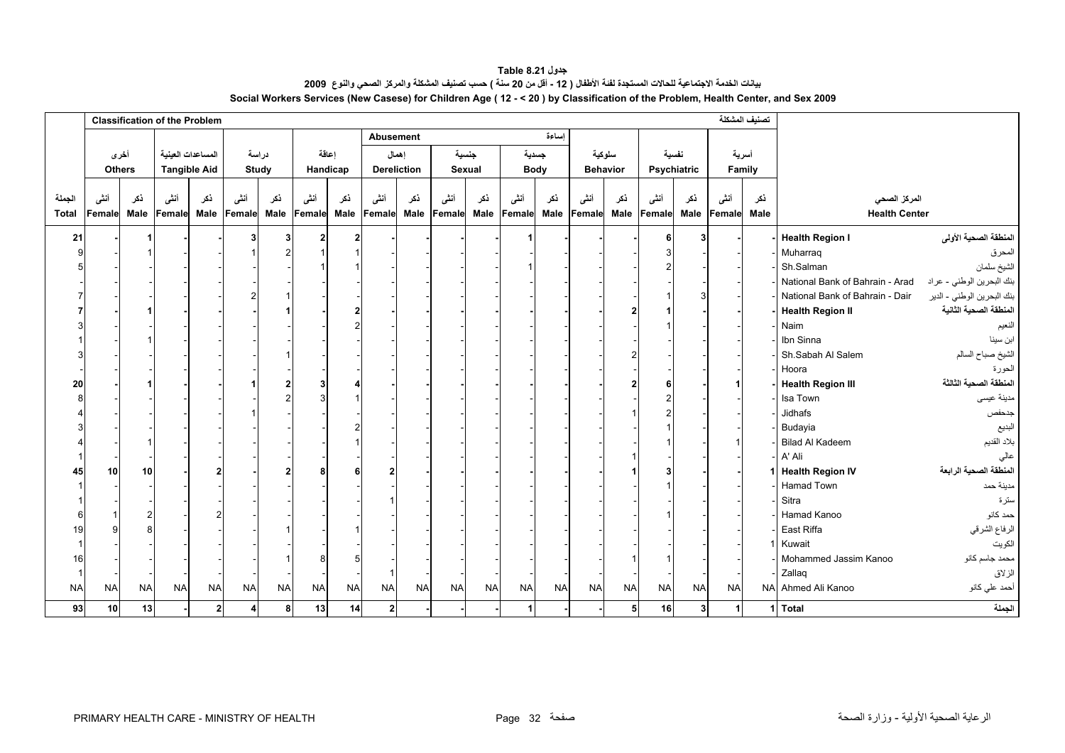**جدول 8.21 Table** .<br>بيانت الخدمة الاجتماعية للحالات المستجدة لفنة الأطفال ( 12 - أقل من 20 سنة ) حسب تصنيف المشكلة والمركز الصحي والنوع 2009 **Social Workers Services (New Casese) for Children Age ( 12 - < 20 ) by Classification of the Problem, Health Center, and Sex 2009**

<span id="page-32-0"></span>

|              | <b>Classification of the Problem</b> |           |                     |              |                  |             |           |           |                         |                    |           |             |                |             |           |                 |           |             | تصنيف المشكلة |        |                                 |                            |
|--------------|--------------------------------------|-----------|---------------------|--------------|------------------|-------------|-----------|-----------|-------------------------|--------------------|-----------|-------------|----------------|-------------|-----------|-----------------|-----------|-------------|---------------|--------|---------------------------------|----------------------------|
|              |                                      |           |                     |              |                  |             |           |           | Abusement               |                    |           |             |                | إساءة       |           |                 |           |             |               |        |                                 |                            |
|              | أخرى                                 |           | المساعدات العينية   |              |                  | دراسة       |           | اعاقة     |                         | إهمال              | جنسية     |             |                | جسدية       |           | سلوكية          |           | نفسية       | أسرية         |        |                                 |                            |
|              | <b>Others</b>                        |           | <b>Tangible Aid</b> |              |                  | Study       |           | Handicap  |                         | <b>Dereliction</b> | Sexual    |             |                | <b>Body</b> |           | <b>Behavior</b> |           | Psychiatric |               | Family |                                 |                            |
|              |                                      |           |                     |              |                  |             |           |           |                         |                    |           |             |                |             |           |                 |           |             |               |        |                                 |                            |
| الجملة       | أننى                                 | نكر       | أنشى                | نكر          | أننى             | نكر         | أنشى      | ذكر       | أنشى                    | نكر                | أننى      | نكر         | أننى           | ذكر         | أنشى      | نكر             | أننسى     | ذكر         | أنشى          | نكر    | المركز الصحى                    |                            |
| <b>Total</b> | Female                               | Male      | Female              | <b>Male</b>  | Female           | <b>Male</b> | Female    | Male      | Female                  | Male               | Female    | <b>Male</b> | Female         | Male        | Female    | Male            | Female    | Male        | Female        | Male   | <b>Health Center</b>            |                            |
| 21           |                                      |           |                     |              |                  | 3           |           | 2         |                         |                    |           |             |                |             |           |                 |           | 3           |               |        | <b>Health Region I</b>          | المنطقة الصحية الأولى      |
|              |                                      |           |                     |              |                  |             |           |           |                         |                    |           |             |                |             |           |                 |           |             |               |        | Muharraq                        | المحرق                     |
|              |                                      |           |                     |              |                  |             |           |           |                         |                    |           |             |                |             |           |                 |           |             |               |        | Sh.Salman                       | الشيخ سلمان                |
|              |                                      |           |                     |              |                  |             |           |           |                         |                    |           |             |                |             |           |                 |           |             |               |        | National Bank of Bahrain - Arad | بنك البحرين الوطني - عراد  |
|              |                                      |           |                     |              | 2                |             |           |           |                         |                    |           |             |                |             |           |                 |           | 3           |               |        | National Bank of Bahrain - Dair | بنك البحرين الوطني - الدير |
|              |                                      |           |                     |              |                  |             |           |           |                         |                    |           |             |                |             |           |                 |           |             |               |        | <b>Health Region II</b>         | المنطقة الصحية الثانية     |
|              |                                      |           |                     |              |                  |             |           |           |                         |                    |           |             |                |             |           |                 |           |             |               |        | Naim                            | النعيم                     |
|              |                                      |           |                     |              |                  |             |           |           |                         |                    |           |             |                |             |           |                 |           |             |               |        | Ibn Sinna                       | ابن سينا                   |
|              |                                      |           |                     |              |                  |             |           |           |                         |                    |           |             |                |             |           |                 |           |             |               |        | Sh.Sabah Al Salem               | الشيخ صباح السالم          |
|              |                                      |           |                     |              |                  |             |           |           |                         |                    |           |             |                |             |           |                 |           |             |               |        | Hoora                           | الحورة                     |
| 20           |                                      |           |                     |              |                  |             |           |           |                         |                    |           |             |                |             |           |                 |           |             |               |        | <b>Health Region III</b>        | المنطقة الصحية الثالثة     |
|              |                                      |           |                     |              |                  |             |           |           |                         |                    |           |             |                |             |           |                 |           |             |               |        | Isa Town                        | مدينة عيسى                 |
|              |                                      |           |                     |              |                  |             |           |           |                         |                    |           |             |                |             |           |                 |           |             |               |        | Jidhafs                         | جدحفص                      |
|              |                                      |           |                     |              |                  |             |           |           |                         |                    |           |             |                |             |           |                 |           |             |               |        | Budayia                         | البديع                     |
|              |                                      |           |                     |              |                  |             |           |           |                         |                    |           |             |                |             |           |                 |           |             |               |        | <b>Bilad Al Kadeem</b>          | بلاد القديم                |
|              |                                      |           |                     |              |                  |             |           |           |                         |                    |           |             |                |             |           |                 |           |             |               |        | A' Ali                          | عالى                       |
| 45           | 10                                   | 10        |                     |              |                  |             |           |           |                         |                    |           |             |                |             |           |                 |           |             |               |        | <b>Health Region IV</b>         | المنطقة الصحية الرابعة     |
|              |                                      |           |                     |              |                  |             |           |           |                         |                    |           |             |                |             |           |                 |           |             |               |        | Hamad Town                      | مدينة حمد                  |
|              |                                      |           |                     |              |                  |             |           |           |                         |                    |           |             |                |             |           |                 |           |             |               |        | Sitra                           | سترة                       |
|              |                                      |           |                     |              |                  |             |           |           |                         |                    |           |             |                |             |           |                 |           |             |               |        | Hamad Kanoo                     | حمد كانو                   |
| 19           |                                      |           |                     |              |                  |             |           |           |                         |                    |           |             |                |             |           |                 |           |             |               |        | East Riffa                      | الرفاع الشرقي              |
|              |                                      |           |                     |              |                  |             |           |           |                         |                    |           |             |                |             |           |                 |           |             |               |        | Kuwait                          | الكويت                     |
| 16           |                                      |           |                     |              |                  |             |           |           |                         |                    |           |             |                |             |           |                 |           |             |               |        | Mohammed Jassim Kanoo           | محمد جاسم كانو             |
| -1           |                                      |           |                     |              |                  |             |           |           |                         |                    |           |             |                |             |           |                 |           |             |               |        | Zallag                          | الزلاق                     |
| <b>NA</b>    | <b>NA</b>                            | <b>NA</b> | <b>NA</b>           | <b>NA</b>    | <b>NA</b>        | <b>NA</b>   | <b>NA</b> | <b>NA</b> | <b>NA</b>               | <b>NA</b>          | <b>NA</b> | <b>NA</b>   | <b>NA</b>      | <b>NA</b>   | <b>NA</b> | <b>NA</b>       | <b>NA</b> | <b>NA</b>   | <b>NA</b>     |        | NA Ahmed Ali Kanoo              | أحمد علي كانو              |
|              |                                      |           |                     |              |                  |             |           |           |                         |                    |           |             |                |             |           |                 |           |             |               |        |                                 |                            |
| 93           | 10                                   | 13        |                     | $\mathbf{2}$ | $\boldsymbol{4}$ | 8           | 13        | 14        | $\overline{\mathbf{2}}$ |                    |           |             | 1 <sup>1</sup> |             |           | 5 <sub>l</sub>  | 16        | 3           | $\mathbf{1}$  |        | 1 Total                         | الجملة                     |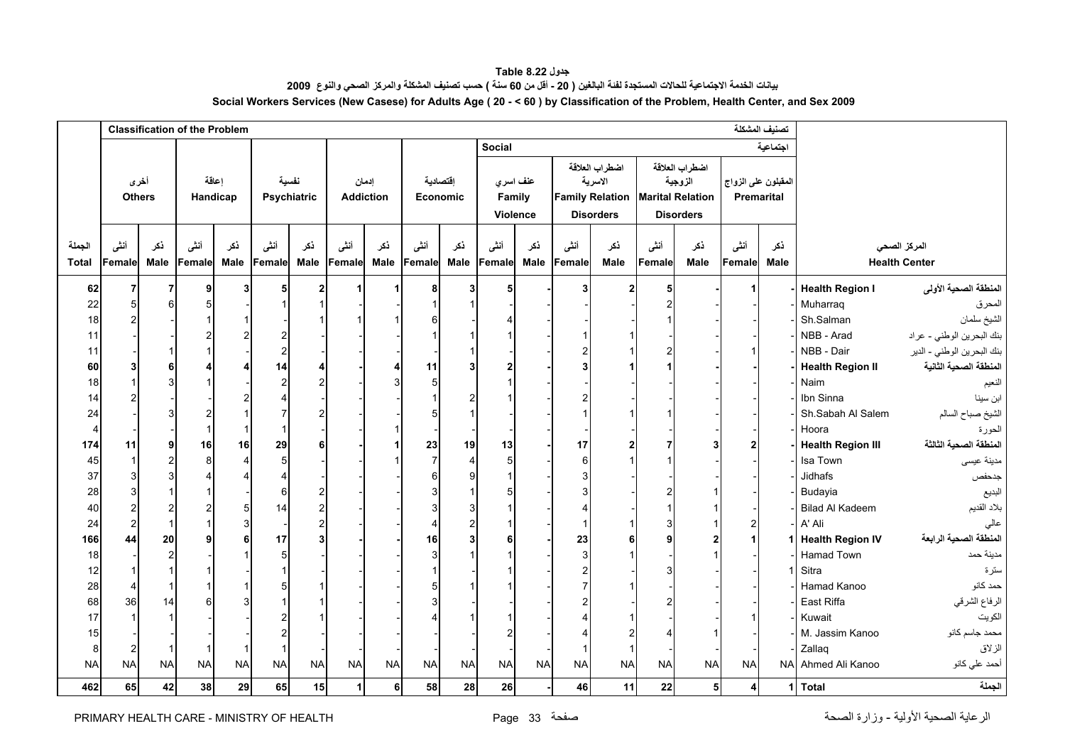<span id="page-33-0"></span>

|                |                       | <b>Classification of the Problem</b> |                   |                           |                |                      |                  |              |                 |                         |                                |           |                |                                                                         |           | تصنيف المشكلة                                                            |                                   |             |                          |                            |
|----------------|-----------------------|--------------------------------------|-------------------|---------------------------|----------------|----------------------|------------------|--------------|-----------------|-------------------------|--------------------------------|-----------|----------------|-------------------------------------------------------------------------|-----------|--------------------------------------------------------------------------|-----------------------------------|-------------|--------------------------|----------------------------|
|                |                       |                                      |                   |                           |                |                      |                  |              |                 |                         | <b>Social</b>                  |           |                |                                                                         |           |                                                                          |                                   | اجتماعية    |                          |                            |
|                | أخرى<br><b>Others</b> |                                      | إعاقة<br>Handicap |                           |                | نفسية<br>Psychiatric | <b>Addiction</b> | إدمان        | <b>Economic</b> | اقتصادية                | عنف اسري<br>Family<br>Violence |           |                | اضطراب العلاقة<br>الاسرية<br><b>Family Relation</b><br><b>Disorders</b> |           | اضطراب العلاقة<br>الزوجية<br><b>Marital Relation</b><br><b>Disorders</b> | المقبلون على الزواج<br>Premarital |             |                          |                            |
| الجملة         | أنشى                  | ذكر                                  | أنشى              | ذكر                       | أننسى          | نكر                  | أننى             | ذكر          | أننى            | نكر                     | أننسى                          | نكر       | أننى           | نكر                                                                     | أنشى      | ذكر                                                                      | أنشى                              | ذكر         |                          | المركز الصحى               |
|                |                       |                                      |                   |                           |                |                      |                  |              |                 | Male                    |                                |           |                | Male                                                                    |           | Male                                                                     |                                   | <b>Male</b> |                          | <b>Health Center</b>       |
| <b>Total</b>   | Femalel               | Male                                 | Female            | Male                      | Female         | Male                 | Female           | Male         | Female          |                         | Female                         | Male      | Female         |                                                                         | Female    |                                                                          | Female                            |             |                          |                            |
| 62             | 7                     | $\overline{7}$                       | 9                 | 3                         | 5              | $\mathbf{2}$         | 1                | $\mathbf{1}$ | 8               | 3 <sup>1</sup>          | 5                              |           | 3 <sup>1</sup> | $\mathbf{2}$                                                            | 5         |                                                                          |                                   |             | <b>Health Region I</b>   | المنطقة الصحية الأولى      |
| 22             |                       | 6                                    |                   |                           |                |                      |                  |              |                 |                         |                                |           |                |                                                                         |           |                                                                          |                                   |             | Muharraq                 | المحرق                     |
| 18             |                       |                                      |                   | $\mathbf 1$               |                |                      |                  |              |                 |                         |                                |           |                |                                                                         |           |                                                                          |                                   |             | Sh.Salman                | الشيخ سلمان                |
| 11             |                       |                                      |                   | $\overline{2}$            |                |                      |                  |              |                 |                         |                                |           |                |                                                                         |           |                                                                          |                                   |             | NBB - Arad               | بنك البحرين الوطني - عراد  |
| 11             |                       | $\mathbf 1$                          |                   |                           |                |                      |                  |              |                 |                         |                                |           |                |                                                                         |           |                                                                          |                                   |             | NBB - Dair               | بنك البحرين الوطني - الدير |
| 60             |                       | 6                                    |                   | 4                         | 14             | 4                    |                  | 4            | 11              | 3                       |                                |           |                |                                                                         |           |                                                                          |                                   |             | <b>Health Region II</b>  | المنطقة الصحية الثانية     |
| 18             |                       | 3                                    |                   |                           | $\overline{2}$ | $\overline{2}$       |                  | 3            | 5               |                         |                                |           |                |                                                                         |           |                                                                          |                                   |             | Naim                     | النعيم                     |
| 14             |                       |                                      |                   | $\overline{2}$            |                |                      |                  |              |                 | $\overline{c}$          |                                |           |                |                                                                         |           |                                                                          |                                   |             | Ibn Sinna                | ابن سينا                   |
| 24             |                       | 3                                    |                   | $\overline{1}$            |                | $\overline{2}$       |                  |              |                 |                         |                                |           |                |                                                                         |           |                                                                          |                                   |             | Sh.Sabah Al Salem        | الشيخ صباح السالم          |
| $\overline{4}$ |                       |                                      |                   | $\mathbf{1}$              |                |                      |                  | 1            |                 |                         |                                |           |                |                                                                         |           |                                                                          |                                   |             | Hoora                    | الحورة                     |
| 174            | 11                    | 9                                    | 16                | 16                        | 29             | 6                    |                  | 1            | 23              | 19                      | 13                             |           | 17             |                                                                         |           |                                                                          |                                   |             | <b>Health Region III</b> | المنطقة الصحية الثالثة     |
| 45             |                       | $\overline{c}$                       | 8                 | $\overline{4}$            | 5              |                      |                  |              | $\overline{7}$  | $\overline{4}$          |                                |           | 6              |                                                                         |           |                                                                          |                                   |             | Isa Town                 | مدينة عيسى                 |
| 37             |                       | $\mathsf 3$                          |                   | 4                         |                |                      |                  |              | 6               | 9                       |                                |           |                |                                                                         |           |                                                                          |                                   |             | Jidhafs                  | جدحفص                      |
| 28             |                       | $\mathbf 1$                          |                   |                           | 6              | 2                    |                  |              |                 |                         |                                |           |                |                                                                         |           |                                                                          |                                   |             | Budayia                  | البديع                     |
| 40             |                       | $\overline{2}$                       |                   | $\mathbf 5$               | 14             | $\overline{2}$       |                  |              |                 | 3                       |                                |           |                |                                                                         |           |                                                                          |                                   |             | <b>Bilad Al Kadeem</b>   | بلاد القديم                |
| 24             |                       | $\overline{1}$                       |                   | $\ensuremath{\mathsf{3}}$ |                | $\overline{c}$       |                  |              |                 | $\overline{\mathbf{c}}$ |                                |           |                |                                                                         |           |                                                                          | 2                                 |             | A' Ali                   | عالى                       |
| 166            | 44                    | 20                                   |                   | 6                         | 17             | 3                    |                  |              | 16              | 3                       |                                |           | 23             |                                                                         |           |                                                                          |                                   |             | 1 Health Region IV       | المنطقة الصحية الرابعة     |
| 18             |                       | $\overline{c}$                       |                   | $\mathbf{1}$              | 5              |                      |                  |              |                 |                         |                                |           | 3              |                                                                         |           |                                                                          |                                   |             | Hamad Town               | مدينة حمد                  |
| 12             |                       | $\overline{1}$                       |                   |                           |                |                      |                  |              |                 |                         |                                |           |                |                                                                         |           |                                                                          |                                   |             | Sitra                    | سترة                       |
| 28             |                       | $\mathbf{1}$                         |                   | $\mathbf 1$               |                | 1                    |                  |              |                 |                         |                                |           |                |                                                                         |           |                                                                          |                                   |             | Hamad Kanoo              | حمد كانو                   |
| 68             | 36                    | 14                                   |                   | 3                         |                |                      |                  |              |                 |                         |                                |           |                |                                                                         |           |                                                                          |                                   |             | East Riffa               | الرفاع الشرقي              |
| 17             |                       | $\overline{1}$                       |                   |                           |                |                      |                  |              |                 |                         |                                |           |                |                                                                         |           |                                                                          |                                   |             | Kuwait                   | الكويت                     |
| 15             |                       |                                      |                   |                           |                |                      |                  |              |                 |                         |                                |           |                |                                                                         |           |                                                                          |                                   |             | M. Jassim Kanoo          | محمد جاسم كانو             |
| 8              | $\overline{2}$        | $\mathbf{1}$                         |                   | -1                        |                |                      |                  |              |                 |                         |                                |           |                |                                                                         |           |                                                                          |                                   |             | Zallaq                   | الزلاق                     |
| <b>NA</b>      | <b>NA</b>             | <b>NA</b>                            | <b>NA</b>         | <b>NA</b>                 | <b>NA</b>      | <b>NA</b>            | <b>NA</b>        | <b>NA</b>    | <b>NA</b>       | <b>NA</b>               | <b>NA</b>                      | <b>NA</b> | <b>NA</b>      | <b>NA</b>                                                               | <b>NA</b> | <b>NA</b>                                                                | <b>NA</b>                         |             | NA Ahmed Ali Kanoo       | أحمد علي كانو              |
|                |                       |                                      |                   |                           |                |                      |                  |              |                 |                         |                                |           |                |                                                                         |           |                                                                          |                                   |             |                          |                            |

**جدول 8.22 Table** بيانات الخدمة الاجتماعية للحالات المستجدة لفنة البالغين ( 20 - أقل من 60 سنة ) حسب تصنيف المشكلة والمركز الصحي والنوع 2009 **Social Workers Services (New Casese) for Adults Age ( 20 - < 60 ) by Classification of the Problem, Health Center, and Sex 2009**

**الجملة Total 1 4 5 22 11 46 - 26 28 58 6 1 15 65 29 38 42 65 462**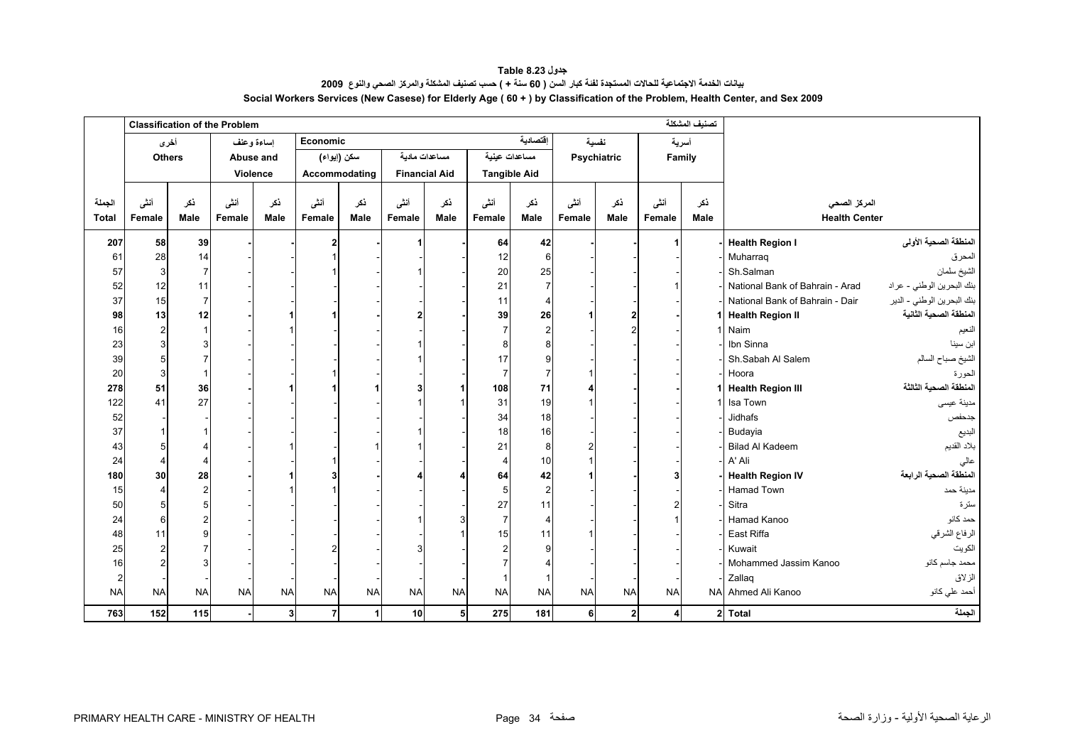**جدول 8.23 Table** بيانات الخدمة الاجتماعية للحالات المستجدة لفنة كبار السن ( 60 سنة + ) حسب تصنيف المشكلة والمركز الصحي والنوع 2009 **Social Workers Services (New Casese) for Elderly Age ( 60 + ) by Classification of the Problem, Health Center, and Sex 2009**

<span id="page-34-0"></span>

|                | <b>Classification of the Problem</b> |                |           |            |               |           |                      |           |                       |                |           |              |           | تصنيف المشكلة |                                 |                            |
|----------------|--------------------------------------|----------------|-----------|------------|---------------|-----------|----------------------|-----------|-----------------------|----------------|-----------|--------------|-----------|---------------|---------------------------------|----------------------------|
|                | أخرى                                 |                |           | إساءة وعنف | Economic      |           |                      |           |                       | اقتصادية       |           | نفسية        |           | أسرية         |                                 |                            |
|                | <b>Others</b>                        |                | Abuse and |            | سكن (إيواء)   |           | مساعدات مادبة        |           | مساعدات عينية         |                |           | Psychiatric  |           | Family        |                                 |                            |
|                |                                      |                | Violence  |            | Accommodating |           | <b>Financial Aid</b> |           | <b>Tangible Aid</b>   |                |           |              |           |               |                                 |                            |
|                |                                      |                |           |            |               |           |                      |           |                       |                |           |              |           |               |                                 |                            |
| الجملة         | أنشى                                 | ذكر            | أنشى      | نكر        | أننى          | نكر       | أننى                 | ذكر       | أننى                  | نكر            | أنشى      | ذكر          | أننى      | ذکر           | المركز الصحي                    |                            |
| <b>Total</b>   | Female                               | <b>Male</b>    | Female    | Male       | Female        | Male      | Female               | Male      | Female                | Male           | Female    | Male         | Female    | Male          | <b>Health Center</b>            |                            |
| 207            | 58                                   | 39             |           |            |               |           |                      |           | 64                    | 42             |           |              |           |               | <b>Health Region I</b>          | المنطقة الصحية الأولى      |
| 61             | 28                                   | 14             |           |            |               |           |                      |           | 12                    | 6              |           |              |           |               | Muharraq                        | المحرق                     |
| 57             | 3                                    | $\overline{7}$ |           |            |               |           |                      |           | 20                    | 25             |           |              |           |               | Sh.Salman                       | الشيخ سلمان                |
| 52             | 12                                   | 11             |           |            |               |           |                      |           | 21                    | $\overline{7}$ |           |              |           |               | National Bank of Bahrain - Arad | بنك البحرين الوطني - عراد  |
| 37             | 15                                   | $\overline{7}$ |           |            |               |           |                      |           | 11                    | $\overline{4}$ |           |              |           |               | National Bank of Bahrain - Dair | بنك البحرين الوطني - الدير |
| 98             | 13                                   | 12             |           |            |               |           |                      |           | 39                    | 26             |           |              |           |               | <b>Health Region II</b>         | المنطقة الصحية الثانية     |
| 16             | $\overline{c}$                       | $\mathbf{1}$   |           |            |               |           |                      |           |                       | $\overline{2}$ |           |              |           |               | Naim                            | النعيم                     |
| 23             | 3                                    |                |           |            |               |           |                      |           | 8                     | 8              |           |              |           |               | Ibn Sinna                       | ابن سينا                   |
| 39             | 5                                    |                |           |            |               |           |                      |           | 17                    | 9              |           |              |           |               | Sh.Sabah Al Salem               | الشيخ صباح السالم          |
| 20             | 3                                    | $\mathbf{1}$   |           |            |               |           |                      |           | 7                     | $\overline{7}$ |           |              |           |               | Hoora                           | الحورة                     |
| 278            | 51                                   | 36             |           |            |               |           |                      |           | 108                   | 71             |           |              |           |               | <b>Health Region III</b>        | المنطقة الصحية الثالثة     |
| 122            | 41                                   | 27             |           |            |               |           |                      |           | 31                    | 19             |           |              |           |               | Isa Town                        | مدينة عيسى                 |
| 52             |                                      |                |           |            |               |           |                      |           | 34                    | 18             |           |              |           |               | Jidhafs                         | جدحفص                      |
| 37             | $\overline{\mathbf{1}}$              |                |           |            |               |           |                      |           | 18                    | 16             |           |              |           |               | Budayia                         | البديع                     |
| 43             | 5                                    |                |           |            |               |           |                      |           | 21                    | 8              |           |              |           |               | <b>Bilad Al Kadeem</b>          | بلاد القديم                |
| 24             | $\overline{4}$                       | 4              |           |            |               |           |                      |           | $\boldsymbol{\Delta}$ | 10             |           |              |           |               | A' Ali                          | عالى                       |
| 180            | 30                                   | 28             |           |            |               |           |                      |           | 64                    | 42             |           |              |           |               | <b>Health Region IV</b>         | المنطقة الصحية الرابعة     |
| 15             | $\overline{4}$                       | $\overline{a}$ |           |            |               |           |                      |           | 5                     | $\overline{2}$ |           |              |           |               | <b>Hamad Town</b>               | مدينة حمد                  |
| 50             | 5                                    |                |           |            |               |           |                      |           | 27                    | 11             |           |              |           |               | Sitra                           | سترة                       |
| 24             | 6                                    |                |           |            |               |           |                      |           | $\overline{7}$        | $\overline{4}$ |           |              |           |               | Hamad Kanoo                     | حمد كانو                   |
| 48             | 11                                   |                |           |            |               |           |                      |           | 15                    | 11             |           |              |           |               | East Riffa                      | الرفاع الشرقي              |
| 25             | $\overline{2}$                       |                |           |            |               |           |                      |           | 2                     | <b>q</b>       |           |              |           |               | Kuwait                          | الكويت                     |
| 16             | 2                                    |                |           |            |               |           |                      |           |                       |                |           |              |           |               | Mohammed Jassim Kanoo           | محمد جاسم كانو             |
| $\overline{2}$ |                                      |                |           |            |               |           |                      |           |                       | -1             |           |              |           |               | Zallag                          | الزلاق                     |
| <b>NA</b>      | <b>NA</b>                            | <b>NA</b>      | <b>NA</b> | <b>NA</b>  | <b>NA</b>     | <b>NA</b> | <b>NA</b>            | <b>NA</b> | <b>NA</b>             | <b>NA</b>      | <b>NA</b> | <b>NA</b>    | <b>NA</b> |               | NA Ahmed Ali Kanoo              | أحمد علي كانو              |
| 763            | 152                                  | 115            |           | 3          | 7             | 1         | 10                   | 5         | 275                   | 181            | $6 \mid$  | $\mathbf{2}$ |           |               | 2 Total                         | الجملة                     |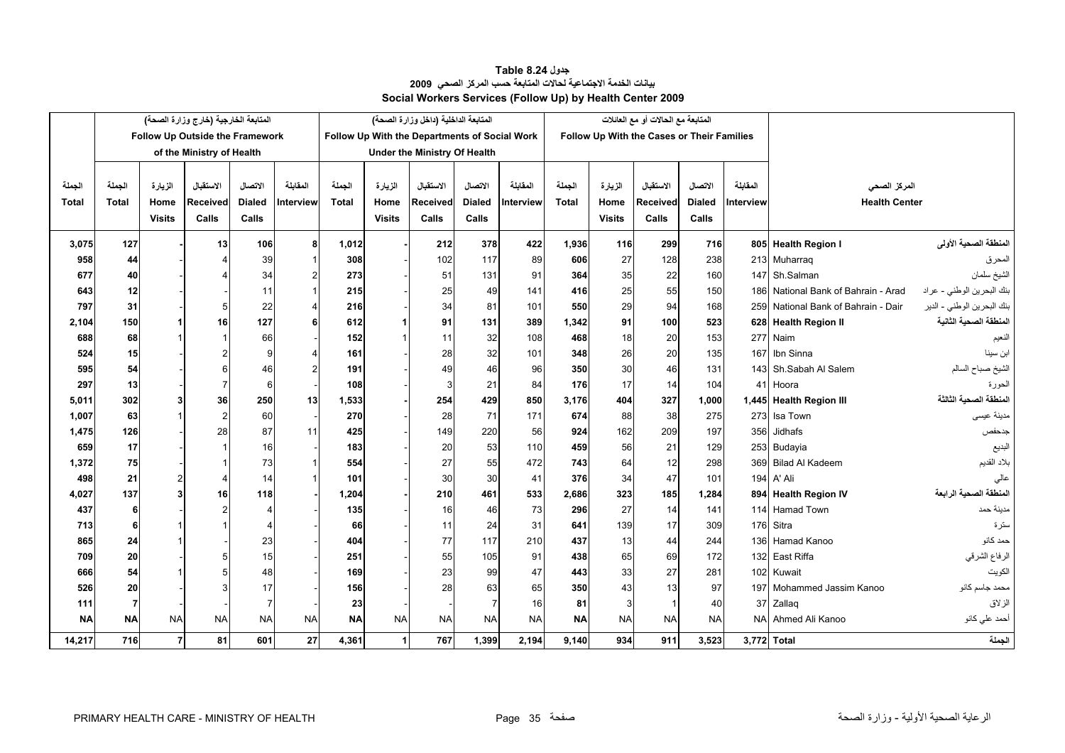#### **بيانات الخدمة الاجتماعية لحالات المتابعة حسب المرآز الصحي <sup>2009</sup> Social Workers Services (Follow Up) by Health Center 2009 جدول 8.24 Table**

<span id="page-35-0"></span>

|              | المتابعة الخارجية (خارج وزارة الصحة) |                |                                 |               |           | المتابعة الداخلية (داخل وزارة الصحة)          |               |           |                | المتابعة مع الحالات أو مع العائلات         |              |               |              |               |                  |                                     |                            |
|--------------|--------------------------------------|----------------|---------------------------------|---------------|-----------|-----------------------------------------------|---------------|-----------|----------------|--------------------------------------------|--------------|---------------|--------------|---------------|------------------|-------------------------------------|----------------------------|
|              |                                      |                | Follow Up Outside the Framework |               |           | Follow Up With the Departments of Social Work |               |           |                | Follow Up With the Cases or Their Families |              |               |              |               |                  |                                     |                            |
|              | of the Ministry of Health            |                |                                 |               |           | <b>Under the Ministry Of Health</b>           |               |           |                |                                            |              |               |              |               |                  |                                     |                            |
|              |                                      |                |                                 |               |           |                                               |               |           |                |                                            |              |               |              |               |                  |                                     |                            |
| الجملة       | الجملة                               | الزيارة        | الاستقبال                       | الاتصال       | المقابلة  | الحملة                                        | الزيارة       | الاستقبال | الاتصال        | المقابلة                                   | الجملة       | الزيارة       | الاستقبال    | الاتصال       | المقاطة          | المركز الصحي                        |                            |
| <b>Total</b> | <b>Total</b>                         | Home           | <b>Received</b>                 | <b>Dialed</b> | Interview | Total                                         | Home          | Received  | <b>Dialed</b>  | Interview                                  | <b>Total</b> | Home          | Received     | <b>Dialed</b> | <b>Interview</b> | <b>Health Center</b>                |                            |
|              |                                      | <b>Visits</b>  | Calls                           | Calls         |           |                                               | <b>Visits</b> | Calls     | Calls          |                                            |              | <b>Visits</b> | Calls        | Calls         |                  |                                     |                            |
| 3,075        | 127                                  |                | 13                              | 106           |           | 1,012                                         |               | 212       | 378            | 422                                        | 1.936        | 116           | 299          | 716           |                  | 805 Health Region I                 | المنطقة الصحية الأولى      |
| 958          | 44                                   |                |                                 | 39            |           | 308                                           |               | 102       | 117            | 89                                         | 606          | 27            | 128          | 238           |                  | 213 Muharrag                        | المحرق                     |
| 677          | 40                                   |                |                                 | 34            |           | 273                                           |               | 51        | 131            | 91                                         | 364          | 35            | 22           | 160           |                  | 147 Sh.Salman                       | الشيخ سلمان                |
| 643          | 12                                   |                |                                 | 11            |           | 215                                           |               | 25        | 49             | 141                                        | 416          | 25            | 55           | 150           |                  | 186 National Bank of Bahrain - Arad | بنك البحرين الوطني - عراد  |
| 797          | 31                                   |                | 5                               | 22            |           | 216                                           |               | 34        | 81             | 101                                        | 550          | 29            | 94           | 168           |                  | 259 National Bank of Bahrain - Dair | بنك البحرين الوطني - الدير |
| 2,104        | 150                                  |                | 16                              | 127           |           | 612                                           |               | 91        | 131            | 389                                        | 1,342        | 91            | 100          | 523           |                  | 628 Health Region II                | المنطقة الصحبة الثانية     |
| 688          | 68                                   |                |                                 | 66            |           | 152                                           |               | 11        | 32             | 108                                        | 468          | 18            | 20           | 153           |                  | 277 Naim                            | النعيم                     |
| 524          | 15                                   |                |                                 |               |           | 161                                           |               | 28        | 32             | 101                                        | 348          | 26            | 20           | 135           | 167              | Ibn Sinna                           | ابن سينا                   |
| 595          | 54                                   |                | 6                               | 46            |           | 191                                           |               | 49        | 46             | 96                                         | 350          | 30            | 46           | 131           |                  | 143 Sh.Sabah Al Salem               | الشيخ صباح السالم          |
| 297          | 13                                   |                |                                 | 6             |           | 108                                           |               | 3         | 21             | 84                                         | 176          | 17            | 14           | 104           |                  | 41 Hoora                            | الحورة                     |
| 5,011        | 302                                  | 3              | 36                              | 250           | 13        | 1,533                                         |               | 254       | 429            | 850                                        | 3,176        | 404           | 327          | 1,000         |                  | 1,445 Health Region III             | المنطقة الصحبة الثالثة     |
| 1,007        | 63                                   |                | $\overline{2}$                  | 60            |           | 270                                           |               | 28        | 71             | 171                                        | 674          | 88            | 38           | 275           | 273              | Isa Town                            | مدينة عيسى                 |
| 1,475        | 126                                  |                | 28                              | 87            | 11        | 425                                           |               | 149       | 220            | 56                                         | 924          | 162           | 209          | 197           | 356              | Jidhafs                             | جدحفص                      |
| 659          | 17                                   |                |                                 | 16            |           | 183                                           |               | 20        | 53             | 110                                        | 459          | 56            | 21           | 129           |                  | 253 Budayia                         | البديع                     |
| 1,372        | 75                                   |                |                                 | 73            |           | 554                                           |               | 27        | 55             | 472                                        | 743          | 64            | 12           | 298           |                  | 369 Bilad Al Kadeem                 | بلاد القديم                |
| 498          | 21                                   | 2              | 4                               | 14            |           | 101                                           |               | 30        | 30             | 41                                         | 376          | 34            | 47           | 101           |                  | 194 A' Ali                          |                            |
| 4,027        | 137                                  | $\mathbf{R}$   | 16                              | 118           |           | 1,204                                         |               | 210       | 461            | 533                                        | 2.686        | 323           | 185          | 1,284         |                  | 894 Health Region IV                | المنطقة الصحية الرابعة     |
| 437          | 6                                    |                |                                 |               |           | 135                                           |               | 16        | 46             | 73                                         | 296          | 27            | 14           | 141           |                  | 114 Hamad Town                      | مدينة حمد                  |
| 713          | 6                                    |                |                                 |               |           | 66                                            |               | 11        | 24             | 31                                         | 641          | 139           | 17           | 309           |                  | 176 Sitra                           | سترة                       |
| 865          | 24                                   |                |                                 | 23            |           | 404                                           |               | 77        | 117            | 210                                        | 437          | 13            | 44           | 244           |                  | 136 Hamad Kanoo                     | حمد كانو                   |
| 709          | 20                                   |                |                                 | 15            |           | 251                                           |               | 55        | 105            | 91                                         | 438          | 65            | 69           | 172           |                  | 132 East Riffa                      | الرفاع الشرقي              |
| 666          | 54                                   |                |                                 | 48            |           | 169                                           |               | 23        | 99             | 47                                         | 443          | 33            | 27           | 281           |                  | 102 Kuwait                          | الكويت                     |
| 526          | 20                                   |                |                                 | 17            |           | 156                                           |               | 28        | 63             | 65                                         | 350          | 43            | 13           | 97            |                  | 197 Mohammed Jassim Kanoo           | محمد جاسم كانو             |
| 111          | 7                                    |                |                                 |               |           | 23                                            |               |           | $\overline{7}$ | 16                                         | 81           | 3             | $\mathbf{1}$ | 40            | 37 <sup>l</sup>  | Zallaq                              | الزلاق                     |
| <b>NA</b>    | <b>NA</b>                            | <b>NA</b>      | <b>NA</b>                       | <b>NA</b>     | <b>NA</b> | <b>NA</b>                                     | <b>NA</b>     | <b>NA</b> | <b>NA</b>      | <b>NA</b>                                  | <b>NA</b>    | <b>NA</b>     | <b>NA</b>    | <b>NA</b>     | <b>NAI</b>       | Ahmed Ali Kanoo                     | أحمد علي كانو              |
| 14,217       | <b>716</b>                           | $\overline{7}$ | 81                              | 601           | 27        | 4,361                                         |               | 767       | 1,399          | 2,194                                      | 9,140        | 934           | 911          | 3,523         |                  | 3,772 Total                         | الجملة                     |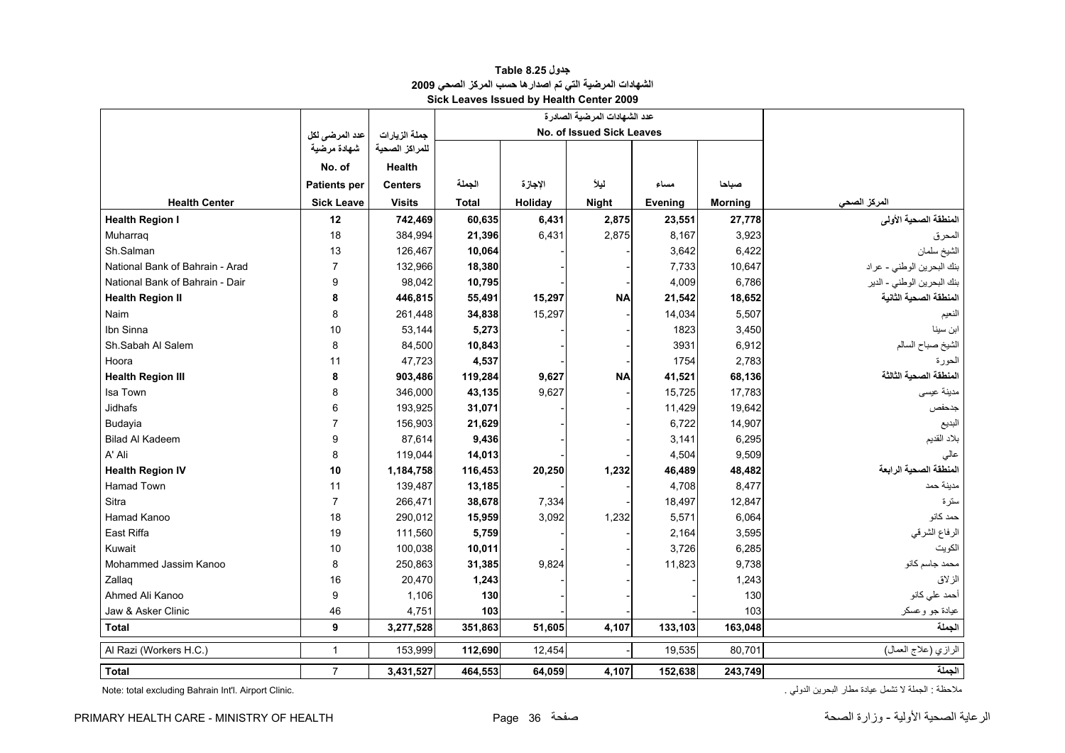<span id="page-36-0"></span>

|                                 |                     |                |              |                           | عدد الشهادات المرضية الصادرة |         |                |                            |
|---------------------------------|---------------------|----------------|--------------|---------------------------|------------------------------|---------|----------------|----------------------------|
|                                 | عدد المرضى لكل      | جملة الزيارات  |              | No. of Issued Sick Leaves |                              |         |                |                            |
|                                 | شهادة مرضية         | للمراكز الصحية |              |                           |                              |         |                |                            |
|                                 | No. of              | Health         |              |                           |                              |         |                |                            |
|                                 | <b>Patients per</b> | <b>Centers</b> | الجملة       | الإجازة                   | ليلأ                         | مساء    | صباحا          |                            |
| <b>Health Center</b>            | <b>Sick Leave</b>   | <b>Visits</b>  | <b>Total</b> | Holiday                   | <b>Night</b>                 | Evening | <b>Morning</b> | المركز الصحي               |
| <b>Health Region I</b>          | 12                  | 742,469        | 60,635       | 6,431                     | 2,875                        | 23,551  | 27,778         | المنطقة الصحية الأولى      |
| Muharraq                        | 18                  | 384,994        | 21,396       | 6,431                     | 2,875                        | 8,167   | 3,923          | المحرق                     |
| Sh.Salman                       | 13                  | 126,467        | 10,064       |                           |                              | 3,642   | 6,422          | الشيخ سلمان                |
| National Bank of Bahrain - Arad | $\overline{7}$      | 132,966        | 18,380       |                           |                              | 7,733   | 10,647         | بنك البحرين الوطني - عراد  |
| National Bank of Bahrain - Dair | 9                   | 98,042         | 10,795       |                           |                              | 4,009   | 6,786          | بنك البحرين الوطني - الدير |
| <b>Health Region II</b>         | 8                   | 446,815        | 55,491       | 15,297                    | <b>NA</b>                    | 21,542  | 18,652         | المنطقة الصحية الثانية     |
| Naim                            | 8                   | 261,448        | 34,838       | 15,297                    |                              | 14,034  | 5,507          | الفعيم                     |
| Ibn Sinna                       | 10                  | 53,144         | 5,273        |                           |                              | 1823    | 3,450          | ابن سينا                   |
| Sh.Sabah Al Salem               | 8                   | 84,500         | 10,843       |                           |                              | 3931    | 6,912          | الشيخ صباح السالم          |
| Hoora                           | 11                  | 47,723         | 4,537        |                           |                              | 1754    | 2,783          | الحور ۃ                    |
| <b>Health Region III</b>        | 8                   | 903,486        | 119,284      | 9,627                     | <b>NA</b>                    | 41,521  | 68,136         | المنطقة الصحية الثالثة     |
| Isa Town                        | 8                   | 346,000        | 43,135       | 9,627                     |                              | 15,725  | 17,783         | مدينة عيسى                 |
| <b>Jidhafs</b>                  | 6                   | 193,925        | 31,071       |                           |                              | 11,429  | 19,642         | جدحفص                      |
| Budayia                         | $\overline{7}$      | 156,903        | 21,629       |                           |                              | 6,722   | 14,907         | البديع                     |
| <b>Bilad Al Kadeem</b>          | 9                   | 87,614         | 9,436        |                           |                              | 3,141   | 6,295          | بلاد القديم                |
| A' Ali                          | 8                   | 119,044        | 14,013       |                           |                              | 4,504   | 9,509          | عالى                       |
| <b>Health Region IV</b>         | 10                  | 1,184,758      | 116,453      | 20,250                    | 1,232                        | 46,489  | 48,482         | المنطقة الصحية الرابعة     |
| Hamad Town                      | 11                  | 139,487        | 13,185       |                           |                              | 4,708   | 8,477          | مدينة حمد                  |
| Sitra                           | $\overline{7}$      | 266,471        | 38,678       | 7,334                     |                              | 18,497  | 12,847         | سترة                       |
| Hamad Kanoo                     | 18                  | 290,012        | 15,959       | 3,092                     | 1,232                        | 5,571   | 6,064          | حمد كانو                   |
| East Riffa                      | 19                  | 111,560        | 5,759        |                           |                              | 2,164   | 3,595          | الرفاع الشرقي              |
| Kuwait                          | 10                  | 100,038        | 10,011       |                           |                              | 3,726   | 6,285          | الكويت                     |
| Mohammed Jassim Kanoo           | 8                   | 250,863        | 31,385       | 9,824                     |                              | 11,823  | 9,738          | محمد جاسم كانو             |
| Zallag                          | 16                  | 20,470         | 1,243        |                           |                              |         | 1,243          | الزلاق                     |
| Ahmed Ali Kanoo                 | 9                   | 1,106          | 130          |                           |                              |         | 130            | أحمد علي كانو              |
| Jaw & Asker Clinic              | 46                  | 4,751          | 103          |                           |                              |         | 103            | عيادة جو وعسكر             |
| <b>Total</b>                    | 9                   | 3,277,528      | 351,863      | 51,605                    | 4,107                        | 133,103 | 163,048        | الجملة                     |
| Al Razi (Workers H.C.)          | $\mathbf{1}$        | 153,999        | 112,690      | 12,454                    |                              | 19,535  | 80,701         | الرازي (علاج العمال)       |
| <b>Total</b>                    | $\overline{7}$      | 3,431,527      | 464,553      | 64,059                    | 4,107                        | 152,638 | 243,749        | الجملة                     |

#### **الشهادات المرضية التي تم اصدارها حسب المرآز الصحي <sup>2009</sup> Sick Leaves Issued by Health Center 2009 جدول 8.25 Table**

Note: total excluding Bahrain Int'l. Airport Clinic.

ملاحظة : الجملة لا تشمل عيادة مطار البحرين الدولي .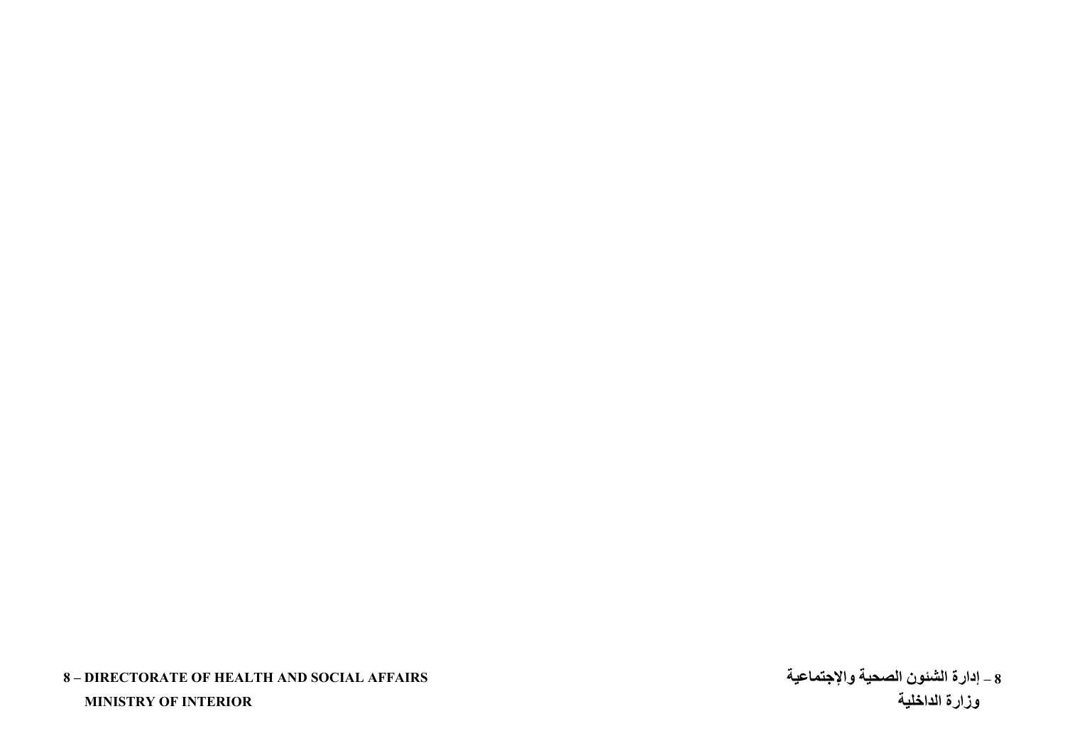## **8 – DIRECTORATE OF HEALTH AND SOCIAL AFFAIRS**

 **MINISTRY OF INTERIOR** 

**إدارة الشئون الصحية والإجتماعية – 8 زارة الداخلية و**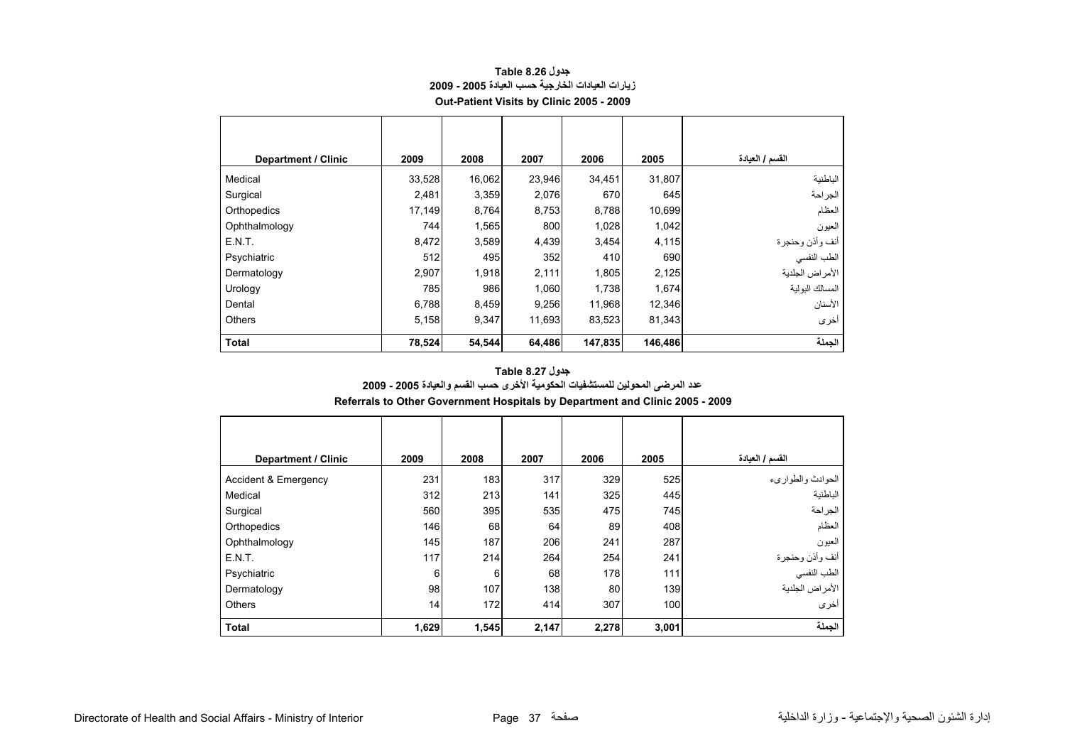<span id="page-38-0"></span>

| <b>Department / Clinic</b> | 2009   | 2008   | 2007   | 2006    | 2005    | القسم / العيادة |
|----------------------------|--------|--------|--------|---------|---------|-----------------|
| Medical                    | 33,528 | 16,062 | 23,946 | 34,451  | 31,807  | الباطنية        |
| Surgical                   | 2,481  | 3,359  | 2,076  | 670     | 645     | الجراحة         |
| Orthopedics                | 17,149 | 8,764  | 8,753  | 8,788   | 10,699  | العظام          |
| Ophthalmology              | 744    | 1,565  | 800    | 1,028   | 1,042   | العيون          |
| E.N.T.                     | 8,472  | 3,589  | 4,439  | 3,454   | 4,115   | أنف وأذن وحنجرة |
| Psychiatric                | 512    | 495    | 352    | 410     | 690     | الطب النفسي     |
| Dermatology                | 2,907  | 1,918  | 2,111  | 1,805   | 2,125   | الأمراض الجلدية |
| Urology                    | 785    | 986    | 1,060  | 1,738   | 1,674   | المسالك البولية |
| Dental                     | 6,788  | 8,459  | 9,256  | 11,968  | 12,346  | الأسنان         |
| <b>Others</b>              | 5,158  | 9,347  | 11,693 | 83,523  | 81,343  | أخرى            |
| <b>Total</b>               | 78,524 | 54,544 | 64,486 | 147,835 | 146,486 | الجملة          |

#### **جدول 8.26 Table زيارات العيادات الخارجية حسب العيادة 2005 - 2009 Out-Patient Visits by Clinic 2005 - 2009**

#### **عدد المرضى المحولين للمستشفيات الحكومية الأخرى حسب القسم والعيادة 2005 - 2009 Referrals to Other Government Hospitals by Department and Clinic 2005 - 2009 جدول 8.27 Table**

| Department / Clinic  | 2009  | 2008  | 2007  | 2006  | 2005  | القسم / العيادة                |
|----------------------|-------|-------|-------|-------|-------|--------------------------------|
| Accident & Emergency | 231   | 183   | 317   | 329   | 525   | الحوادث والطواريء              |
| Medical              | 312   | 213   | 141   | 325   | 445   | الباطنية                       |
| Surgical             | 560   | 395   | 535   | 475   | 745   | الجراحة                        |
| Orthopedics          | 146   | 68    | 64    | 89    | 408   | العظام                         |
| Ophthalmology        | 145   | 187   | 206   | 241   | 287   | العيون                         |
| E.N.T.               | 117   | 214   | 264   | 254   | 241   |                                |
| Psychiatric          | 6     | 6     | 68    | 178   | 111   | أنف وأذن وحنجرة<br>الطب النفسي |
| Dermatology          | 98    | 107   | 138   | 80    | 139   | الأمراض الجلدية                |
| <b>Others</b>        | 14    | 172   | 414   | 307   | 100   | أخرى                           |
| <b>Total</b>         | 1,629 | 1,545 | 2,147 | 2,278 | 3,001 | الجملة                         |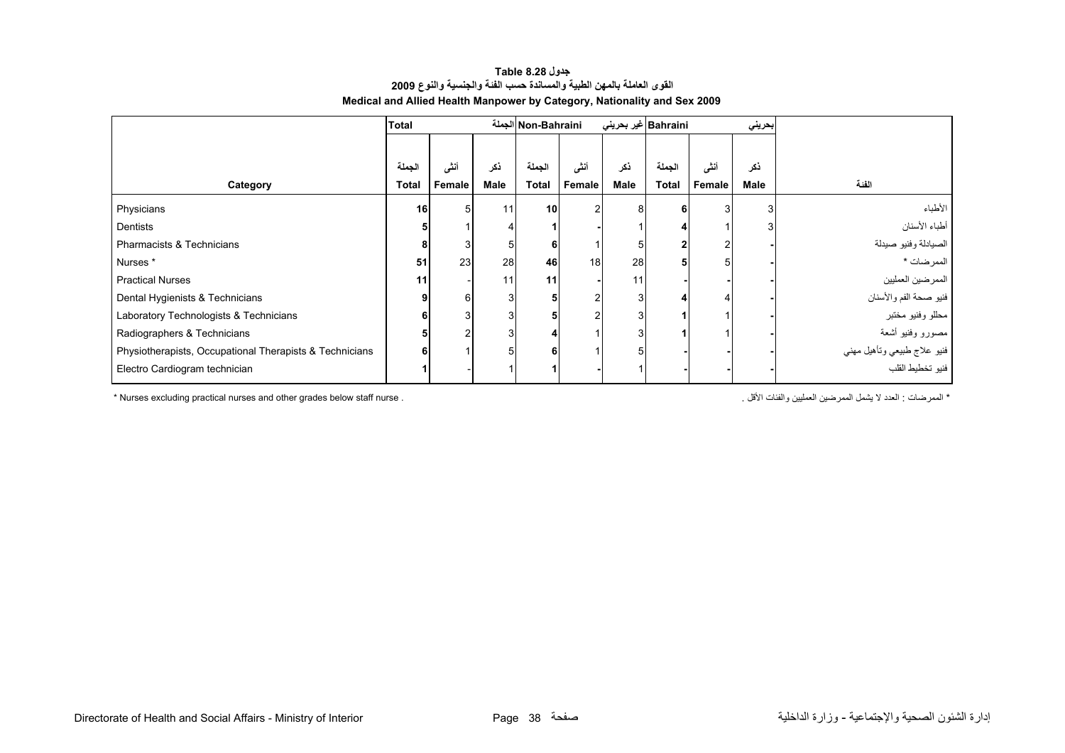#### **القوى العاملة بالمهن الطبية والمساندة حسب الفئة والجنسية والنوع <sup>2009</sup> Medical and Allied Health Manpower by Category, Nationality and Sex 2009 جدول 8.28 Table**

<span id="page-39-0"></span>

|                                                         | Total  |        |      | Non-Bahraini الجملة |          | Bahraini غير بحريني |        |        | بحريني      |                                                 |
|---------------------------------------------------------|--------|--------|------|---------------------|----------|---------------------|--------|--------|-------------|-------------------------------------------------|
|                                                         |        |        |      |                     |          |                     |        |        |             |                                                 |
|                                                         | الجملة | أنشى   | ذكر  | الجملة              | أنشى     | ذكر                 | الجملة | أنشى   | ذكر         |                                                 |
| Category                                                | Total  | Female | Male | <b>Total</b>        | Female   | <b>Male</b>         | Total  | Female | <b>Male</b> | الفئة                                           |
| Physicians                                              | 16     | 5      | 11   | 10 <sup>1</sup>     | $\Omega$ | 8                   |        | 3      | 3           | الأطباء                                         |
| Dentists                                                |        |        |      |                     |          |                     |        |        |             | أطباء الأسنان                                   |
| Pharmacists & Technicians                               |        |        | 5    |                     |          | 5                   |        |        |             | الصيادلة وفنيو صيدلة                            |
| Nurses *                                                | 51     | 23     | 28   | 46                  | 18       | 28                  |        |        |             | الممرضات *                                      |
| <b>Practical Nurses</b>                                 | 11     |        | 11   | 11                  |          | 11                  |        |        |             | الممرضين العمليين                               |
| Dental Hygienists & Technicians                         |        | 6      | 3    |                     |          | 3                   |        |        |             | فنيو صحة الفم والأسنان                          |
| Laboratory Technologists & Technicians                  |        |        | 3    |                     |          | 3                   |        |        |             | محللو وفنيو مختبر                               |
| Radiographers & Technicians                             |        | ◠      | 3    |                     |          | 3                   |        |        |             | مصورو وفنيو أشعة                                |
| Physiotherapists, Occupational Therapists & Technicians |        |        | 5    |                     |          | 5                   |        |        |             | فنيو علاج طبيعي وتأهيل مهني<br>فنيو تخطيط القلب |
| Electro Cardiogram technician                           |        |        |      |                     |          |                     |        |        |             |                                                 |

\* Nurses excluding practical nurses and other grades below staff nurse . . الأقل والفئات العمليين الممرضين يشمل لا العدد : الممرضات\*